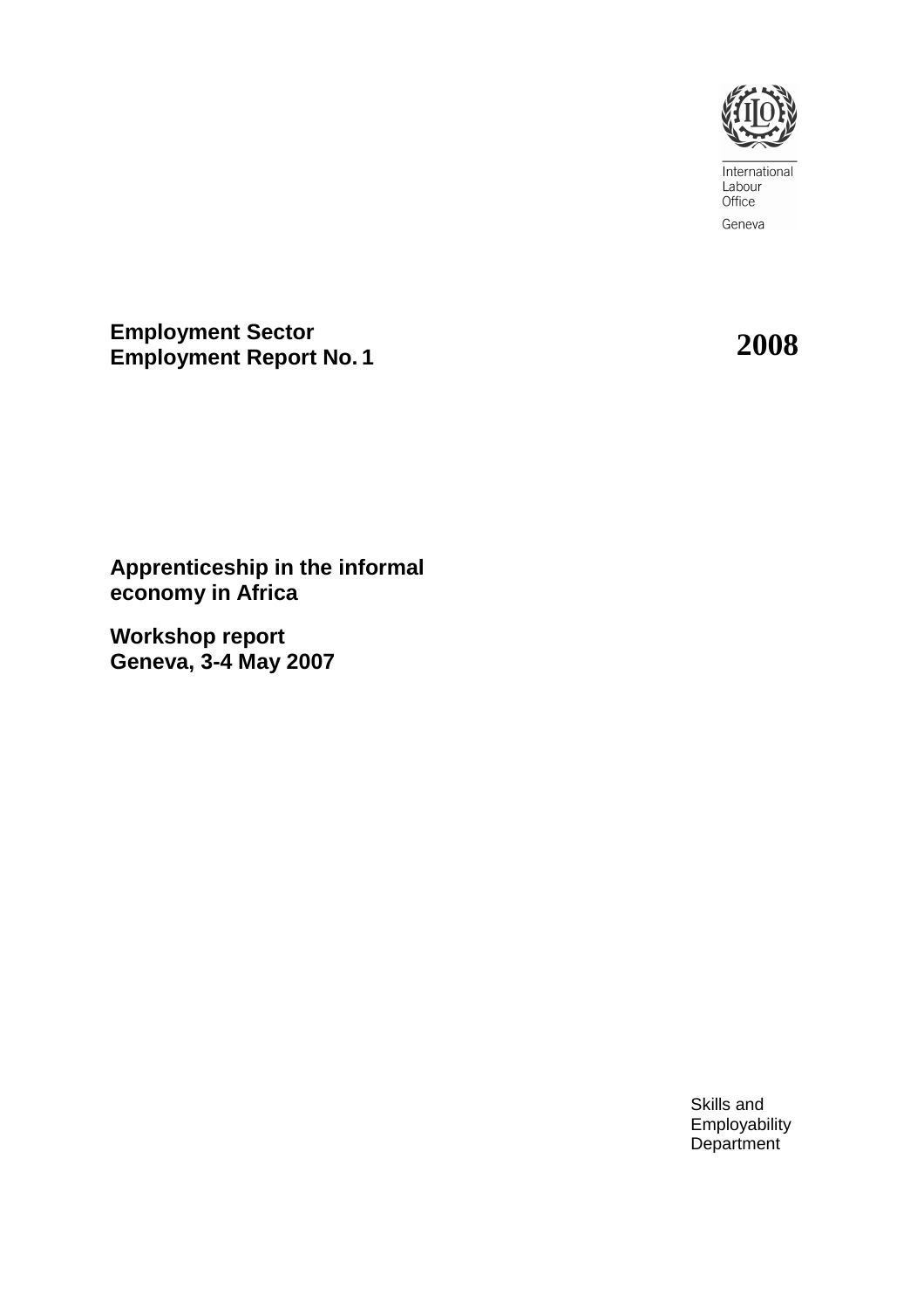

International<br>Labour Office Geneva

**Employment Sector Employment Report No. <sup>1</sup>2008**

**Apprenticeship in the informal economy in Africa** 

**Workshop report Geneva, 3-4 May 2007** 

> Skills and Employability Department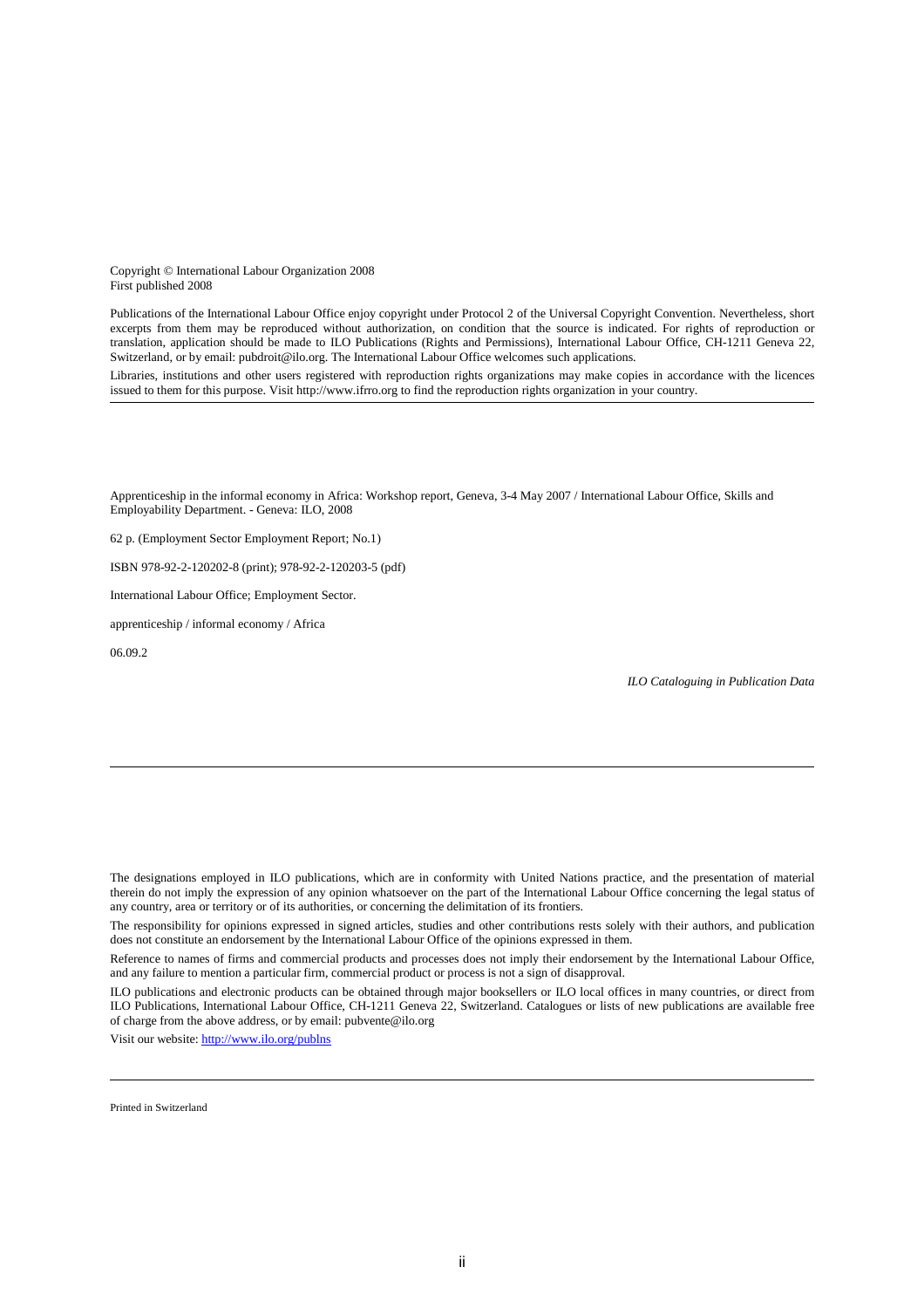Copyright © International Labour Organization 2008 First published 2008

Publications of the International Labour Office enjoy copyright under Protocol 2 of the Universal Copyright Convention. Nevertheless, short excerpts from them may be reproduced without authorization, on condition that the source is indicated. For rights of reproduction or translation, application should be made to ILO Publications (Rights and Permissions), International Labour Office, CH-1211 Geneva 22, Switzerland, or by email: pubdroit@ilo.org. The International Labour Office welcomes such applications.

Libraries, institutions and other users registered with reproduction rights organizations may make copies in accordance with the licences issued to them for this purpose. Visit http://www.ifrro.org to find the reproduction rights organization in your country.

Apprenticeship in the informal economy in Africa: Workshop report, Geneva, 3-4 May 2007 / International Labour Office, Skills and Employability Department. - Geneva: ILO, 2008

62 p. (Employment Sector Employment Report; No.1)

ISBN 978-92-2-120202-8 (print); 978-92-2-120203-5 (pdf)

International Labour Office; Employment Sector.

apprenticeship / informal economy / Africa

06.09.2

*ILO Cataloguing in Publication Data*

The designations employed in ILO publications, which are in conformity with United Nations practice, and the presentation of material therein do not imply the expression of any opinion whatsoever on the part of the International Labour Office concerning the legal status of any country, area or territory or of its authorities, or concerning the delimitation of its frontiers.

The responsibility for opinions expressed in signed articles, studies and other contributions rests solely with their authors, and publication does not constitute an endorsement by the International Labour Office of the opinions expressed in them.

Reference to names of firms and commercial products and processes does not imply their endorsement by the International Labour Office, and any failure to mention a particular firm, commercial product or process is not a sign of disapproval.

ILO publications and electronic products can be obtained through major booksellers or ILO local offices in many countries, or direct from ILO Publications, International Labour Office, CH-1211 Geneva 22, Switzerland. Catalogues or lists of new publications are available free of charge from the above address, or by email: pubvente@ilo.org

Visit our website: http://www.ilo.org/publns

Printed in Switzerland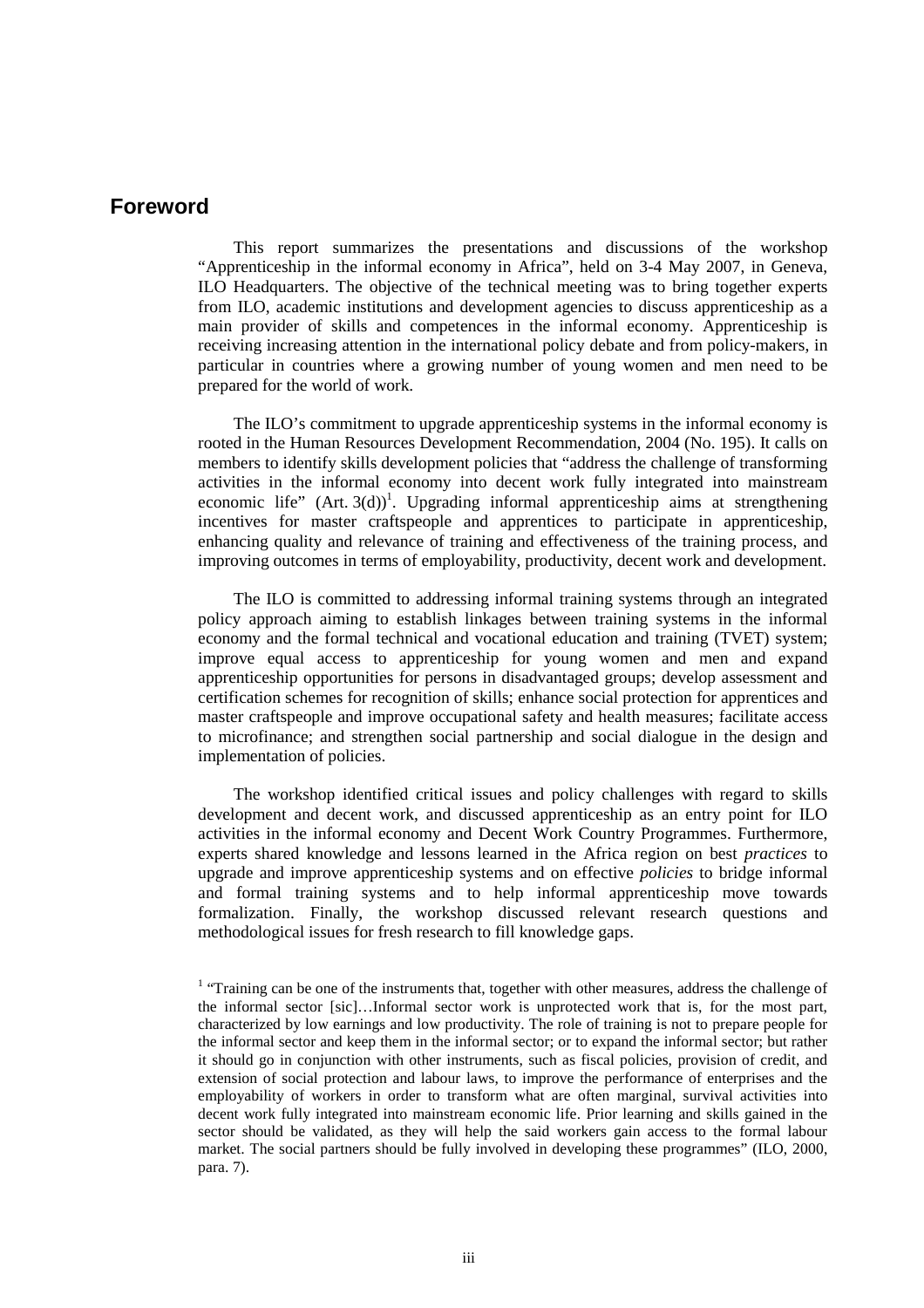### **Foreword**

This report summarizes the presentations and discussions of the workshop "Apprenticeship in the informal economy in Africa", held on 3-4 May 2007, in Geneva, ILO Headquarters. The objective of the technical meeting was to bring together experts from ILO, academic institutions and development agencies to discuss apprenticeship as a main provider of skills and competences in the informal economy. Apprenticeship is receiving increasing attention in the international policy debate and from policy-makers, in particular in countries where a growing number of young women and men need to be prepared for the world of work.

The ILO's commitment to upgrade apprenticeship systems in the informal economy is rooted in the Human Resources Development Recommendation, 2004 (No. 195). It calls on members to identify skills development policies that "address the challenge of transforming activities in the informal economy into decent work fully integrated into mainstream economic life"  $(Art. 3(d))$ <sup>1</sup>. Upgrading informal apprenticeship aims at strengthening incentives for master craftspeople and apprentices to participate in apprenticeship, enhancing quality and relevance of training and effectiveness of the training process, and improving outcomes in terms of employability, productivity, decent work and development.

The ILO is committed to addressing informal training systems through an integrated policy approach aiming to establish linkages between training systems in the informal economy and the formal technical and vocational education and training (TVET) system; improve equal access to apprenticeship for young women and men and expand apprenticeship opportunities for persons in disadvantaged groups; develop assessment and certification schemes for recognition of skills; enhance social protection for apprentices and master craftspeople and improve occupational safety and health measures; facilitate access to microfinance; and strengthen social partnership and social dialogue in the design and implementation of policies.

The workshop identified critical issues and policy challenges with regard to skills development and decent work, and discussed apprenticeship as an entry point for ILO activities in the informal economy and Decent Work Country Programmes. Furthermore, experts shared knowledge and lessons learned in the Africa region on best *practices* to upgrade and improve apprenticeship systems and on effective *policies* to bridge informal and formal training systems and to help informal apprenticeship move towards formalization. Finally, the workshop discussed relevant research questions and methodological issues for fresh research to fill knowledge gaps.

<sup>&</sup>lt;sup>1</sup> "Training can be one of the instruments that, together with other measures, address the challenge of the informal sector [sic]…Informal sector work is unprotected work that is, for the most part, characterized by low earnings and low productivity. The role of training is not to prepare people for the informal sector and keep them in the informal sector; or to expand the informal sector; but rather it should go in conjunction with other instruments, such as fiscal policies, provision of credit, and extension of social protection and labour laws, to improve the performance of enterprises and the employability of workers in order to transform what are often marginal, survival activities into decent work fully integrated into mainstream economic life. Prior learning and skills gained in the sector should be validated, as they will help the said workers gain access to the formal labour market. The social partners should be fully involved in developing these programmes" (ILO, 2000, para. 7).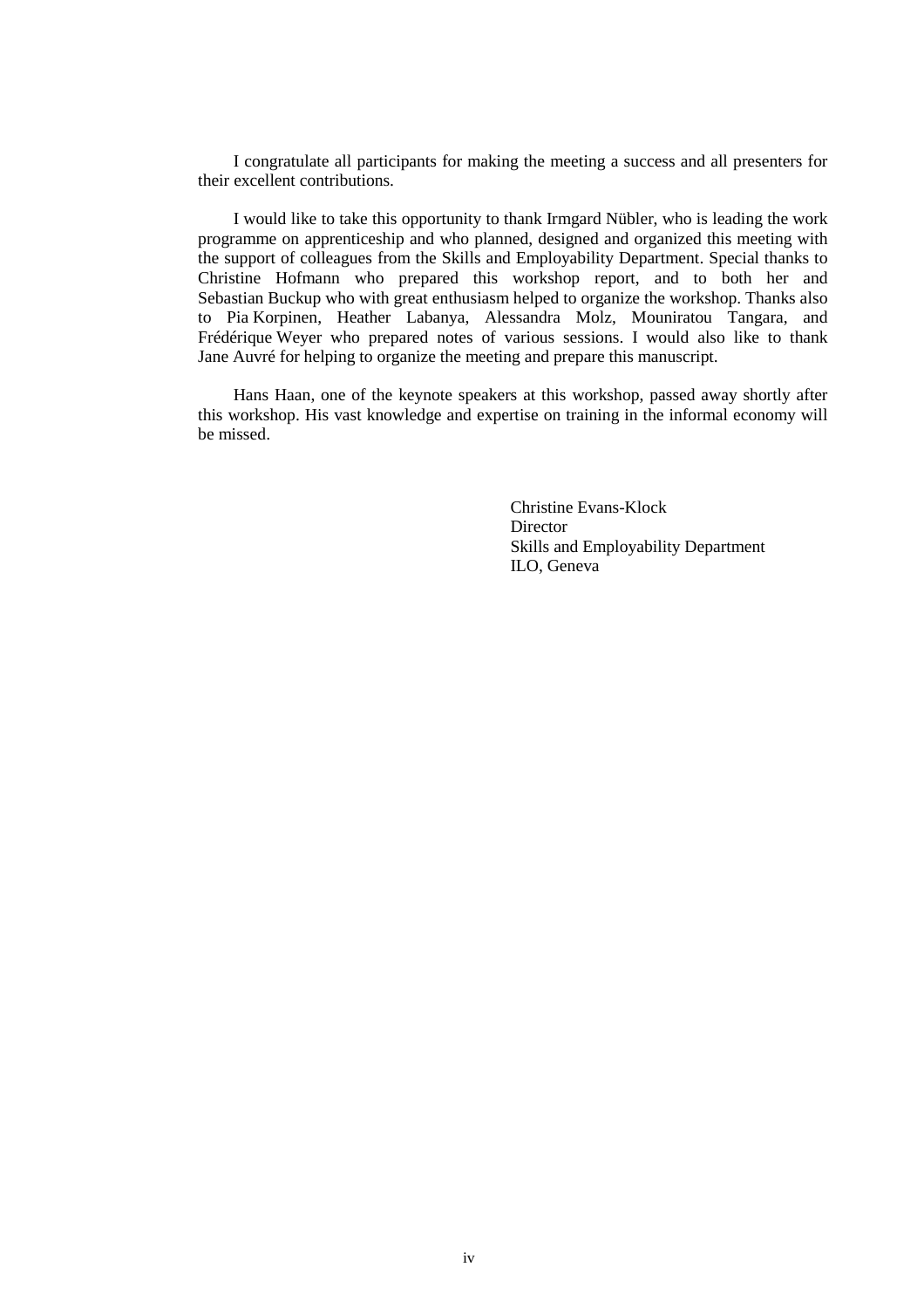I congratulate all participants for making the meeting a success and all presenters for their excellent contributions.

I would like to take this opportunity to thank Irmgard Nübler, who is leading the work programme on apprenticeship and who planned, designed and organized this meeting with the support of colleagues from the Skills and Employability Department. Special thanks to Christine Hofmann who prepared this workshop report, and to both her and Sebastian Buckup who with great enthusiasm helped to organize the workshop. Thanks also to Pia Korpinen, Heather Labanya, Alessandra Molz, Mouniratou Tangara, and Frédérique Weyer who prepared notes of various sessions. I would also like to thank Jane Auvré for helping to organize the meeting and prepare this manuscript.

Hans Haan, one of the keynote speakers at this workshop, passed away shortly after this workshop. His vast knowledge and expertise on training in the informal economy will be missed.

> Christine Evans-Klock **Director** Skills and Employability Department ILO, Geneva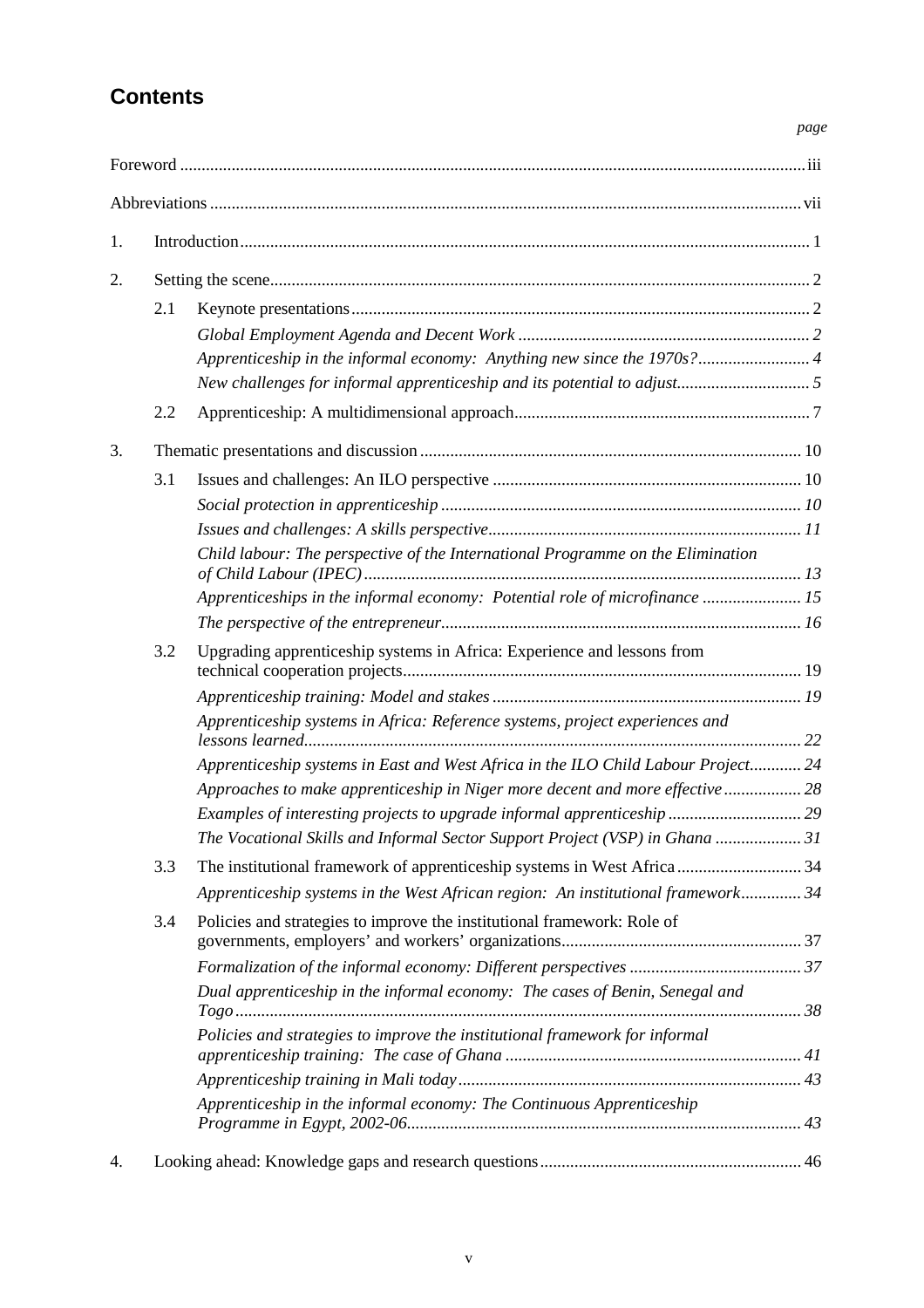# **Contents**

### *page*

| 1. |     |                                                                                   |  |  |  |
|----|-----|-----------------------------------------------------------------------------------|--|--|--|
| 2. |     |                                                                                   |  |  |  |
|    | 2.1 |                                                                                   |  |  |  |
|    |     |                                                                                   |  |  |  |
|    |     | Apprenticeship in the informal economy: Anything new since the 1970s? 4           |  |  |  |
|    |     |                                                                                   |  |  |  |
|    | 2.2 |                                                                                   |  |  |  |
| 3. |     |                                                                                   |  |  |  |
|    | 3.1 |                                                                                   |  |  |  |
|    |     |                                                                                   |  |  |  |
|    |     |                                                                                   |  |  |  |
|    |     | Child labour: The perspective of the International Programme on the Elimination   |  |  |  |
|    |     | Apprenticeships in the informal economy: Potential role of microfinance  15       |  |  |  |
|    |     |                                                                                   |  |  |  |
|    | 3.2 | Upgrading apprenticeship systems in Africa: Experience and lessons from           |  |  |  |
|    |     |                                                                                   |  |  |  |
|    |     | Apprenticeship systems in Africa: Reference systems, project experiences and      |  |  |  |
|    |     | Apprenticeship systems in East and West Africa in the ILO Child Labour Project 24 |  |  |  |
|    |     | Approaches to make apprenticeship in Niger more decent and more effective  28     |  |  |  |
|    |     | Examples of interesting projects to upgrade informal apprenticeship 29            |  |  |  |
|    |     | The Vocational Skills and Informal Sector Support Project (VSP) in Ghana  31      |  |  |  |
|    | 3.3 |                                                                                   |  |  |  |
|    |     | Apprenticeship systems in the West African region: An institutional framework 34  |  |  |  |
|    | 3.4 | Policies and strategies to improve the institutional framework: Role of           |  |  |  |
|    |     |                                                                                   |  |  |  |
|    |     | Dual apprenticeship in the informal economy: The cases of Benin, Senegal and      |  |  |  |
|    |     | Policies and strategies to improve the institutional framework for informal       |  |  |  |
|    |     |                                                                                   |  |  |  |
|    |     | Apprenticeship in the informal economy: The Continuous Apprenticeship             |  |  |  |
| 4. |     |                                                                                   |  |  |  |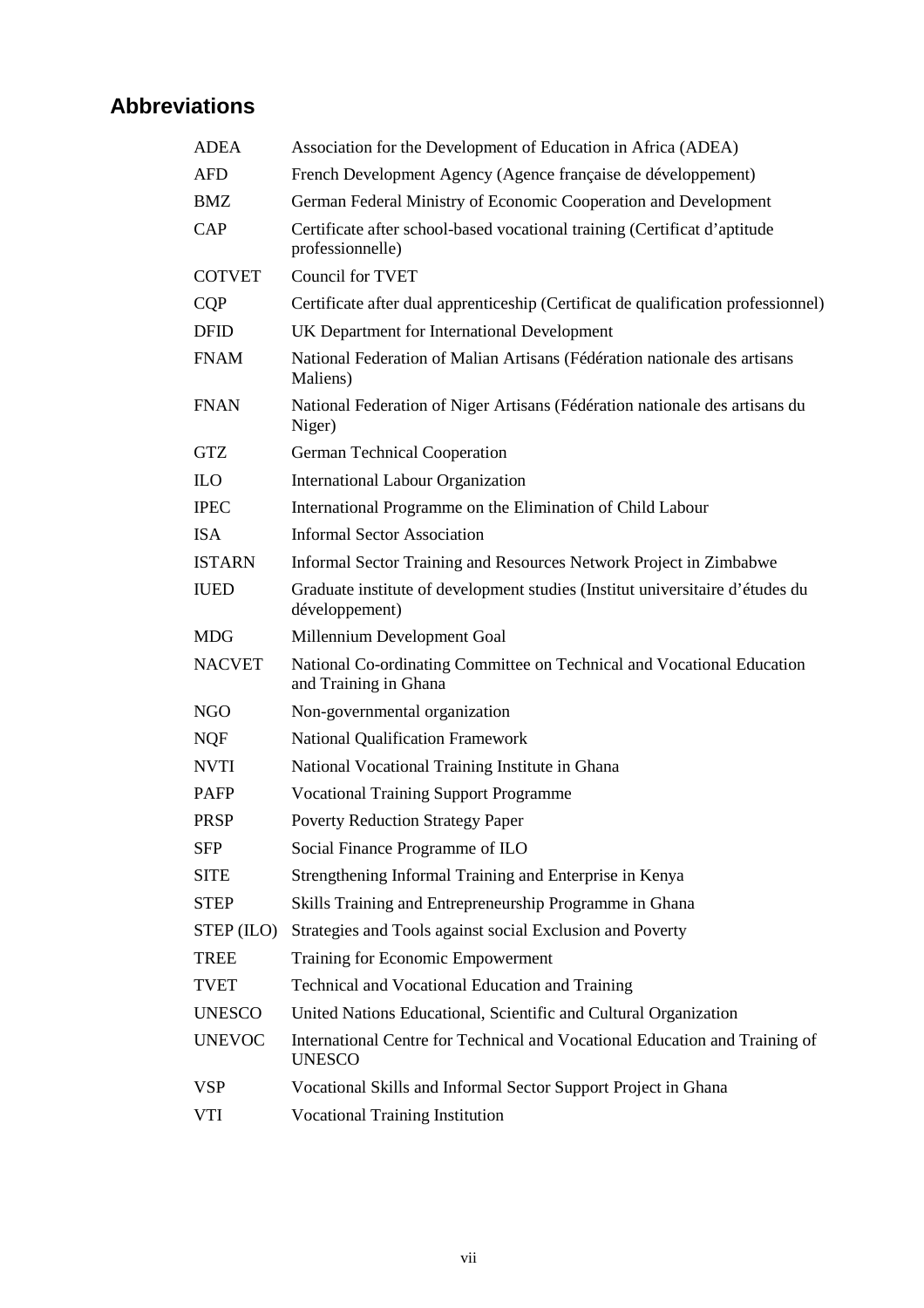# **Abbreviations**

| <b>ADEA</b>   | Association for the Development of Education in Africa (ADEA)                                   |
|---------------|-------------------------------------------------------------------------------------------------|
| <b>AFD</b>    | French Development Agency (Agence française de développement)                                   |
| <b>BMZ</b>    | German Federal Ministry of Economic Cooperation and Development                                 |
| CAP           | Certificate after school-based vocational training (Certificat d'aptitude<br>professionnelle)   |
| <b>COTVET</b> | <b>Council for TVET</b>                                                                         |
| <b>CQP</b>    | Certificate after dual apprenticeship (Certificat de qualification professionnel)               |
| <b>DFID</b>   | UK Department for International Development                                                     |
| <b>FNAM</b>   | National Federation of Malian Artisans (Fédération nationale des artisans<br>Maliens)           |
| <b>FNAN</b>   | National Federation of Niger Artisans (Fédération nationale des artisans du<br>Niger)           |
| <b>GTZ</b>    | <b>German Technical Cooperation</b>                                                             |
| <b>ILO</b>    | <b>International Labour Organization</b>                                                        |
| <b>IPEC</b>   | International Programme on the Elimination of Child Labour                                      |
| <b>ISA</b>    | <b>Informal Sector Association</b>                                                              |
| <b>ISTARN</b> | Informal Sector Training and Resources Network Project in Zimbabwe                              |
| <b>IUED</b>   | Graduate institute of development studies (Institut universitaire d'études du<br>développement) |
| <b>MDG</b>    | Millennium Development Goal                                                                     |
| <b>NACVET</b> | National Co-ordinating Committee on Technical and Vocational Education<br>and Training in Ghana |
| <b>NGO</b>    | Non-governmental organization                                                                   |
| <b>NQF</b>    | <b>National Qualification Framework</b>                                                         |
| <b>NVTI</b>   | National Vocational Training Institute in Ghana                                                 |
| <b>PAFP</b>   | <b>Vocational Training Support Programme</b>                                                    |
| <b>PRSP</b>   | <b>Poverty Reduction Strategy Paper</b>                                                         |
| <b>SFP</b>    | Social Finance Programme of ILO                                                                 |
| <b>SITE</b>   | Strengthening Informal Training and Enterprise in Kenya                                         |
| <b>STEP</b>   | Skills Training and Entrepreneurship Programme in Ghana                                         |
| STEP (ILO)    | Strategies and Tools against social Exclusion and Poverty                                       |
| <b>TREE</b>   | <b>Training for Economic Empowerment</b>                                                        |
| <b>TVET</b>   | Technical and Vocational Education and Training                                                 |
| <b>UNESCO</b> | United Nations Educational, Scientific and Cultural Organization                                |
| <b>UNEVOC</b> | International Centre for Technical and Vocational Education and Training of<br><b>UNESCO</b>    |
| <b>VSP</b>    | Vocational Skills and Informal Sector Support Project in Ghana                                  |
| VTI           | <b>Vocational Training Institution</b>                                                          |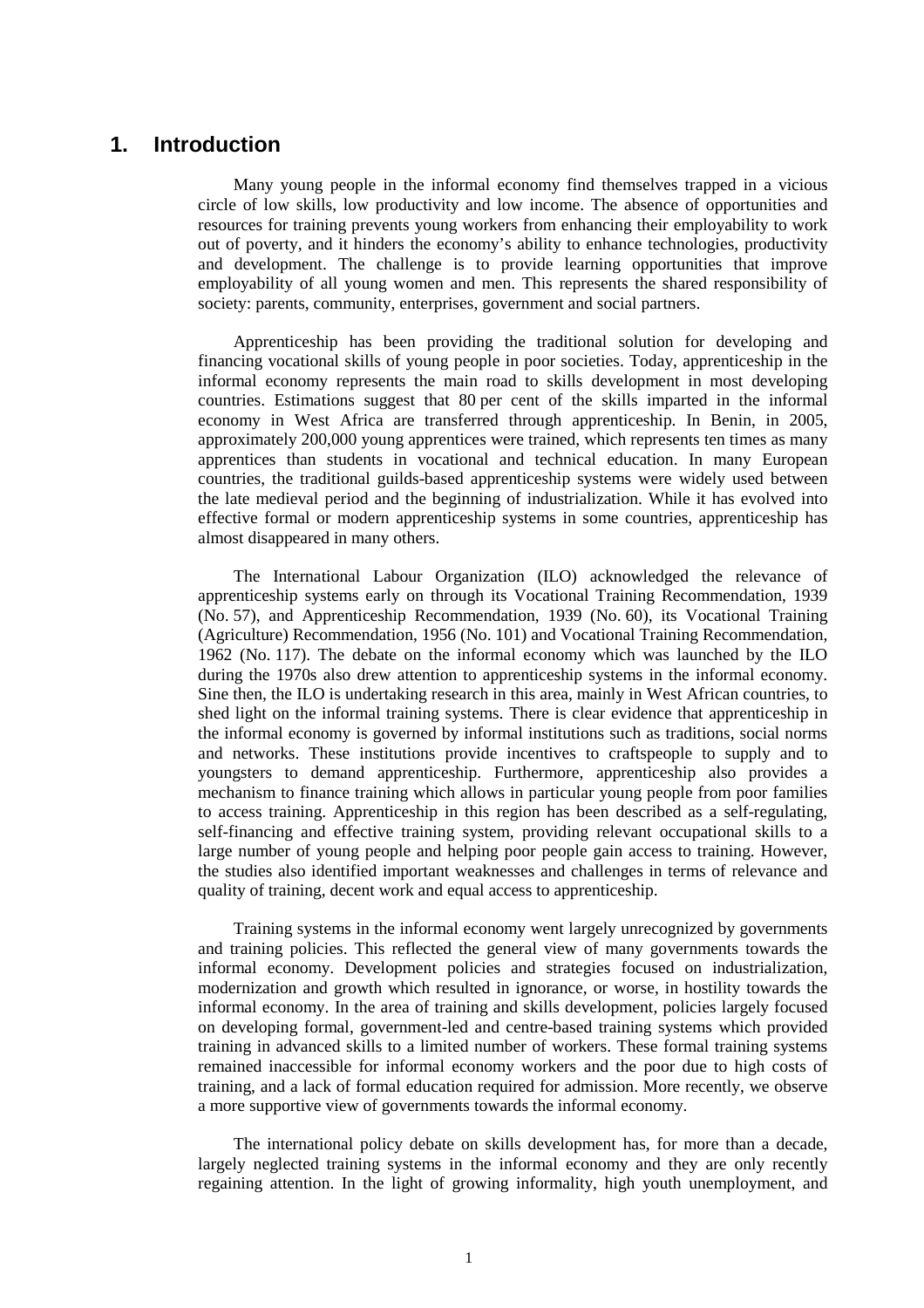## **1. Introduction**

Many young people in the informal economy find themselves trapped in a vicious circle of low skills, low productivity and low income. The absence of opportunities and resources for training prevents young workers from enhancing their employability to work out of poverty, and it hinders the economy's ability to enhance technologies, productivity and development. The challenge is to provide learning opportunities that improve employability of all young women and men. This represents the shared responsibility of society: parents, community, enterprises, government and social partners.

Apprenticeship has been providing the traditional solution for developing and financing vocational skills of young people in poor societies. Today, apprenticeship in the informal economy represents the main road to skills development in most developing countries. Estimations suggest that 80 per cent of the skills imparted in the informal economy in West Africa are transferred through apprenticeship. In Benin, in 2005, approximately 200,000 young apprentices were trained, which represents ten times as many apprentices than students in vocational and technical education. In many European countries, the traditional guilds-based apprenticeship systems were widely used between the late medieval period and the beginning of industrialization. While it has evolved into effective formal or modern apprenticeship systems in some countries, apprenticeship has almost disappeared in many others.

The International Labour Organization (ILO) acknowledged the relevance of apprenticeship systems early on through its Vocational Training Recommendation, 1939 (No. 57), and Apprenticeship Recommendation, 1939 (No. 60), its Vocational Training (Agriculture) Recommendation, 1956 (No. 101) and Vocational Training Recommendation, 1962 (No. 117). The debate on the informal economy which was launched by the ILO during the 1970s also drew attention to apprenticeship systems in the informal economy. Sine then, the ILO is undertaking research in this area, mainly in West African countries, to shed light on the informal training systems. There is clear evidence that apprenticeship in the informal economy is governed by informal institutions such as traditions, social norms and networks. These institutions provide incentives to craftspeople to supply and to youngsters to demand apprenticeship. Furthermore, apprenticeship also provides a mechanism to finance training which allows in particular young people from poor families to access training. Apprenticeship in this region has been described as a self-regulating, self-financing and effective training system, providing relevant occupational skills to a large number of young people and helping poor people gain access to training. However, the studies also identified important weaknesses and challenges in terms of relevance and quality of training, decent work and equal access to apprenticeship.

Training systems in the informal economy went largely unrecognized by governments and training policies. This reflected the general view of many governments towards the informal economy. Development policies and strategies focused on industrialization, modernization and growth which resulted in ignorance, or worse, in hostility towards the informal economy. In the area of training and skills development, policies largely focused on developing formal, government-led and centre-based training systems which provided training in advanced skills to a limited number of workers. These formal training systems remained inaccessible for informal economy workers and the poor due to high costs of training, and a lack of formal education required for admission. More recently, we observe a more supportive view of governments towards the informal economy.

The international policy debate on skills development has, for more than a decade, largely neglected training systems in the informal economy and they are only recently regaining attention. In the light of growing informality, high youth unemployment, and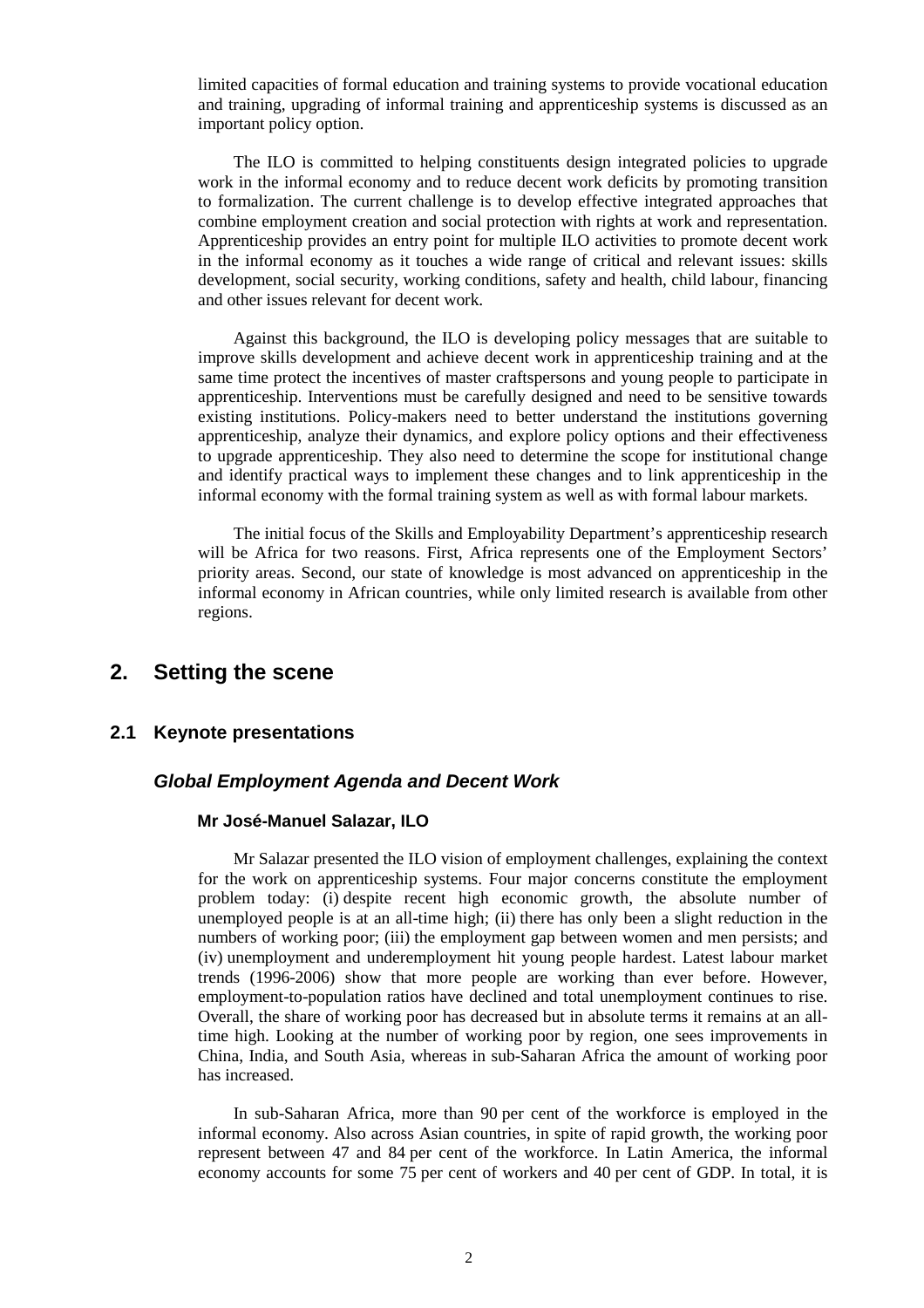limited capacities of formal education and training systems to provide vocational education and training, upgrading of informal training and apprenticeship systems is discussed as an important policy option.

The ILO is committed to helping constituents design integrated policies to upgrade work in the informal economy and to reduce decent work deficits by promoting transition to formalization. The current challenge is to develop effective integrated approaches that combine employment creation and social protection with rights at work and representation. Apprenticeship provides an entry point for multiple ILO activities to promote decent work in the informal economy as it touches a wide range of critical and relevant issues: skills development, social security, working conditions, safety and health, child labour, financing and other issues relevant for decent work.

Against this background, the ILO is developing policy messages that are suitable to improve skills development and achieve decent work in apprenticeship training and at the same time protect the incentives of master craftspersons and young people to participate in apprenticeship. Interventions must be carefully designed and need to be sensitive towards existing institutions. Policy-makers need to better understand the institutions governing apprenticeship, analyze their dynamics, and explore policy options and their effectiveness to upgrade apprenticeship. They also need to determine the scope for institutional change and identify practical ways to implement these changes and to link apprenticeship in the informal economy with the formal training system as well as with formal labour markets.

The initial focus of the Skills and Employability Department's apprenticeship research will be Africa for two reasons. First, Africa represents one of the Employment Sectors' priority areas. Second, our state of knowledge is most advanced on apprenticeship in the informal economy in African countries, while only limited research is available from other regions.

# **2. Setting the scene**

#### **2.1 Keynote presentations**

#### **Global Employment Agenda and Decent Work**

#### **Mr José-Manuel Salazar, ILO**

Mr Salazar presented the ILO vision of employment challenges, explaining the context for the work on apprenticeship systems. Four major concerns constitute the employment problem today: (i) despite recent high economic growth, the absolute number of unemployed people is at an all-time high; (ii) there has only been a slight reduction in the numbers of working poor; (iii) the employment gap between women and men persists; and (iv) unemployment and underemployment hit young people hardest. Latest labour market trends (1996-2006) show that more people are working than ever before. However, employment-to-population ratios have declined and total unemployment continues to rise. Overall, the share of working poor has decreased but in absolute terms it remains at an alltime high. Looking at the number of working poor by region, one sees improvements in China, India, and South Asia, whereas in sub-Saharan Africa the amount of working poor has increased.

In sub-Saharan Africa, more than 90 per cent of the workforce is employed in the informal economy. Also across Asian countries, in spite of rapid growth, the working poor represent between 47 and 84 per cent of the workforce. In Latin America, the informal economy accounts for some 75 per cent of workers and 40 per cent of GDP. In total, it is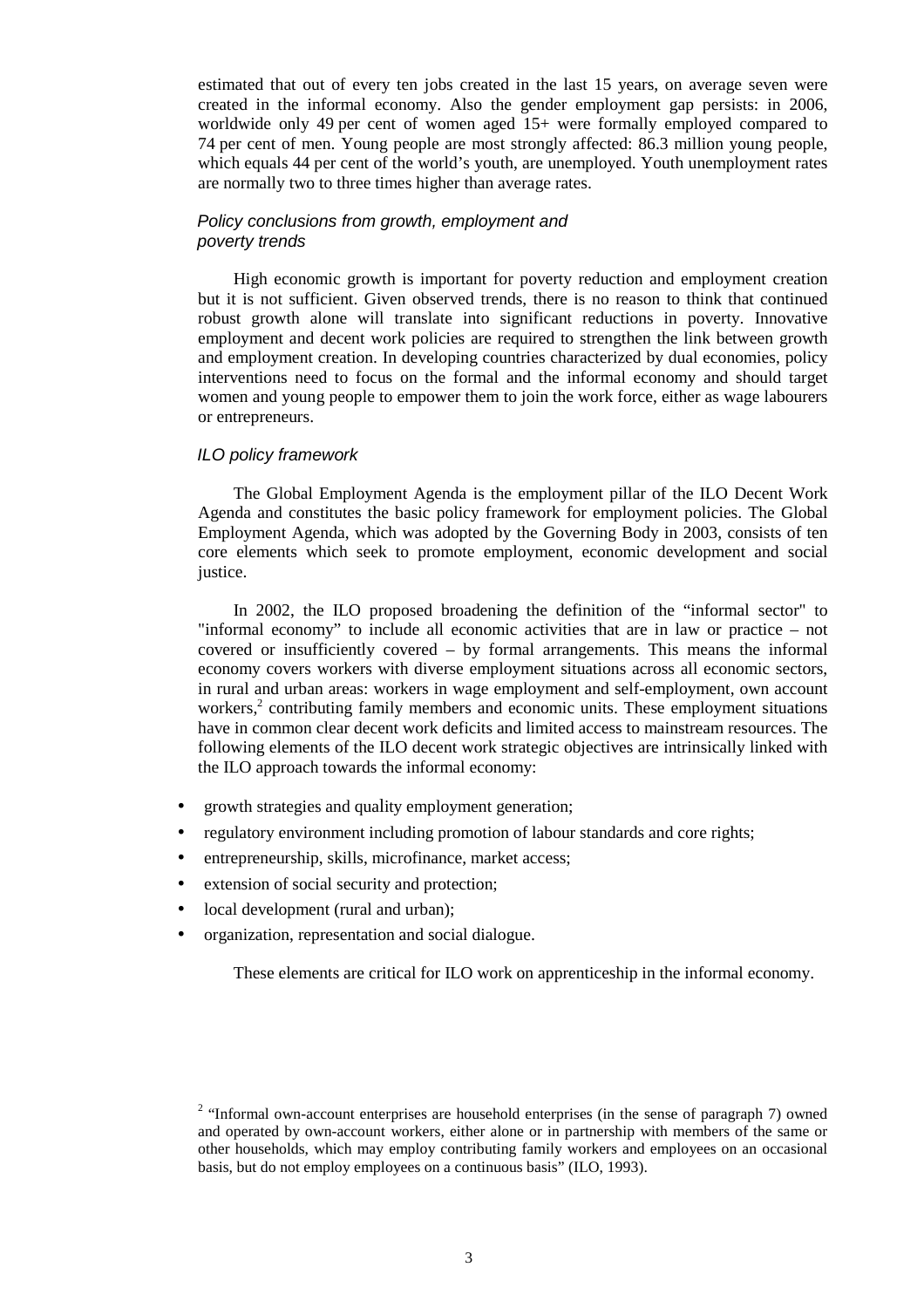estimated that out of every ten jobs created in the last 15 years, on average seven were created in the informal economy. Also the gender employment gap persists: in 2006, worldwide only 49 per cent of women aged 15+ were formally employed compared to 74 per cent of men. Young people are most strongly affected: 86.3 million young people, which equals 44 per cent of the world's youth, are unemployed. Youth unemployment rates are normally two to three times higher than average rates.

### Policy conclusions from growth, employment and poverty trends

High economic growth is important for poverty reduction and employment creation but it is not sufficient. Given observed trends, there is no reason to think that continued robust growth alone will translate into significant reductions in poverty. Innovative employment and decent work policies are required to strengthen the link between growth and employment creation. In developing countries characterized by dual economies, policy interventions need to focus on the formal and the informal economy and should target women and young people to empower them to join the work force, either as wage labourers or entrepreneurs.

#### ILO policy framework

The Global Employment Agenda is the employment pillar of the ILO Decent Work Agenda and constitutes the basic policy framework for employment policies. The Global Employment Agenda, which was adopted by the Governing Body in 2003, consists of ten core elements which seek to promote employment, economic development and social justice.

In 2002, the ILO proposed broadening the definition of the "informal sector" to "informal economy" to include all economic activities that are in law or practice – not covered or insufficiently covered – by formal arrangements. This means the informal economy covers workers with diverse employment situations across all economic sectors, in rural and urban areas: workers in wage employment and self-employment, own account workers,<sup>2</sup> contributing family members and economic units. These employment situations have in common clear decent work deficits and limited access to mainstream resources. The following elements of the ILO decent work strategic objectives are intrinsically linked with the ILO approach towards the informal economy:

- growth strategies and quality employment generation;
- regulatory environment including promotion of labour standards and core rights;
- entrepreneurship, skills, microfinance, market access;
- extension of social security and protection;
- local development (rural and urban);
- organization, representation and social dialogue.

These elements are critical for ILO work on apprenticeship in the informal economy.

 $2$  "Informal own-account enterprises are household enterprises (in the sense of paragraph 7) owned and operated by own-account workers, either alone or in partnership with members of the same or other households, which may employ contributing family workers and employees on an occasional basis, but do not employ employees on a continuous basis" (ILO, 1993).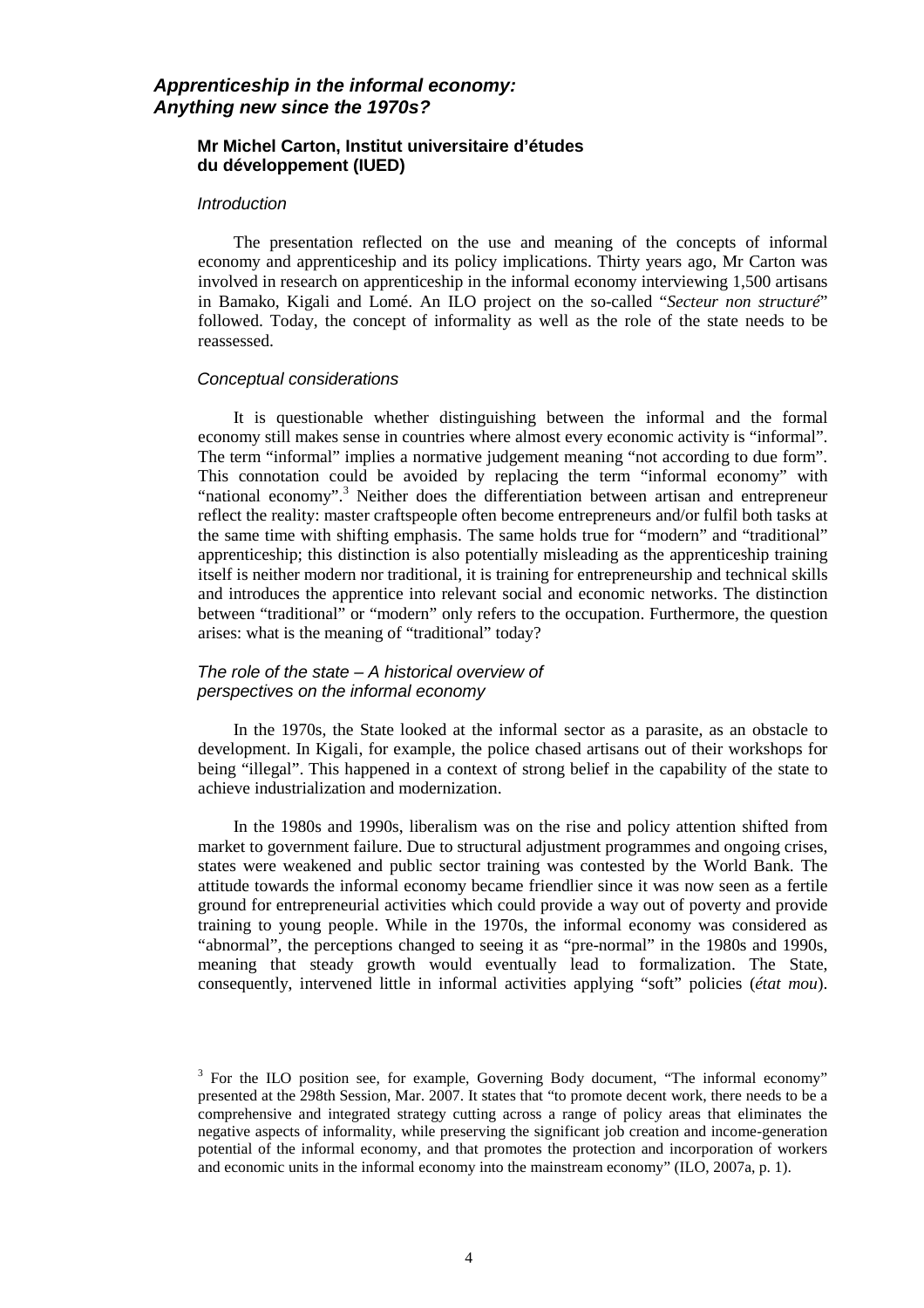### **Apprenticeship in the informal economy: Anything new since the 1970s?**

### **Mr Michel Carton, Institut universitaire d'études du développement (IUED)**

#### **Introduction**

The presentation reflected on the use and meaning of the concepts of informal economy and apprenticeship and its policy implications. Thirty years ago, Mr Carton was involved in research on apprenticeship in the informal economy interviewing 1,500 artisans in Bamako, Kigali and Lomé. An ILO project on the so-called "*Secteur non structuré*" followed. Today, the concept of informality as well as the role of the state needs to be reassessed.

#### Conceptual considerations

It is questionable whether distinguishing between the informal and the formal economy still makes sense in countries where almost every economic activity is "informal". The term "informal" implies a normative judgement meaning "not according to due form". This connotation could be avoided by replacing the term "informal economy" with "national economy".<sup>3</sup> Neither does the differentiation between artisan and entrepreneur reflect the reality: master craftspeople often become entrepreneurs and/or fulfil both tasks at the same time with shifting emphasis. The same holds true for "modern" and "traditional" apprenticeship; this distinction is also potentially misleading as the apprenticeship training itself is neither modern nor traditional, it is training for entrepreneurship and technical skills and introduces the apprentice into relevant social and economic networks. The distinction between "traditional" or "modern" only refers to the occupation. Furthermore, the question arises: what is the meaning of "traditional" today?

### The role of the state – A historical overview of perspectives on the informal economy

In the 1970s, the State looked at the informal sector as a parasite, as an obstacle to development. In Kigali, for example, the police chased artisans out of their workshops for being "illegal". This happened in a context of strong belief in the capability of the state to achieve industrialization and modernization.

In the 1980s and 1990s, liberalism was on the rise and policy attention shifted from market to government failure. Due to structural adjustment programmes and ongoing crises, states were weakened and public sector training was contested by the World Bank. The attitude towards the informal economy became friendlier since it was now seen as a fertile ground for entrepreneurial activities which could provide a way out of poverty and provide training to young people. While in the 1970s, the informal economy was considered as "abnormal", the perceptions changed to seeing it as "pre-normal" in the 1980s and 1990s, meaning that steady growth would eventually lead to formalization. The State, consequently, intervened little in informal activities applying "soft" policies (*état mou*).

<sup>&</sup>lt;sup>3</sup> For the ILO position see, for example, Governing Body document, "The informal economy" presented at the 298th Session, Mar. 2007. It states that "to promote decent work, there needs to be a comprehensive and integrated strategy cutting across a range of policy areas that eliminates the negative aspects of informality, while preserving the significant job creation and income-generation potential of the informal economy, and that promotes the protection and incorporation of workers and economic units in the informal economy into the mainstream economy" (ILO, 2007a, p. 1).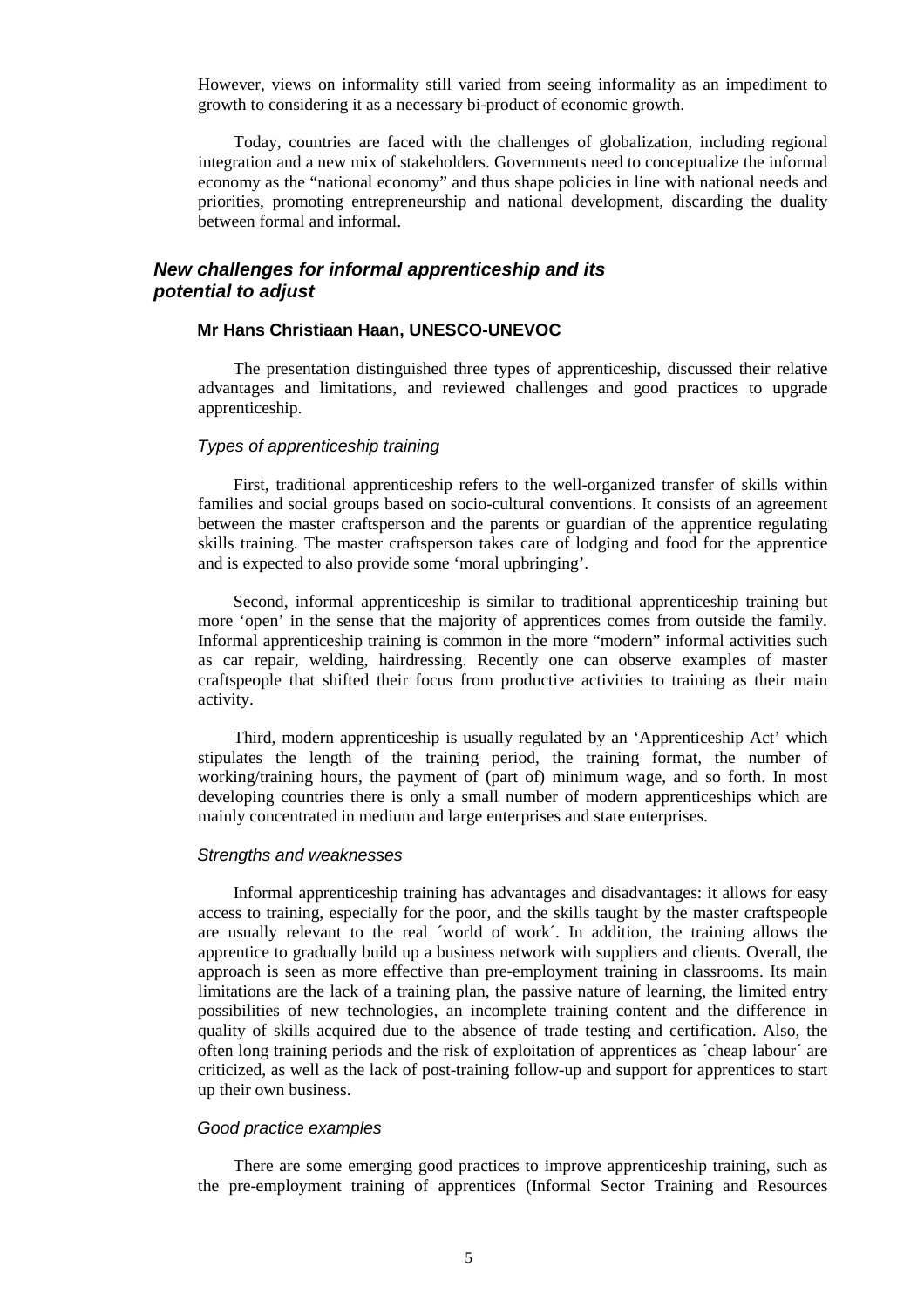However, views on informality still varied from seeing informality as an impediment to growth to considering it as a necessary bi-product of economic growth.

Today, countries are faced with the challenges of globalization, including regional integration and a new mix of stakeholders. Governments need to conceptualize the informal economy as the "national economy" and thus shape policies in line with national needs and priorities, promoting entrepreneurship and national development, discarding the duality between formal and informal.

### **New challenges for informal apprenticeship and its potential to adjust**

### **Mr Hans Christiaan Haan, UNESCO-UNEVOC**

The presentation distinguished three types of apprenticeship, discussed their relative advantages and limitations, and reviewed challenges and good practices to upgrade apprenticeship.

#### Types of apprenticeship training

First, traditional apprenticeship refers to the well-organized transfer of skills within families and social groups based on socio-cultural conventions. It consists of an agreement between the master craftsperson and the parents or guardian of the apprentice regulating skills training. The master craftsperson takes care of lodging and food for the apprentice and is expected to also provide some 'moral upbringing'.

Second, informal apprenticeship is similar to traditional apprenticeship training but more 'open' in the sense that the majority of apprentices comes from outside the family. Informal apprenticeship training is common in the more "modern" informal activities such as car repair, welding, hairdressing. Recently one can observe examples of master craftspeople that shifted their focus from productive activities to training as their main activity.

Third, modern apprenticeship is usually regulated by an 'Apprenticeship Act' which stipulates the length of the training period, the training format, the number of working/training hours, the payment of (part of) minimum wage, and so forth. In most developing countries there is only a small number of modern apprenticeships which are mainly concentrated in medium and large enterprises and state enterprises.

#### Strengths and weaknesses

Informal apprenticeship training has advantages and disadvantages: it allows for easy access to training, especially for the poor, and the skills taught by the master craftspeople are usually relevant to the real ´world of work´. In addition, the training allows the apprentice to gradually build up a business network with suppliers and clients. Overall, the approach is seen as more effective than pre-employment training in classrooms. Its main limitations are the lack of a training plan, the passive nature of learning, the limited entry possibilities of new technologies, an incomplete training content and the difference in quality of skills acquired due to the absence of trade testing and certification. Also, the often long training periods and the risk of exploitation of apprentices as ´cheap labour´ are criticized, as well as the lack of post-training follow-up and support for apprentices to start up their own business.

#### Good practice examples

There are some emerging good practices to improve apprenticeship training, such as the pre-employment training of apprentices (Informal Sector Training and Resources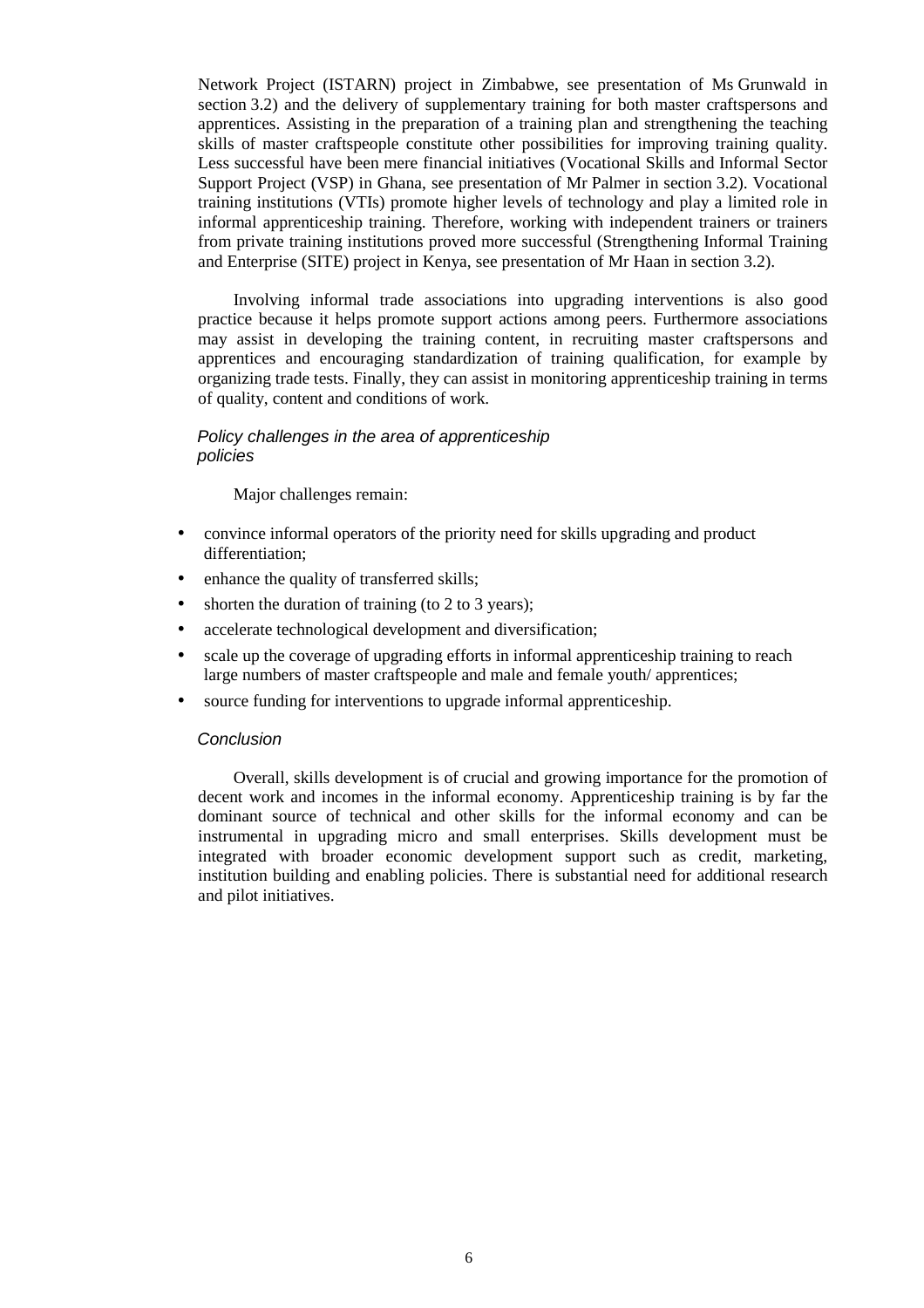Network Project (ISTARN) project in Zimbabwe, see presentation of Ms Grunwald in section 3.2) and the delivery of supplementary training for both master craftspersons and apprentices. Assisting in the preparation of a training plan and strengthening the teaching skills of master craftspeople constitute other possibilities for improving training quality. Less successful have been mere financial initiatives (Vocational Skills and Informal Sector Support Project (VSP) in Ghana, see presentation of Mr Palmer in section 3.2). Vocational training institutions (VTIs) promote higher levels of technology and play a limited role in informal apprenticeship training. Therefore, working with independent trainers or trainers from private training institutions proved more successful (Strengthening Informal Training and Enterprise (SITE) project in Kenya, see presentation of Mr Haan in section 3.2).

Involving informal trade associations into upgrading interventions is also good practice because it helps promote support actions among peers. Furthermore associations may assist in developing the training content, in recruiting master craftspersons and apprentices and encouraging standardization of training qualification, for example by organizing trade tests. Finally, they can assist in monitoring apprenticeship training in terms of quality, content and conditions of work.

### Policy challenges in the area of apprenticeship policies

Major challenges remain:

- convince informal operators of the priority need for skills upgrading and product differentiation;
- enhance the quality of transferred skills;
- shorten the duration of training (to 2 to 3 years);
- accelerate technological development and diversification;
- scale up the coverage of upgrading efforts in informal apprenticeship training to reach large numbers of master craftspeople and male and female youth/ apprentices;
- source funding for interventions to upgrade informal apprenticeship.

#### **Conclusion**

Overall, skills development is of crucial and growing importance for the promotion of decent work and incomes in the informal economy. Apprenticeship training is by far the dominant source of technical and other skills for the informal economy and can be instrumental in upgrading micro and small enterprises. Skills development must be integrated with broader economic development support such as credit, marketing, institution building and enabling policies. There is substantial need for additional research and pilot initiatives.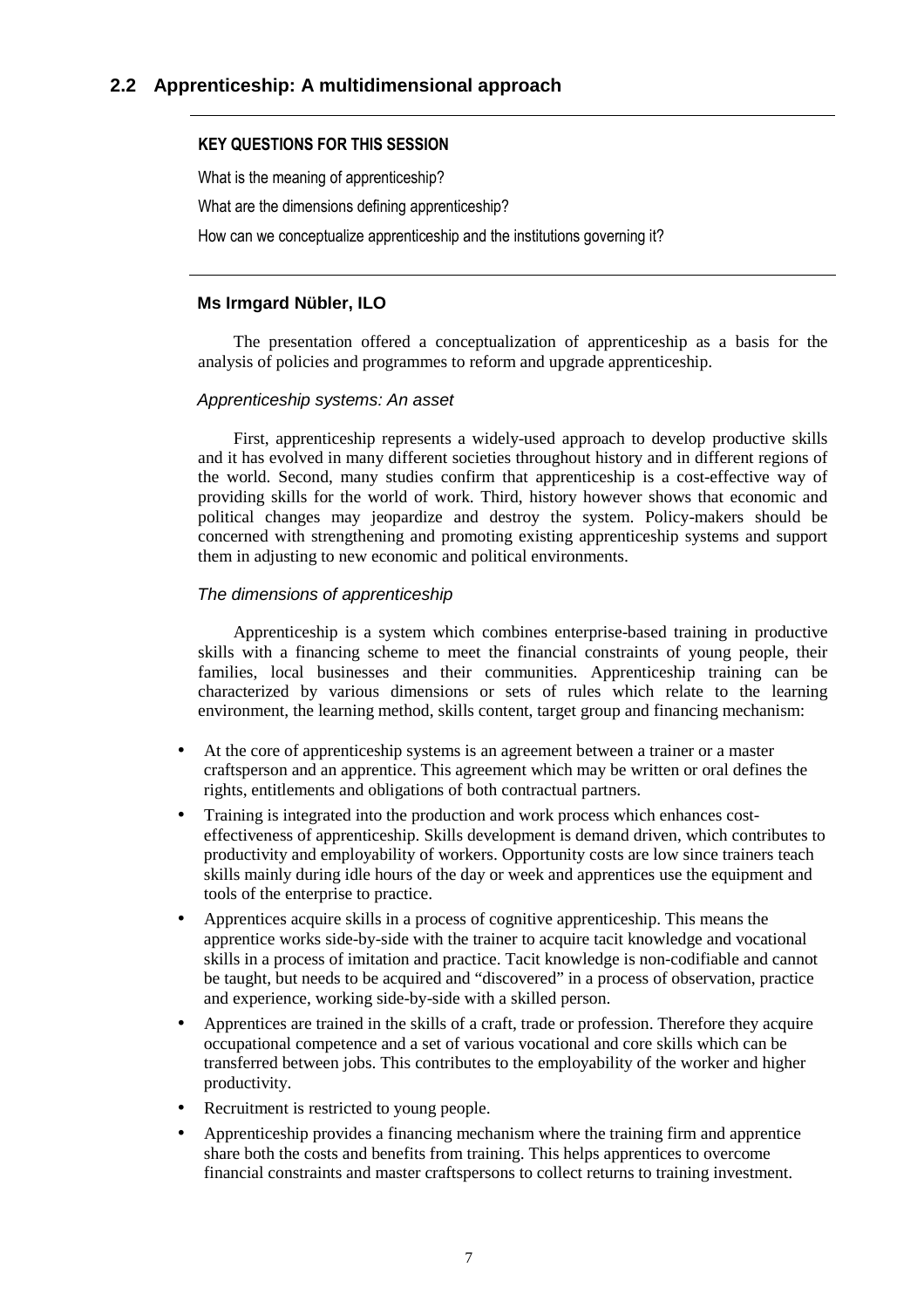### KEY QUESTIONS FOR THIS SESSION

What is the meaning of apprenticeship?

What are the dimensions defining apprenticeship?

How can we conceptualize apprenticeship and the institutions governing it?

### **Ms Irmgard Nübler, ILO**

The presentation offered a conceptualization of apprenticeship as a basis for the analysis of policies and programmes to reform and upgrade apprenticeship.

### Apprenticeship systems: An asset

First, apprenticeship represents a widely-used approach to develop productive skills and it has evolved in many different societies throughout history and in different regions of the world. Second, many studies confirm that apprenticeship is a cost-effective way of providing skills for the world of work. Third, history however shows that economic and political changes may jeopardize and destroy the system. Policy-makers should be concerned with strengthening and promoting existing apprenticeship systems and support them in adjusting to new economic and political environments.

### The dimensions of apprenticeship

Apprenticeship is a system which combines enterprise-based training in productive skills with a financing scheme to meet the financial constraints of young people, their families, local businesses and their communities. Apprenticeship training can be characterized by various dimensions or sets of rules which relate to the learning environment, the learning method, skills content, target group and financing mechanism:

- At the core of apprenticeship systems is an agreement between a trainer or a master craftsperson and an apprentice. This agreement which may be written or oral defines the rights, entitlements and obligations of both contractual partners.
- Training is integrated into the production and work process which enhances costeffectiveness of apprenticeship. Skills development is demand driven, which contributes to productivity and employability of workers. Opportunity costs are low since trainers teach skills mainly during idle hours of the day or week and apprentices use the equipment and tools of the enterprise to practice.
- Apprentices acquire skills in a process of cognitive apprenticeship. This means the apprentice works side-by-side with the trainer to acquire tacit knowledge and vocational skills in a process of imitation and practice. Tacit knowledge is non-codifiable and cannot be taught, but needs to be acquired and "discovered" in a process of observation, practice and experience, working side-by-side with a skilled person.
- Apprentices are trained in the skills of a craft, trade or profession. Therefore they acquire occupational competence and a set of various vocational and core skills which can be transferred between jobs. This contributes to the employability of the worker and higher productivity.
- Recruitment is restricted to young people.
- Apprenticeship provides a financing mechanism where the training firm and apprentice share both the costs and benefits from training. This helps apprentices to overcome financial constraints and master craftspersons to collect returns to training investment.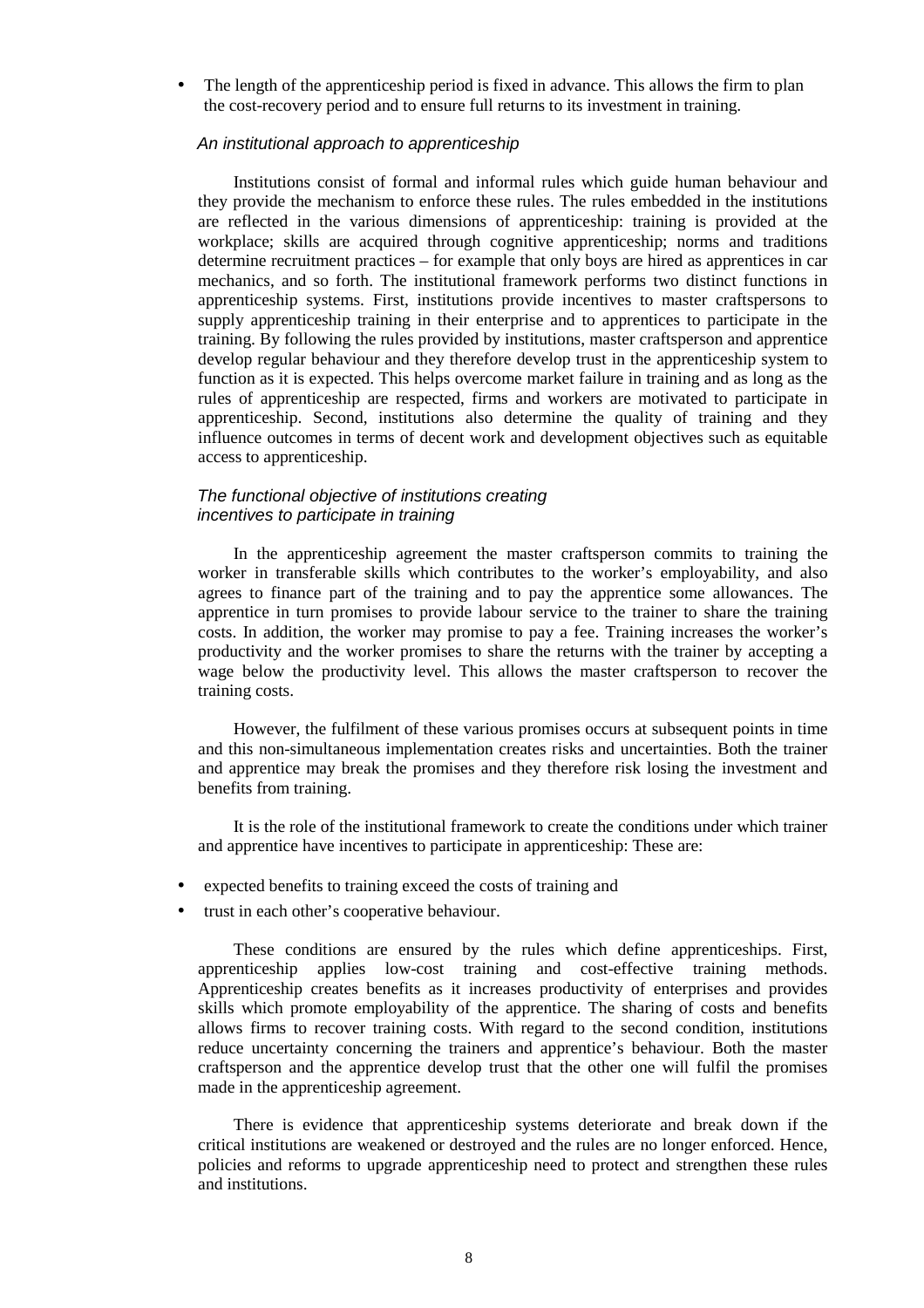• The length of the apprenticeship period is fixed in advance. This allows the firm to plan the cost-recovery period and to ensure full returns to its investment in training.

#### An institutional approach to apprenticeship

Institutions consist of formal and informal rules which guide human behaviour and they provide the mechanism to enforce these rules. The rules embedded in the institutions are reflected in the various dimensions of apprenticeship: training is provided at the workplace; skills are acquired through cognitive apprenticeship; norms and traditions determine recruitment practices – for example that only boys are hired as apprentices in car mechanics, and so forth. The institutional framework performs two distinct functions in apprenticeship systems. First, institutions provide incentives to master craftspersons to supply apprenticeship training in their enterprise and to apprentices to participate in the training. By following the rules provided by institutions, master craftsperson and apprentice develop regular behaviour and they therefore develop trust in the apprenticeship system to function as it is expected. This helps overcome market failure in training and as long as the rules of apprenticeship are respected, firms and workers are motivated to participate in apprenticeship. Second, institutions also determine the quality of training and they influence outcomes in terms of decent work and development objectives such as equitable access to apprenticeship.

#### The functional objective of institutions creating incentives to participate in training

In the apprenticeship agreement the master craftsperson commits to training the worker in transferable skills which contributes to the worker's employability, and also agrees to finance part of the training and to pay the apprentice some allowances. The apprentice in turn promises to provide labour service to the trainer to share the training costs. In addition, the worker may promise to pay a fee. Training increases the worker's productivity and the worker promises to share the returns with the trainer by accepting a wage below the productivity level. This allows the master craftsperson to recover the training costs.

However, the fulfilment of these various promises occurs at subsequent points in time and this non-simultaneous implementation creates risks and uncertainties. Both the trainer and apprentice may break the promises and they therefore risk losing the investment and benefits from training.

It is the role of the institutional framework to create the conditions under which trainer and apprentice have incentives to participate in apprenticeship: These are:

- expected benefits to training exceed the costs of training and
- trust in each other's cooperative behaviour.

These conditions are ensured by the rules which define apprenticeships. First, apprenticeship applies low-cost training and cost-effective training methods. Apprenticeship creates benefits as it increases productivity of enterprises and provides skills which promote employability of the apprentice. The sharing of costs and benefits allows firms to recover training costs. With regard to the second condition, institutions reduce uncertainty concerning the trainers and apprentice's behaviour. Both the master craftsperson and the apprentice develop trust that the other one will fulfil the promises made in the apprenticeship agreement.

There is evidence that apprenticeship systems deteriorate and break down if the critical institutions are weakened or destroyed and the rules are no longer enforced. Hence, policies and reforms to upgrade apprenticeship need to protect and strengthen these rules and institutions.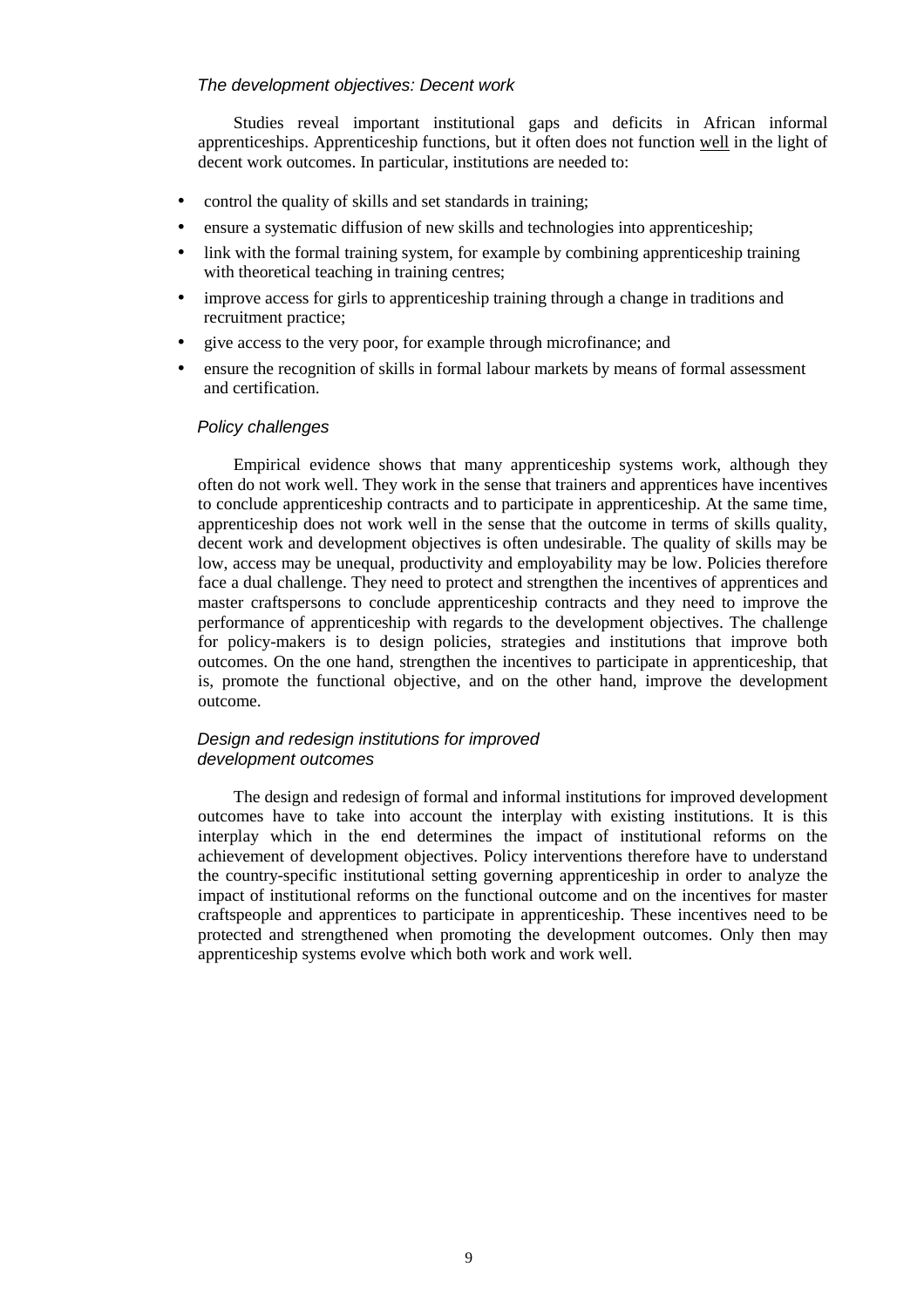### The development objectives: Decent work

Studies reveal important institutional gaps and deficits in African informal apprenticeships. Apprenticeship functions, but it often does not function well in the light of decent work outcomes. In particular, institutions are needed to:

- control the quality of skills and set standards in training;
- ensure a systematic diffusion of new skills and technologies into apprenticeship;
- link with the formal training system, for example by combining apprenticeship training with theoretical teaching in training centres;
- improve access for girls to apprenticeship training through a change in traditions and recruitment practice;
- give access to the very poor, for example through microfinance; and
- ensure the recognition of skills in formal labour markets by means of formal assessment and certification.

### Policy challenges

Empirical evidence shows that many apprenticeship systems work, although they often do not work well. They work in the sense that trainers and apprentices have incentives to conclude apprenticeship contracts and to participate in apprenticeship. At the same time, apprenticeship does not work well in the sense that the outcome in terms of skills quality, decent work and development objectives is often undesirable. The quality of skills may be low, access may be unequal, productivity and employability may be low. Policies therefore face a dual challenge. They need to protect and strengthen the incentives of apprentices and master craftspersons to conclude apprenticeship contracts and they need to improve the performance of apprenticeship with regards to the development objectives. The challenge for policy-makers is to design policies, strategies and institutions that improve both outcomes. On the one hand, strengthen the incentives to participate in apprenticeship, that is, promote the functional objective, and on the other hand, improve the development outcome.

### Design and redesign institutions for improved development outcomes

The design and redesign of formal and informal institutions for improved development outcomes have to take into account the interplay with existing institutions. It is this interplay which in the end determines the impact of institutional reforms on the achievement of development objectives. Policy interventions therefore have to understand the country-specific institutional setting governing apprenticeship in order to analyze the impact of institutional reforms on the functional outcome and on the incentives for master craftspeople and apprentices to participate in apprenticeship. These incentives need to be protected and strengthened when promoting the development outcomes. Only then may apprenticeship systems evolve which both work and work well.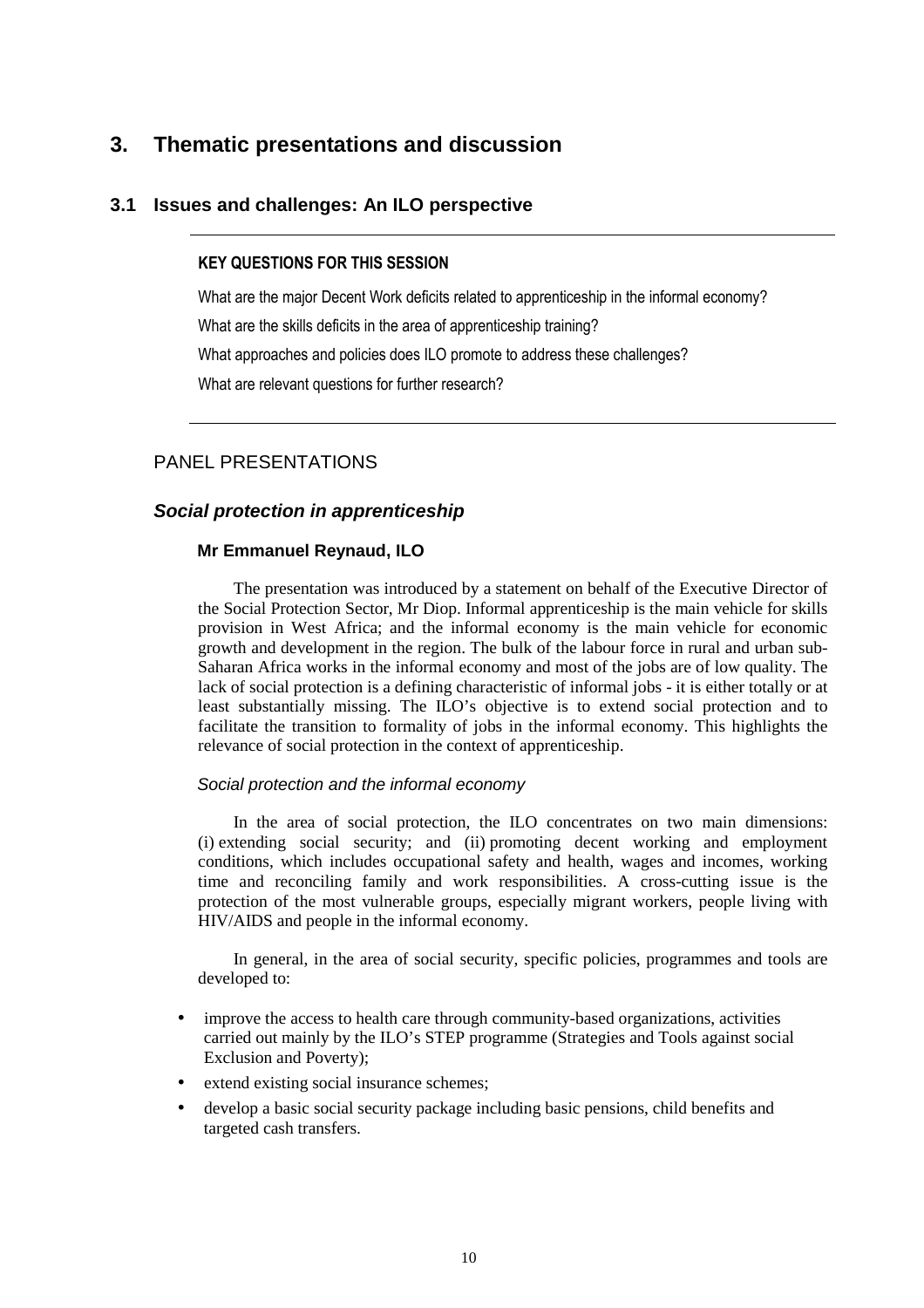# **3. Thematic presentations and discussion**

### **3.1 Issues and challenges: An ILO perspective**

### KEY QUESTIONS FOR THIS SESSION

What are the major Decent Work deficits related to apprenticeship in the informal economy? What are the skills deficits in the area of apprenticeship training? What approaches and policies does ILO promote to address these challenges? What are relevant questions for further research?

### PANEL PRESENTATIONS

### **Social protection in apprenticeship**

#### **Mr Emmanuel Reynaud, ILO**

The presentation was introduced by a statement on behalf of the Executive Director of the Social Protection Sector, Mr Diop. Informal apprenticeship is the main vehicle for skills provision in West Africa; and the informal economy is the main vehicle for economic growth and development in the region. The bulk of the labour force in rural and urban sub-Saharan Africa works in the informal economy and most of the jobs are of low quality. The lack of social protection is a defining characteristic of informal jobs - it is either totally or at least substantially missing. The ILO's objective is to extend social protection and to facilitate the transition to formality of jobs in the informal economy. This highlights the relevance of social protection in the context of apprenticeship.

#### Social protection and the informal economy

In the area of social protection, the ILO concentrates on two main dimensions: (i) extending social security; and (ii) promoting decent working and employment conditions, which includes occupational safety and health, wages and incomes, working time and reconciling family and work responsibilities. A cross-cutting issue is the protection of the most vulnerable groups, especially migrant workers, people living with HIV/AIDS and people in the informal economy.

In general, in the area of social security, specific policies, programmes and tools are developed to:

- improve the access to health care through community-based organizations, activities carried out mainly by the ILO's STEP programme (Strategies and Tools against social Exclusion and Poverty);
- extend existing social insurance schemes;
- develop a basic social security package including basic pensions, child benefits and targeted cash transfers.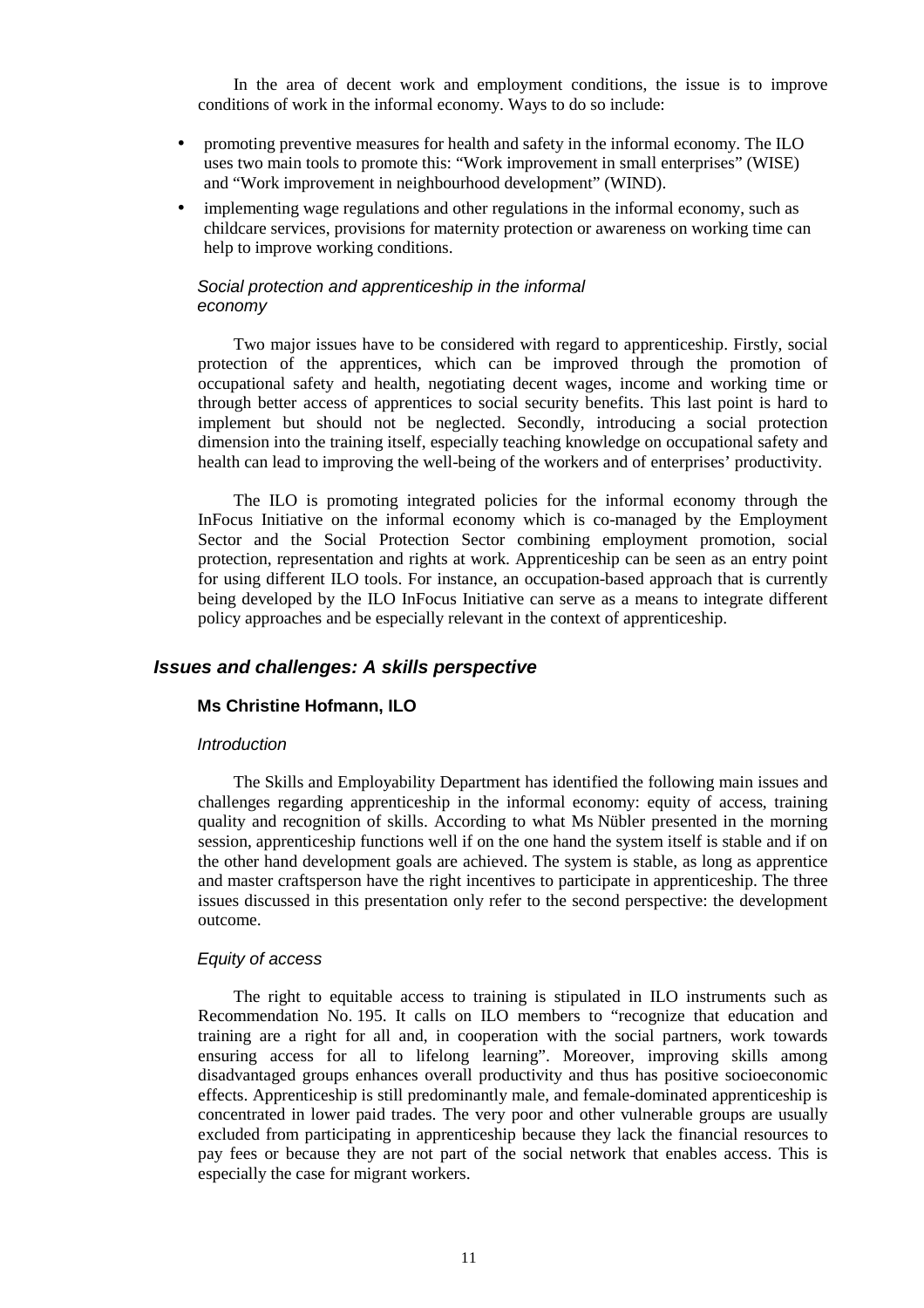In the area of decent work and employment conditions, the issue is to improve conditions of work in the informal economy. Ways to do so include:

- promoting preventive measures for health and safety in the informal economy. The ILO uses two main tools to promote this: "Work improvement in small enterprises" (WISE) and "Work improvement in neighbourhood development" (WIND).
- implementing wage regulations and other regulations in the informal economy, such as childcare services, provisions for maternity protection or awareness on working time can help to improve working conditions.

### Social protection and apprenticeship in the informal economy

Two major issues have to be considered with regard to apprenticeship. Firstly, social protection of the apprentices, which can be improved through the promotion of occupational safety and health, negotiating decent wages, income and working time or through better access of apprentices to social security benefits. This last point is hard to implement but should not be neglected. Secondly, introducing a social protection dimension into the training itself, especially teaching knowledge on occupational safety and health can lead to improving the well-being of the workers and of enterprises' productivity.

The ILO is promoting integrated policies for the informal economy through the InFocus Initiative on the informal economy which is co-managed by the Employment Sector and the Social Protection Sector combining employment promotion, social protection, representation and rights at work. Apprenticeship can be seen as an entry point for using different ILO tools. For instance, an occupation-based approach that is currently being developed by the ILO InFocus Initiative can serve as a means to integrate different policy approaches and be especially relevant in the context of apprenticeship.

### **Issues and challenges: A skills perspective**

#### **Ms Christine Hofmann, ILO**

#### **Introduction**

The Skills and Employability Department has identified the following main issues and challenges regarding apprenticeship in the informal economy: equity of access, training quality and recognition of skills. According to what Ms Nübler presented in the morning session, apprenticeship functions well if on the one hand the system itself is stable and if on the other hand development goals are achieved. The system is stable, as long as apprentice and master craftsperson have the right incentives to participate in apprenticeship. The three issues discussed in this presentation only refer to the second perspective: the development outcome.

### Equity of access

The right to equitable access to training is stipulated in ILO instruments such as Recommendation No. 195. It calls on ILO members to "recognize that education and training are a right for all and, in cooperation with the social partners, work towards ensuring access for all to lifelong learning". Moreover, improving skills among disadvantaged groups enhances overall productivity and thus has positive socioeconomic effects. Apprenticeship is still predominantly male, and female-dominated apprenticeship is concentrated in lower paid trades. The very poor and other vulnerable groups are usually excluded from participating in apprenticeship because they lack the financial resources to pay fees or because they are not part of the social network that enables access. This is especially the case for migrant workers.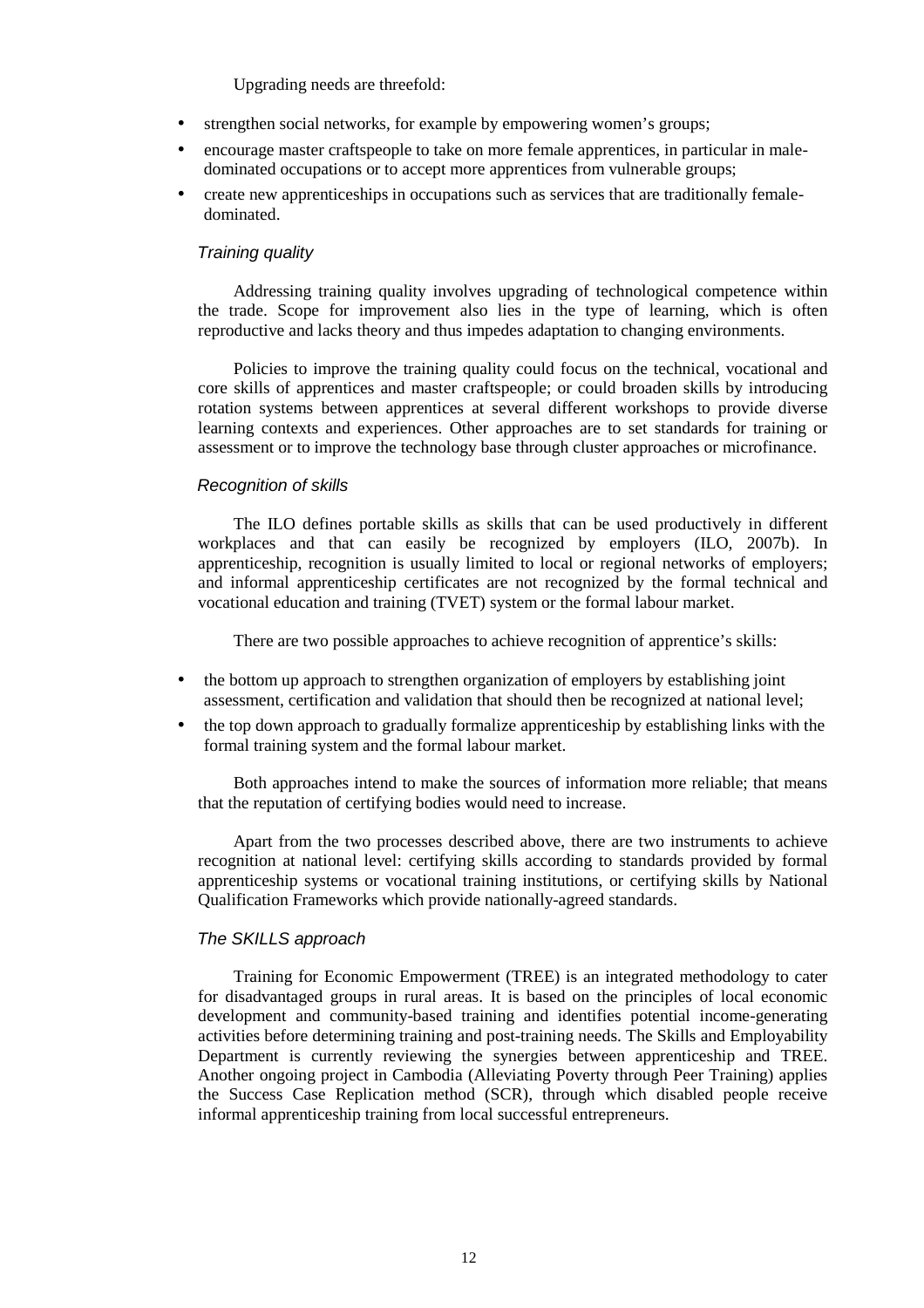Upgrading needs are threefold:

- strengthen social networks, for example by empowering women's groups;
- encourage master craftspeople to take on more female apprentices, in particular in maledominated occupations or to accept more apprentices from vulnerable groups;
- create new apprenticeships in occupations such as services that are traditionally femaledominated.

#### Training quality

Addressing training quality involves upgrading of technological competence within the trade. Scope for improvement also lies in the type of learning, which is often reproductive and lacks theory and thus impedes adaptation to changing environments.

Policies to improve the training quality could focus on the technical, vocational and core skills of apprentices and master craftspeople; or could broaden skills by introducing rotation systems between apprentices at several different workshops to provide diverse learning contexts and experiences. Other approaches are to set standards for training or assessment or to improve the technology base through cluster approaches or microfinance.

#### Recognition of skills

The ILO defines portable skills as skills that can be used productively in different workplaces and that can easily be recognized by employers (ILO, 2007b). In apprenticeship, recognition is usually limited to local or regional networks of employers; and informal apprenticeship certificates are not recognized by the formal technical and vocational education and training (TVET) system or the formal labour market.

There are two possible approaches to achieve recognition of apprentice's skills:

- the bottom up approach to strengthen organization of employers by establishing joint assessment, certification and validation that should then be recognized at national level;
- the top down approach to gradually formalize apprenticeship by establishing links with the formal training system and the formal labour market.

Both approaches intend to make the sources of information more reliable; that means that the reputation of certifying bodies would need to increase.

Apart from the two processes described above, there are two instruments to achieve recognition at national level: certifying skills according to standards provided by formal apprenticeship systems or vocational training institutions, or certifying skills by National Qualification Frameworks which provide nationally-agreed standards.

#### The SKILLS approach

Training for Economic Empowerment (TREE) is an integrated methodology to cater for disadvantaged groups in rural areas. It is based on the principles of local economic development and community-based training and identifies potential income-generating activities before determining training and post-training needs. The Skills and Employability Department is currently reviewing the synergies between apprenticeship and TREE. Another ongoing project in Cambodia (Alleviating Poverty through Peer Training) applies the Success Case Replication method (SCR), through which disabled people receive informal apprenticeship training from local successful entrepreneurs.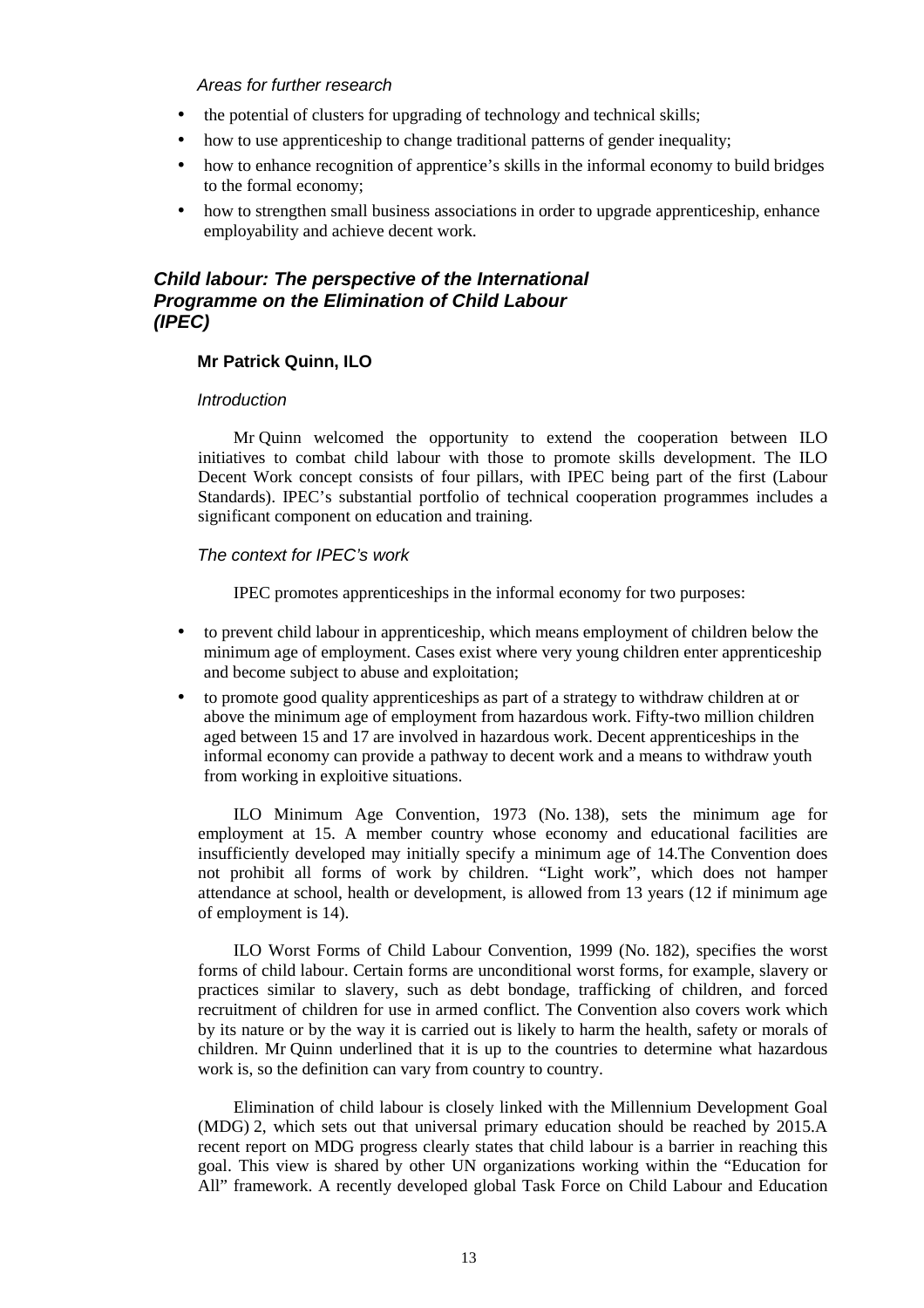### Areas for further research

- the potential of clusters for upgrading of technology and technical skills:
- how to use apprenticeship to change traditional patterns of gender inequality;
- how to enhance recognition of apprentice's skills in the informal economy to build bridges to the formal economy;
- how to strengthen small business associations in order to upgrade apprenticeship, enhance employability and achieve decent work.

### **Child labour: The perspective of the International Programme on the Elimination of Child Labour (IPEC)**

### **Mr Patrick Quinn, ILO**

### **Introduction**

Mr Quinn welcomed the opportunity to extend the cooperation between ILO initiatives to combat child labour with those to promote skills development. The ILO Decent Work concept consists of four pillars, with IPEC being part of the first (Labour Standards). IPEC's substantial portfolio of technical cooperation programmes includes a significant component on education and training.

### The context for IPEC's work

IPEC promotes apprenticeships in the informal economy for two purposes:

- to prevent child labour in apprenticeship, which means employment of children below the minimum age of employment. Cases exist where very young children enter apprenticeship and become subject to abuse and exploitation;
- to promote good quality apprenticeships as part of a strategy to withdraw children at or above the minimum age of employment from hazardous work. Fifty-two million children aged between 15 and 17 are involved in hazardous work. Decent apprenticeships in the informal economy can provide a pathway to decent work and a means to withdraw youth from working in exploitive situations.

ILO Minimum Age Convention, 1973 (No. 138), sets the minimum age for employment at 15. A member country whose economy and educational facilities are insufficiently developed may initially specify a minimum age of 14.The Convention does not prohibit all forms of work by children. "Light work", which does not hamper attendance at school, health or development, is allowed from 13 years (12 if minimum age of employment is 14).

ILO Worst Forms of Child Labour Convention, 1999 (No. 182), specifies the worst forms of child labour. Certain forms are unconditional worst forms, for example, slavery or practices similar to slavery, such as debt bondage, trafficking of children, and forced recruitment of children for use in armed conflict. The Convention also covers work which by its nature or by the way it is carried out is likely to harm the health, safety or morals of children. Mr Quinn underlined that it is up to the countries to determine what hazardous work is, so the definition can vary from country to country.

Elimination of child labour is closely linked with the Millennium Development Goal (MDG) 2, which sets out that universal primary education should be reached by 2015.A recent report on MDG progress clearly states that child labour is a barrier in reaching this goal. This view is shared by other UN organizations working within the "Education for All" framework. A recently developed global Task Force on Child Labour and Education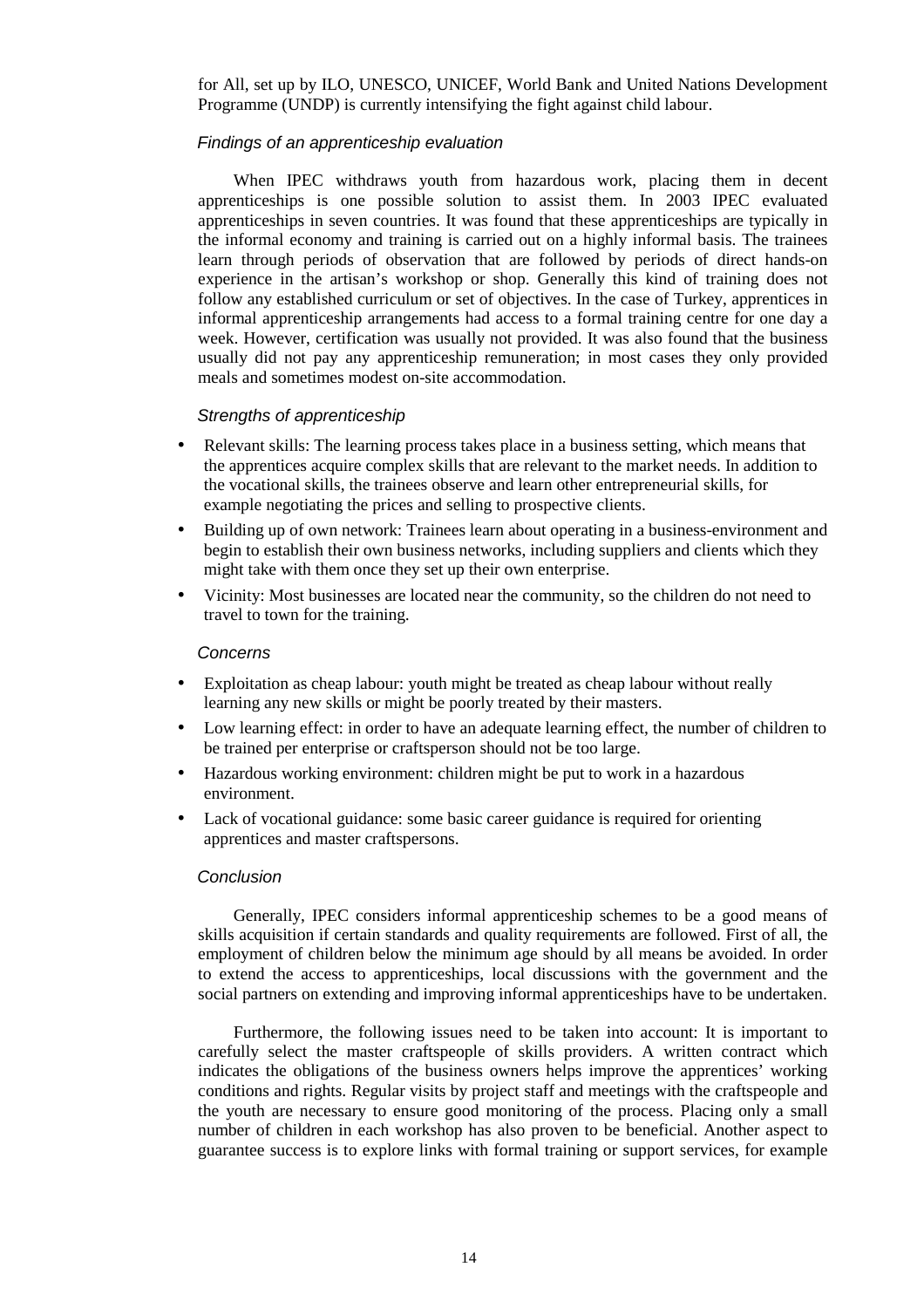for All, set up by ILO, UNESCO, UNICEF, World Bank and United Nations Development Programme (UNDP) is currently intensifying the fight against child labour.

#### Findings of an apprenticeship evaluation

When IPEC withdraws youth from hazardous work, placing them in decent apprenticeships is one possible solution to assist them. In 2003 IPEC evaluated apprenticeships in seven countries. It was found that these apprenticeships are typically in the informal economy and training is carried out on a highly informal basis. The trainees learn through periods of observation that are followed by periods of direct hands-on experience in the artisan's workshop or shop. Generally this kind of training does not follow any established curriculum or set of objectives. In the case of Turkey, apprentices in informal apprenticeship arrangements had access to a formal training centre for one day a week. However, certification was usually not provided. It was also found that the business usually did not pay any apprenticeship remuneration; in most cases they only provided meals and sometimes modest on-site accommodation.

#### Strengths of apprenticeship

- Relevant skills: The learning process takes place in a business setting, which means that the apprentices acquire complex skills that are relevant to the market needs. In addition to the vocational skills, the trainees observe and learn other entrepreneurial skills, for example negotiating the prices and selling to prospective clients.
- Building up of own network: Trainees learn about operating in a business-environment and begin to establish their own business networks, including suppliers and clients which they might take with them once they set up their own enterprise.
- Vicinity: Most businesses are located near the community, so the children do not need to travel to town for the training.

#### **Concerns**

- Exploitation as cheap labour: youth might be treated as cheap labour without really learning any new skills or might be poorly treated by their masters.
- Low learning effect: in order to have an adequate learning effect, the number of children to be trained per enterprise or craftsperson should not be too large.
- Hazardous working environment: children might be put to work in a hazardous environment.
- Lack of vocational guidance: some basic career guidance is required for orienting apprentices and master craftspersons.

#### Conclusion

Generally, IPEC considers informal apprenticeship schemes to be a good means of skills acquisition if certain standards and quality requirements are followed. First of all, the employment of children below the minimum age should by all means be avoided. In order to extend the access to apprenticeships, local discussions with the government and the social partners on extending and improving informal apprenticeships have to be undertaken.

Furthermore, the following issues need to be taken into account: It is important to carefully select the master craftspeople of skills providers. A written contract which indicates the obligations of the business owners helps improve the apprentices' working conditions and rights. Regular visits by project staff and meetings with the craftspeople and the youth are necessary to ensure good monitoring of the process. Placing only a small number of children in each workshop has also proven to be beneficial. Another aspect to guarantee success is to explore links with formal training or support services, for example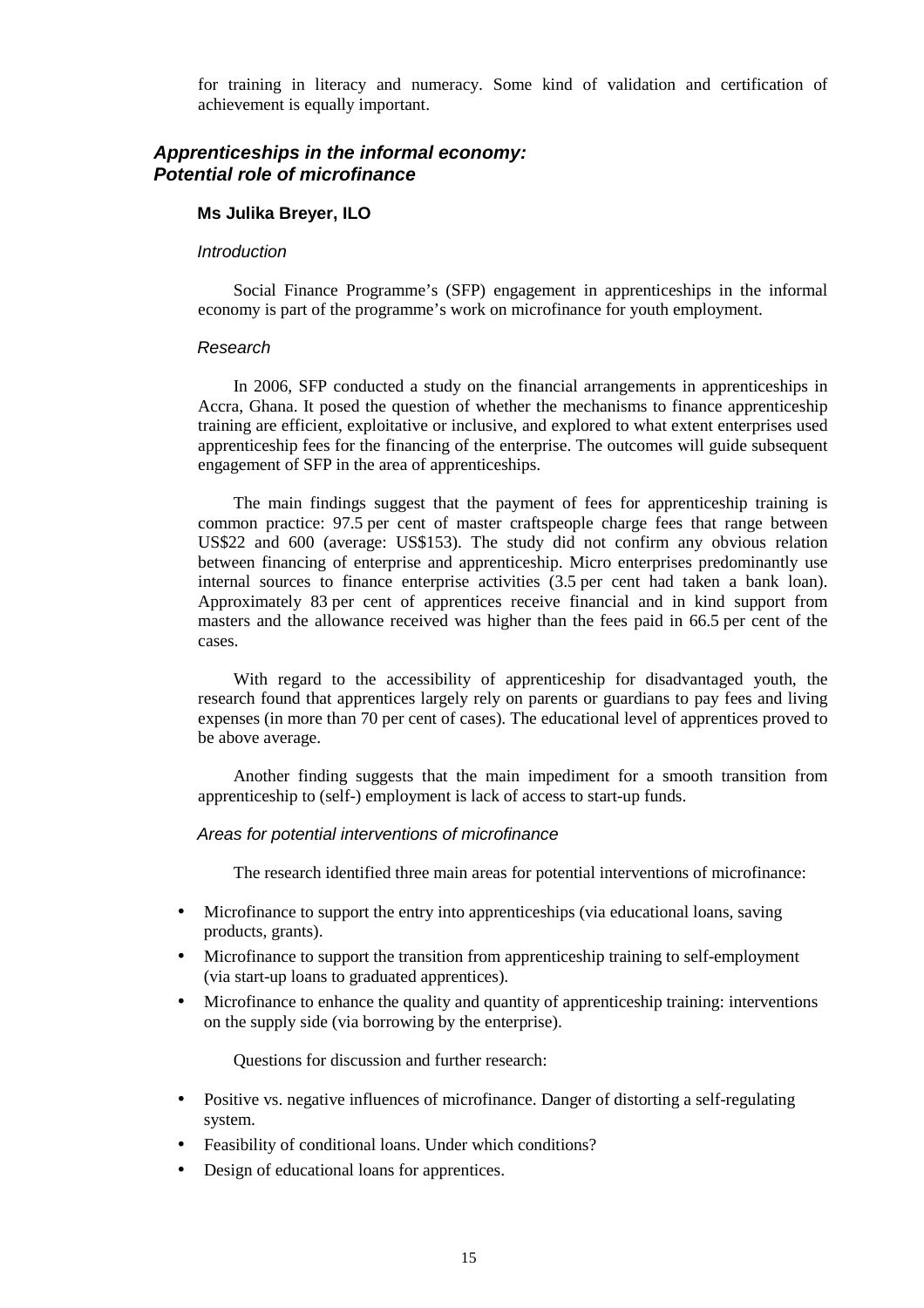for training in literacy and numeracy. Some kind of validation and certification of achievement is equally important.

### **Apprenticeships in the informal economy: Potential role of microfinance**

#### **Ms Julika Breyer, ILO**

#### **Introduction**

Social Finance Programme's (SFP) engagement in apprenticeships in the informal economy is part of the programme's work on microfinance for youth employment.

#### Research

In 2006, SFP conducted a study on the financial arrangements in apprenticeships in Accra, Ghana. It posed the question of whether the mechanisms to finance apprenticeship training are efficient, exploitative or inclusive, and explored to what extent enterprises used apprenticeship fees for the financing of the enterprise. The outcomes will guide subsequent engagement of SFP in the area of apprenticeships.

The main findings suggest that the payment of fees for apprenticeship training is common practice: 97.5 per cent of master craftspeople charge fees that range between US\$22 and 600 (average: US\$153). The study did not confirm any obvious relation between financing of enterprise and apprenticeship. Micro enterprises predominantly use internal sources to finance enterprise activities (3.5 per cent had taken a bank loan). Approximately 83 per cent of apprentices receive financial and in kind support from masters and the allowance received was higher than the fees paid in 66.5 per cent of the cases.

With regard to the accessibility of apprenticeship for disadvantaged youth, the research found that apprentices largely rely on parents or guardians to pay fees and living expenses (in more than 70 per cent of cases). The educational level of apprentices proved to be above average.

Another finding suggests that the main impediment for a smooth transition from apprenticeship to (self-) employment is lack of access to start-up funds.

### Areas for potential interventions of microfinance

The research identified three main areas for potential interventions of microfinance:

- Microfinance to support the entry into apprenticeships (via educational loans, saving products, grants).
- Microfinance to support the transition from apprenticeship training to self-employment (via start-up loans to graduated apprentices).
- Microfinance to enhance the quality and quantity of apprenticeship training: interventions on the supply side (via borrowing by the enterprise).

Questions for discussion and further research:

- Positive vs. negative influences of microfinance. Danger of distorting a self-regulating system.
- Feasibility of conditional loans. Under which conditions?
- Design of educational loans for apprentices.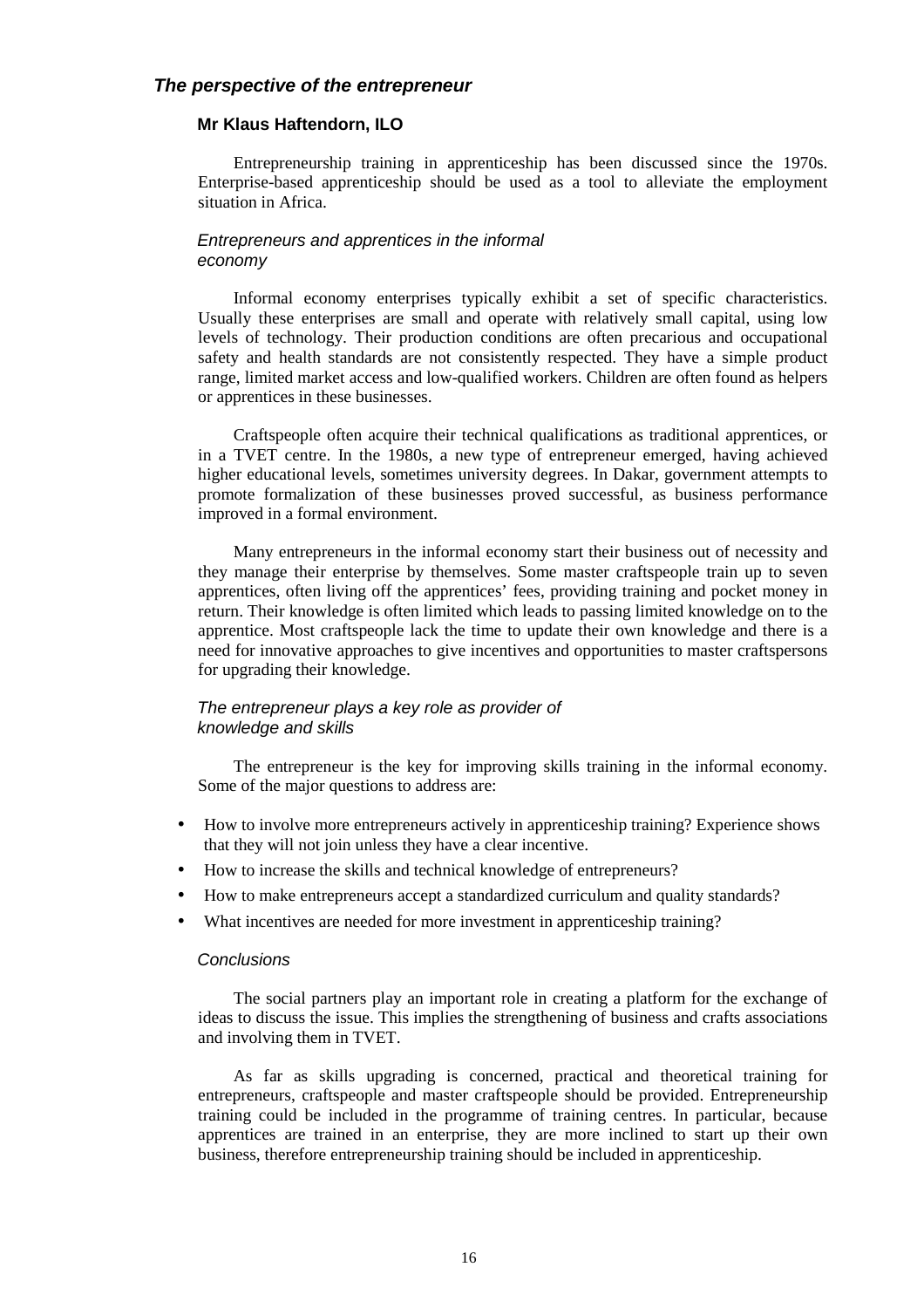### **The perspective of the entrepreneur**

#### **Mr Klaus Haftendorn, ILO**

Entrepreneurship training in apprenticeship has been discussed since the 1970s. Enterprise-based apprenticeship should be used as a tool to alleviate the employment situation in Africa.

#### Entrepreneurs and apprentices in the informal economy

Informal economy enterprises typically exhibit a set of specific characteristics. Usually these enterprises are small and operate with relatively small capital, using low levels of technology. Their production conditions are often precarious and occupational safety and health standards are not consistently respected. They have a simple product range, limited market access and low-qualified workers. Children are often found as helpers or apprentices in these businesses.

Craftspeople often acquire their technical qualifications as traditional apprentices, or in a TVET centre. In the 1980s, a new type of entrepreneur emerged, having achieved higher educational levels, sometimes university degrees. In Dakar, government attempts to promote formalization of these businesses proved successful, as business performance improved in a formal environment.

Many entrepreneurs in the informal economy start their business out of necessity and they manage their enterprise by themselves. Some master craftspeople train up to seven apprentices, often living off the apprentices' fees, providing training and pocket money in return. Their knowledge is often limited which leads to passing limited knowledge on to the apprentice. Most craftspeople lack the time to update their own knowledge and there is a need for innovative approaches to give incentives and opportunities to master craftspersons for upgrading their knowledge.

### The entrepreneur plays a key role as provider of knowledge and skills

The entrepreneur is the key for improving skills training in the informal economy. Some of the major questions to address are:

- How to involve more entrepreneurs actively in apprentices hip training? Experience shows that they will not join unless they have a clear incentive.
- How to increase the skills and technical knowledge of entrepreneurs?
- How to make entrepreneurs accept a standardized curriculum and quality standards?
- What incentives are needed for more investment in apprenticeship training?

#### **Conclusions**

The social partners play an important role in creating a platform for the exchange of ideas to discuss the issue. This implies the strengthening of business and crafts associations and involving them in TVET.

As far as skills upgrading is concerned, practical and theoretical training for entrepreneurs, craftspeople and master craftspeople should be provided. Entrepreneurship training could be included in the programme of training centres. In particular, because apprentices are trained in an enterprise, they are more inclined to start up their own business, therefore entrepreneurship training should be included in apprenticeship.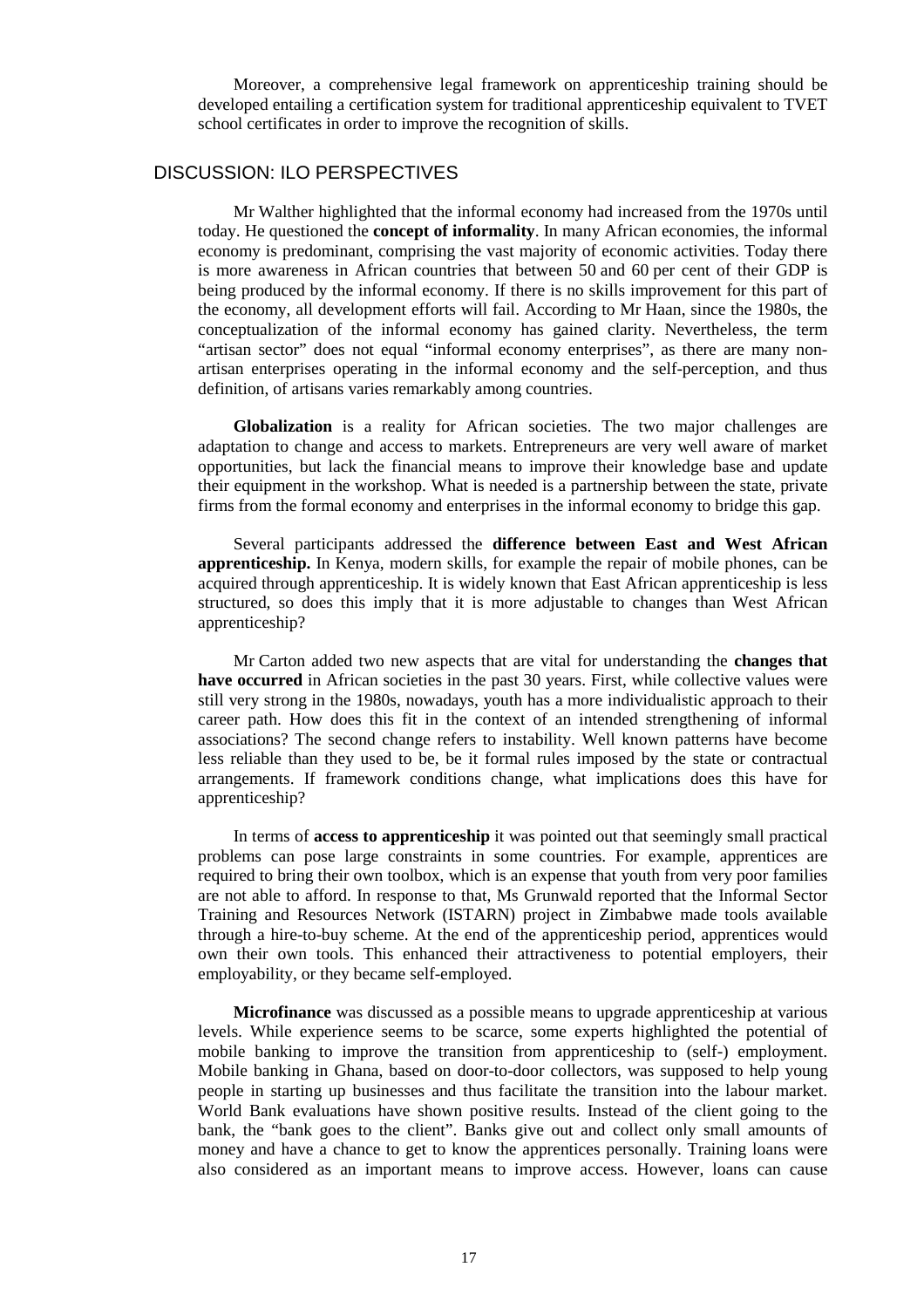Moreover, a comprehensive legal framework on apprenticeship training should be developed entailing a certification system for traditional apprenticeship equivalent to TVET school certificates in order to improve the recognition of skills.

#### DISCUSSION: ILO PERSPECTIVES

Mr Walther highlighted that the informal economy had increased from the 1970s until today. He questioned the **concept of informality**. In many African economies, the informal economy is predominant, comprising the vast majority of economic activities. Today there is more awareness in African countries that between 50 and 60 per cent of their GDP is being produced by the informal economy. If there is no skills improvement for this part of the economy, all development efforts will fail. According to Mr Haan, since the 1980s, the conceptualization of the informal economy has gained clarity. Nevertheless, the term "artisan sector" does not equal "informal economy enterprises", as there are many nonartisan enterprises operating in the informal economy and the self-perception, and thus definition, of artisans varies remarkably among countries.

**Globalization** is a reality for African societies. The two major challenges are adaptation to change and access to markets. Entrepreneurs are very well aware of market opportunities, but lack the financial means to improve their knowledge base and update their equipment in the workshop. What is needed is a partnership between the state, private firms from the formal economy and enterprises in the informal economy to bridge this gap.

Several participants addressed the **difference between East and West African apprenticeship.** In Kenya, modern skills, for example the repair of mobile phones, can be acquired through apprenticeship. It is widely known that East African apprenticeship is less structured, so does this imply that it is more adjustable to changes than West African apprenticeship?

Mr Carton added two new aspects that are vital for understanding the **changes that have occurred** in African societies in the past 30 years. First, while collective values were still very strong in the 1980s, nowadays, youth has a more individualistic approach to their career path. How does this fit in the context of an intended strengthening of informal associations? The second change refers to instability. Well known patterns have become less reliable than they used to be, be it formal rules imposed by the state or contractual arrangements. If framework conditions change, what implications does this have for apprenticeship?

In terms of **access to apprenticeship** it was pointed out that seemingly small practical problems can pose large constraints in some countries. For example, apprentices are required to bring their own toolbox, which is an expense that youth from very poor families are not able to afford. In response to that, Ms Grunwald reported that the Informal Sector Training and Resources Network (ISTARN) project in Zimbabwe made tools available through a hire-to-buy scheme. At the end of the apprenticeship period, apprentices would own their own tools. This enhanced their attractiveness to potential employers, their employability, or they became self-employed.

**Microfinance** was discussed as a possible means to upgrade apprenticeship at various levels. While experience seems to be scarce, some experts highlighted the potential of mobile banking to improve the transition from apprenticeship to (self-) employment. Mobile banking in Ghana, based on door-to-door collectors, was supposed to help young people in starting up businesses and thus facilitate the transition into the labour market. World Bank evaluations have shown positive results. Instead of the client going to the bank, the "bank goes to the client". Banks give out and collect only small amounts of money and have a chance to get to know the apprentices personally. Training loans were also considered as an important means to improve access. However, loans can cause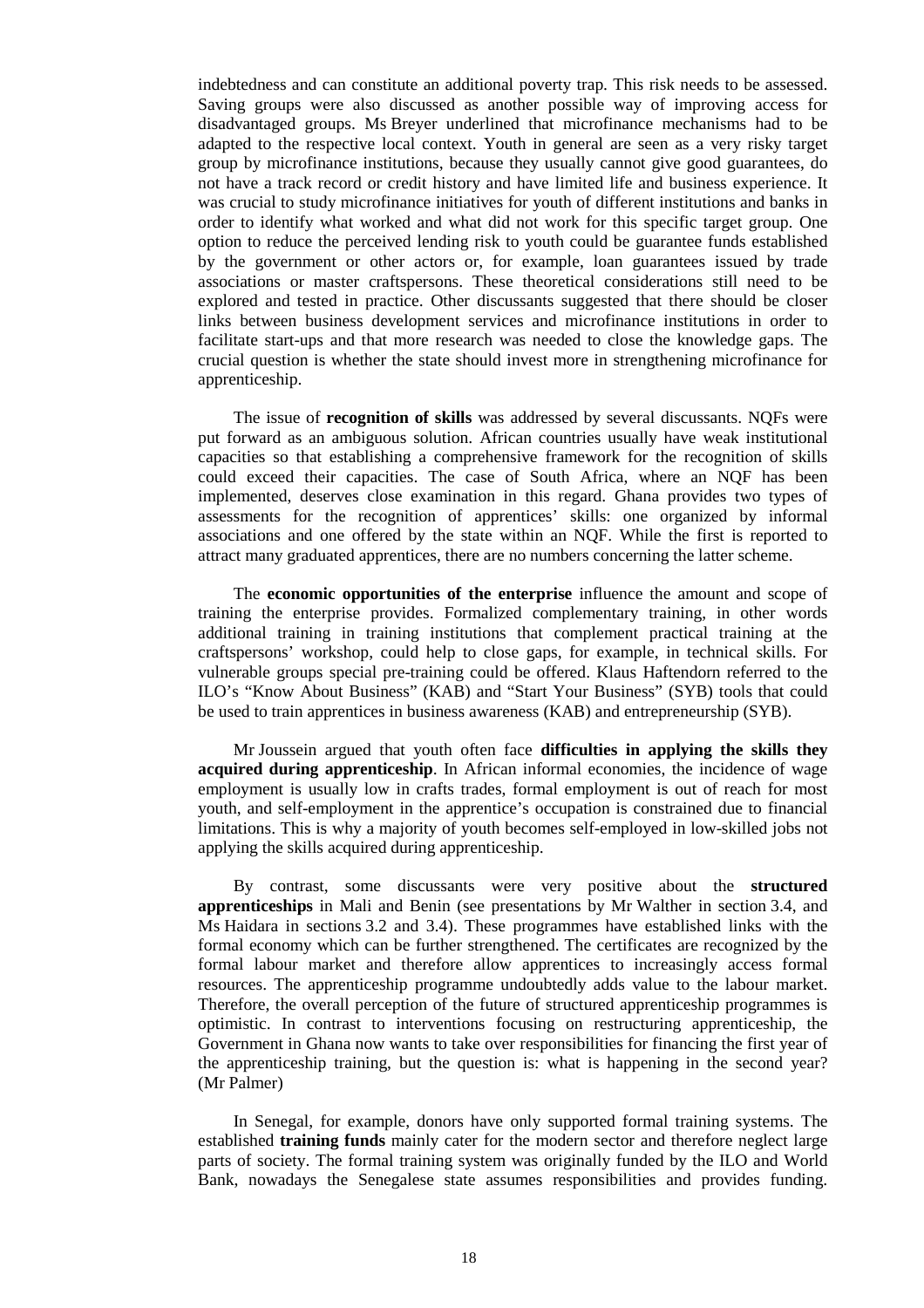indebtedness and can constitute an additional poverty trap. This risk needs to be assessed. Saving groups were also discussed as another possible way of improving access for disadvantaged groups. Ms Breyer underlined that microfinance mechanisms had to be adapted to the respective local context. Youth in general are seen as a very risky target group by microfinance institutions, because they usually cannot give good guarantees, do not have a track record or credit history and have limited life and business experience. It was crucial to study microfinance initiatives for youth of different institutions and banks in order to identify what worked and what did not work for this specific target group. One option to reduce the perceived lending risk to youth could be guarantee funds established by the government or other actors or, for example, loan guarantees issued by trade associations or master craftspersons. These theoretical considerations still need to be explored and tested in practice. Other discussants suggested that there should be closer links between business development services and microfinance institutions in order to facilitate start-ups and that more research was needed to close the knowledge gaps. The crucial question is whether the state should invest more in strengthening microfinance for apprenticeship.

The issue of **recognition of skills** was addressed by several discussants. NQFs were put forward as an ambiguous solution. African countries usually have weak institutional capacities so that establishing a comprehensive framework for the recognition of skills could exceed their capacities. The case of South Africa, where an NQF has been implemented, deserves close examination in this regard. Ghana provides two types of assessments for the recognition of apprentices' skills: one organized by informal associations and one offered by the state within an NQF. While the first is reported to attract many graduated apprentices, there are no numbers concerning the latter scheme.

The **economic opportunities of the enterprise** influence the amount and scope of training the enterprise provides. Formalized complementary training, in other words additional training in training institutions that complement practical training at the craftspersons' workshop, could help to close gaps, for example, in technical skills. For vulnerable groups special pre-training could be offered. Klaus Haftendorn referred to the ILO's "Know About Business" (KAB) and "Start Your Business" (SYB) tools that could be used to train apprentices in business awareness (KAB) and entrepreneurship (SYB).

Mr Joussein argued that youth often face **difficulties in applying the skills they acquired during apprenticeship**. In African informal economies, the incidence of wage employment is usually low in crafts trades, formal employment is out of reach for most youth, and self-employment in the apprentice's occupation is constrained due to financial limitations. This is why a majority of youth becomes self-employed in low-skilled jobs not applying the skills acquired during apprenticeship.

By contrast, some discussants were very positive about the **structured apprenticeships** in Mali and Benin (see presentations by Mr Walther in section 3.4, and Ms Haidara in sections 3.2 and 3.4). These programmes have established links with the formal economy which can be further strengthened. The certificates are recognized by the formal labour market and therefore allow apprentices to increasingly access formal resources. The apprenticeship programme undoubtedly adds value to the labour market. Therefore, the overall perception of the future of structured apprenticeship programmes is optimistic. In contrast to interventions focusing on restructuring apprenticeship, the Government in Ghana now wants to take over responsibilities for financing the first year of the apprenticeship training, but the question is: what is happening in the second year? (Mr Palmer)

In Senegal, for example, donors have only supported formal training systems. The established **training funds** mainly cater for the modern sector and therefore neglect large parts of society. The formal training system was originally funded by the ILO and World Bank, nowadays the Senegalese state assumes responsibilities and provides funding.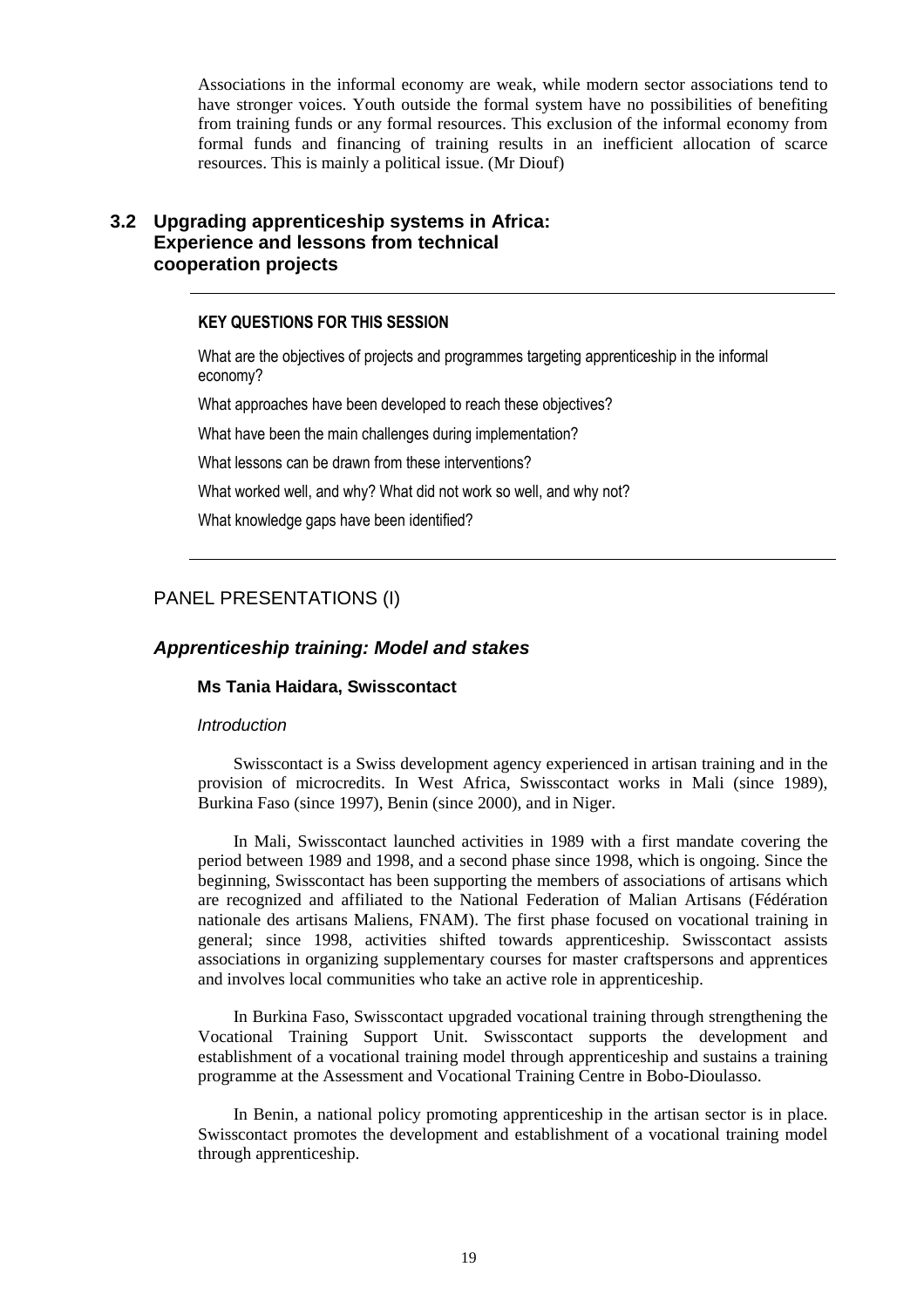Associations in the informal economy are weak, while modern sector associations tend to have stronger voices. Youth outside the formal system have no possibilities of benefiting from training funds or any formal resources. This exclusion of the informal economy from formal funds and financing of training results in an inefficient allocation of scarce resources. This is mainly a political issue. (Mr Diouf)

### **3.2 Upgrading apprenticeship systems in Africa: Experience and lessons from technical cooperation projects**

#### KEY QUESTIONS FOR THIS SESSION

What are the objectives of projects and programmes targeting apprenticeship in the informal economy?

What approaches have been developed to reach these objectives?

What have been the main challenges during implementation?

What lessons can be drawn from these interventions?

What worked well, and why? What did not work so well, and why not?

What knowledge gaps have been identified?

### PANEL PRESENTATIONS (I)

### **Apprenticeship training: Model and stakes**

#### **Ms Tania Haidara, Swisscontact**

#### **Introduction**

Swisscontact is a Swiss development agency experienced in artisan training and in the provision of microcredits. In West Africa, Swisscontact works in Mali (since 1989), Burkina Faso (since 1997), Benin (since 2000), and in Niger.

In Mali, Swisscontact launched activities in 1989 with a first mandate covering the period between 1989 and 1998, and a second phase since 1998, which is ongoing. Since the beginning, Swisscontact has been supporting the members of associations of artisans which are recognized and affiliated to the National Federation of Malian Artisans (Fédération nationale des artisans Maliens, FNAM). The first phase focused on vocational training in general; since 1998, activities shifted towards apprenticeship. Swisscontact assists associations in organizing supplementary courses for master craftspersons and apprentices and involves local communities who take an active role in apprenticeship.

In Burkina Faso, Swisscontact upgraded vocational training through strengthening the Vocational Training Support Unit. Swisscontact supports the development and establishment of a vocational training model through apprenticeship and sustains a training programme at the Assessment and Vocational Training Centre in Bobo-Dioulasso.

In Benin, a national policy promoting apprenticeship in the artisan sector is in place. Swisscontact promotes the development and establishment of a vocational training model through apprenticeship.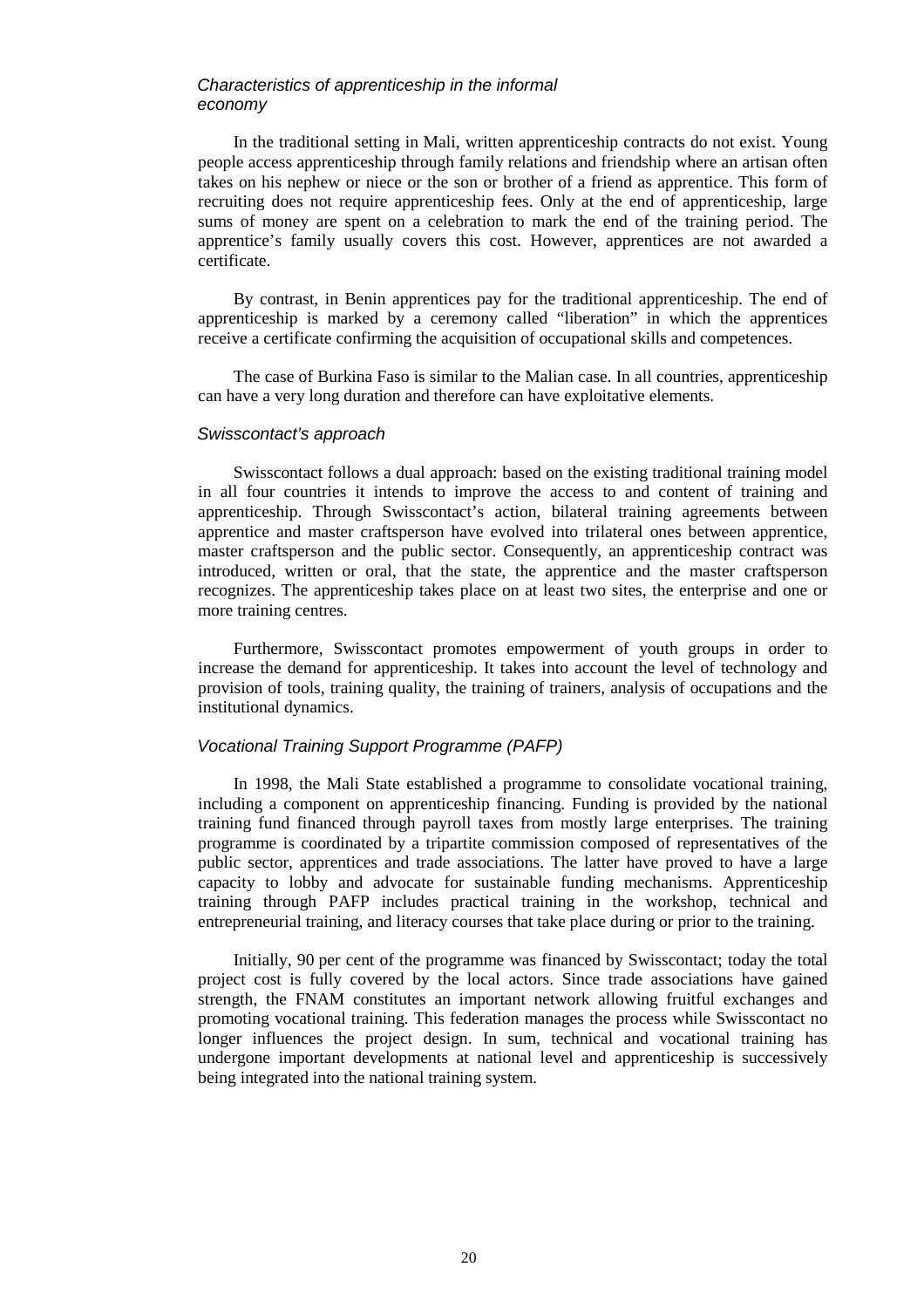#### Characteristics of apprenticeship in the informal economy

In the traditional setting in Mali, written apprenticeship contracts do not exist. Young people access apprenticeship through family relations and friendship where an artisan often takes on his nephew or niece or the son or brother of a friend as apprentice. This form of recruiting does not require apprenticeship fees. Only at the end of apprenticeship, large sums of money are spent on a celebration to mark the end of the training period. The apprentice's family usually covers this cost. However, apprentices are not awarded a certificate.

By contrast, in Benin apprentices pay for the traditional apprenticeship. The end of apprenticeship is marked by a ceremony called "liberation" in which the apprentices receive a certificate confirming the acquisition of occupational skills and competences.

The case of Burkina Faso is similar to the Malian case. In all countries, apprenticeship can have a very long duration and therefore can have exploitative elements.

### Swisscontact's approach

Swisscontact follows a dual approach: based on the existing traditional training model in all four countries it intends to improve the access to and content of training and apprenticeship. Through Swisscontact's action, bilateral training agreements between apprentice and master craftsperson have evolved into trilateral ones between apprentice, master craftsperson and the public sector. Consequently, an apprenticeship contract was introduced, written or oral, that the state, the apprentice and the master craftsperson recognizes. The apprenticeship takes place on at least two sites, the enterprise and one or more training centres.

Furthermore, Swisscontact promotes empowerment of youth groups in order to increase the demand for apprenticeship. It takes into account the level of technology and provision of tools, training quality, the training of trainers, analysis of occupations and the institutional dynamics.

#### Vocational Training Support Programme (PAFP)

In 1998, the Mali State established a programme to consolidate vocational training, including a component on apprenticeship financing. Funding is provided by the national training fund financed through payroll taxes from mostly large enterprises. The training programme is coordinated by a tripartite commission composed of representatives of the public sector, apprentices and trade associations. The latter have proved to have a large capacity to lobby and advocate for sustainable funding mechanisms. Apprenticeship training through PAFP includes practical training in the workshop, technical and entrepreneurial training, and literacy courses that take place during or prior to the training.

Initially, 90 per cent of the programme was financed by Swisscontact; today the total project cost is fully covered by the local actors. Since trade associations have gained strength, the FNAM constitutes an important network allowing fruitful exchanges and promoting vocational training. This federation manages the process while Swisscontact no longer influences the project design. In sum, technical and vocational training has undergone important developments at national level and apprenticeship is successively being integrated into the national training system.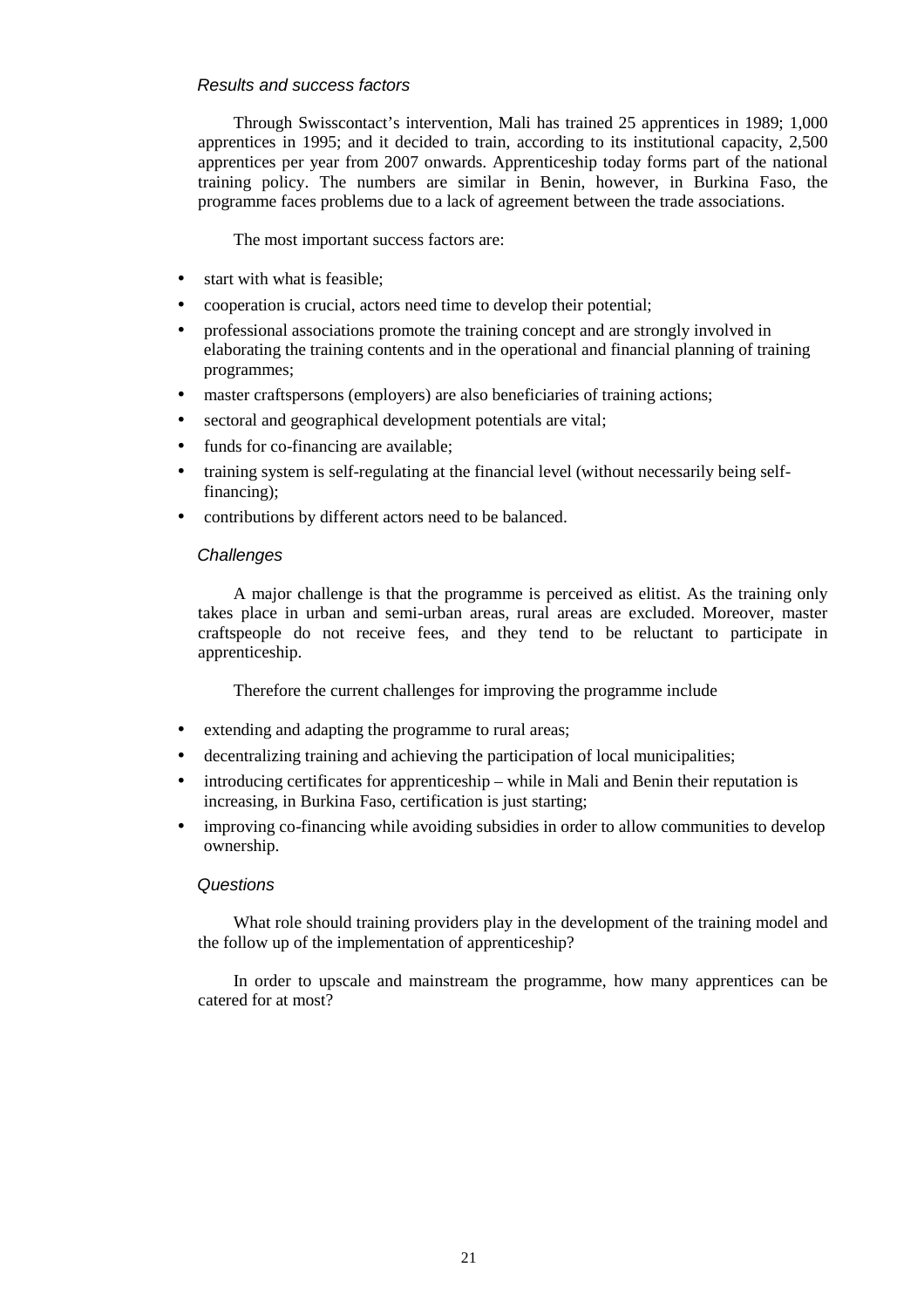### Results and success factors

Through Swisscontact's intervention, Mali has trained 25 apprentices in 1989; 1,000 apprentices in 1995; and it decided to train, according to its institutional capacity, 2,500 apprentices per year from 2007 onwards. Apprenticeship today forms part of the national training policy. The numbers are similar in Benin, however, in Burkina Faso, the programme faces problems due to a lack of agreement between the trade associations.

The most important success factors are:

- start with what is feasible;
- cooperation is crucial, actors need time to develop their potential;
- professional associations promote the training concept and are strongly involved in elaborating the training contents and in the operational and financial planning of training programmes;
- master craftspersons (employers) are also beneficiaries of training actions;
- sectoral and geographical development potentials are vital;
- funds for co-financing are available;
- training system is self-regulating at the financial level (without necessarily being selffinancing);
- contributions by different actors need to be balanced.

### **Challenges**

A major challenge is that the programme is perceived as elitist. As the training only takes place in urban and semi-urban areas, rural areas are excluded. Moreover, master craftspeople do not receive fees, and they tend to be reluctant to participate in apprenticeship.

Therefore the current challenges for improving the programme include

- extending and adapting the programme to rural areas;
- decentralizing training and achieving the participation of local municipalities;
- introducing certificates for apprenticeship while in Mali and Benin their reputation is increasing, in Burkina Faso, certification is just starting;
- improving co-financing while avoiding subsidies in order to allow communities to develop ownership.

### **Questions**

What role should training providers play in the development of the training model and the follow up of the implementation of apprenticeship?

In order to upscale and mainstream the programme, how many apprentices can be catered for at most?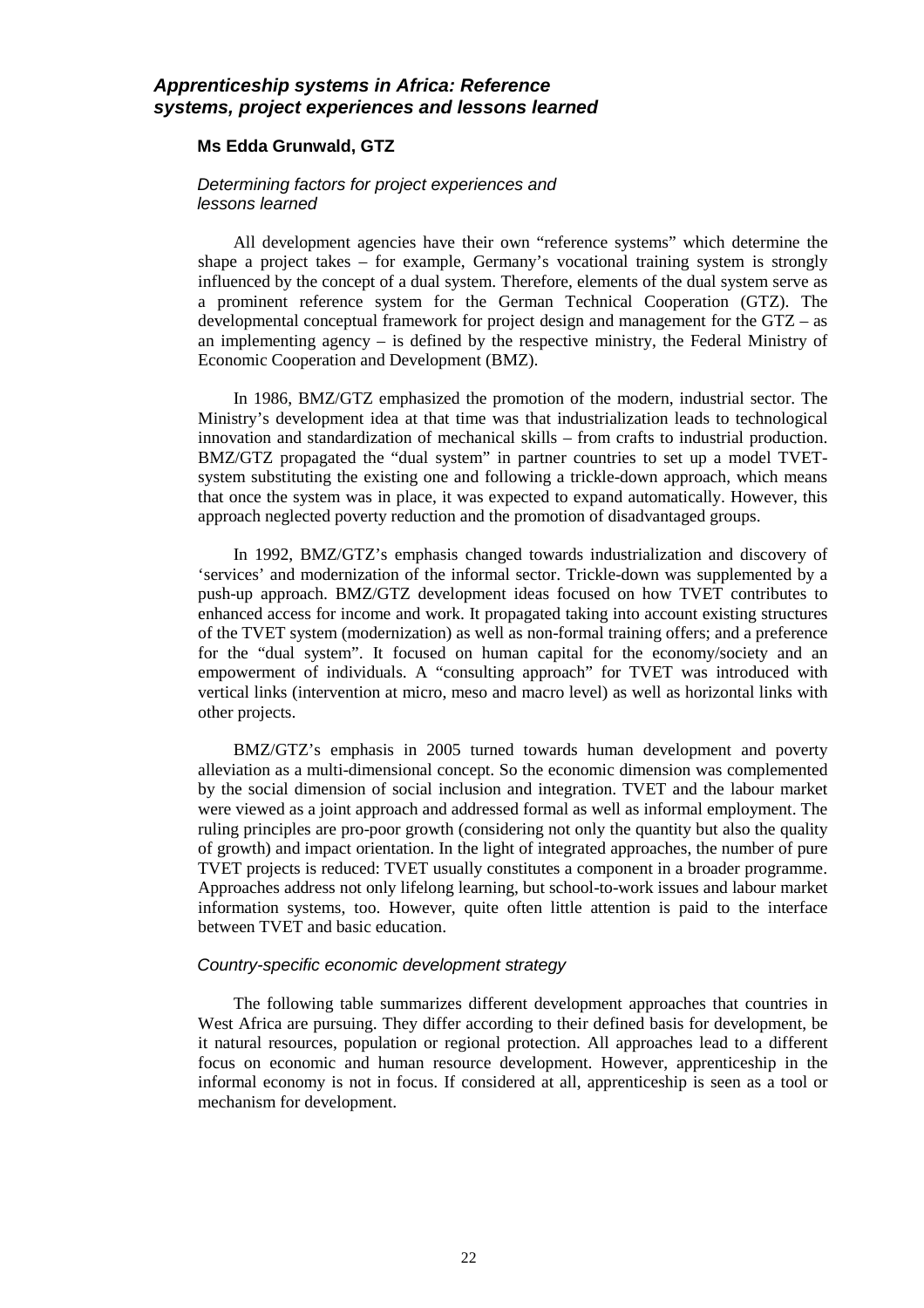### **Apprenticeship systems in Africa: Reference systems, project experiences and lessons learned**

### **Ms Edda Grunwald, GTZ**

#### Determining factors for project experiences and lessons learned

All development agencies have their own "reference systems" which determine the shape a project takes – for example, Germany's vocational training system is strongly influenced by the concept of a dual system. Therefore, elements of the dual system serve as a prominent reference system for the German Technical Cooperation (GTZ). The developmental conceptual framework for project design and management for the GTZ – as an implementing agency – is defined by the respective ministry, the Federal Ministry of Economic Cooperation and Development (BMZ).

In 1986, BMZ/GTZ emphasized the promotion of the modern, industrial sector. The Ministry's development idea at that time was that industrialization leads to technological innovation and standardization of mechanical skills – from crafts to industrial production. BMZ/GTZ propagated the "dual system" in partner countries to set up a model TVETsystem substituting the existing one and following a trickle-down approach, which means that once the system was in place, it was expected to expand automatically. However, this approach neglected poverty reduction and the promotion of disadvantaged groups.

In 1992, BMZ/GTZ's emphasis changed towards industrialization and discovery of 'services' and modernization of the informal sector. Trickle-down was supplemented by a push-up approach. BMZ/GTZ development ideas focused on how TVET contributes to enhanced access for income and work. It propagated taking into account existing structures of the TVET system (modernization) as well as non-formal training offers; and a preference for the "dual system". It focused on human capital for the economy/society and an empowerment of individuals. A "consulting approach" for TVET was introduced with vertical links (intervention at micro, meso and macro level) as well as horizontal links with other projects.

BMZ/GTZ's emphasis in 2005 turned towards human development and poverty alleviation as a multi-dimensional concept. So the economic dimension was complemented by the social dimension of social inclusion and integration. TVET and the labour market were viewed as a joint approach and addressed formal as well as informal employment. The ruling principles are pro-poor growth (considering not only the quantity but also the quality of growth) and impact orientation. In the light of integrated approaches, the number of pure TVET projects is reduced: TVET usually constitutes a component in a broader programme. Approaches address not only lifelong learning, but school-to-work issues and labour market information systems, too. However, quite often little attention is paid to the interface between TVET and basic education.

#### Country-specific economic development strategy

The following table summarizes different development approaches that countries in West Africa are pursuing. They differ according to their defined basis for development, be it natural resources, population or regional protection. All approaches lead to a different focus on economic and human resource development. However, apprenticeship in the informal economy is not in focus. If considered at all, apprenticeship is seen as a tool or mechanism for development.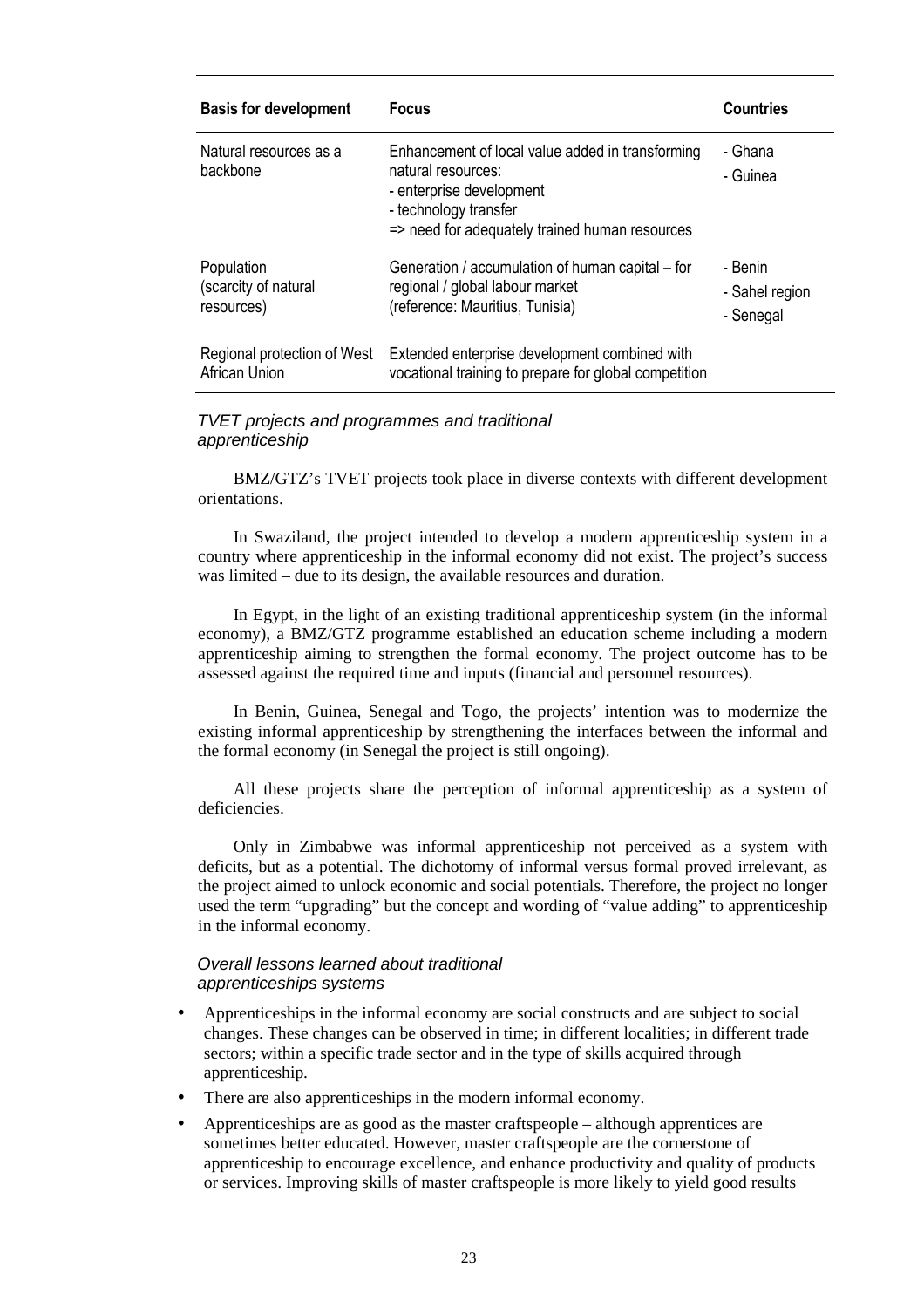| <b>Basis for development</b>                     | <b>Focus</b>                                                                                                                                                                  | <b>Countries</b>                       |
|--------------------------------------------------|-------------------------------------------------------------------------------------------------------------------------------------------------------------------------------|----------------------------------------|
| Natural resources as a<br>backbone               | Enhancement of local value added in transforming<br>natural resources:<br>- enterprise development<br>- technology transfer<br>=> need for adequately trained human resources | - Ghana<br>- Guinea                    |
| Population<br>(scarcity of natural<br>resources) | Generation / accumulation of human capital – for<br>regional / global labour market<br>(reference: Mauritius, Tunisia)                                                        | - Benin<br>- Sahel region<br>- Senegal |
| Regional protection of West<br>African Union     | Extended enterprise development combined with<br>vocational training to prepare for global competition                                                                        |                                        |

### TVET projects and programmes and traditional apprenticeship

BMZ/GTZ's TVET projects took place in diverse contexts with different development orientations.

In Swaziland, the project intended to develop a modern apprenticeship system in a country where apprenticeship in the informal economy did not exist. The project's success was limited – due to its design, the available resources and duration.

In Egypt, in the light of an existing traditional apprenticeship system (in the informal economy), a BMZ/GTZ programme established an education scheme including a modern apprenticeship aiming to strengthen the formal economy. The project outcome has to be assessed against the required time and inputs (financial and personnel resources).

In Benin, Guinea, Senegal and Togo, the projects' intention was to modernize the existing informal apprenticeship by strengthening the interfaces between the informal and the formal economy (in Senegal the project is still ongoing).

All these projects share the perception of informal apprenticeship as a system of deficiencies.

Only in Zimbabwe was informal apprenticeship not perceived as a system with deficits, but as a potential. The dichotomy of informal versus formal proved irrelevant, as the project aimed to unlock economic and social potentials. Therefore, the project no longer used the term "upgrading" but the concept and wording of "value adding" to apprenticeship in the informal economy.

### Overall lessons learned about traditional apprenticeships systems

- Apprenticeships in the informal economy are social constructs and are subject to social changes. These changes can be observed in time; in different localities; in different trade sectors; within a specific trade sector and in the type of skills acquired through apprenticeship.
- There are also apprenticeships in the modern informal economy.
- Apprenticeships are as good as the master craftspeople although apprentices are sometimes better educated. However, master craftspeople are the cornerstone of apprenticeship to encourage excellence, and enhance productivity and quality of products or services. Improving skills of master craftspeople is more likely to yield good results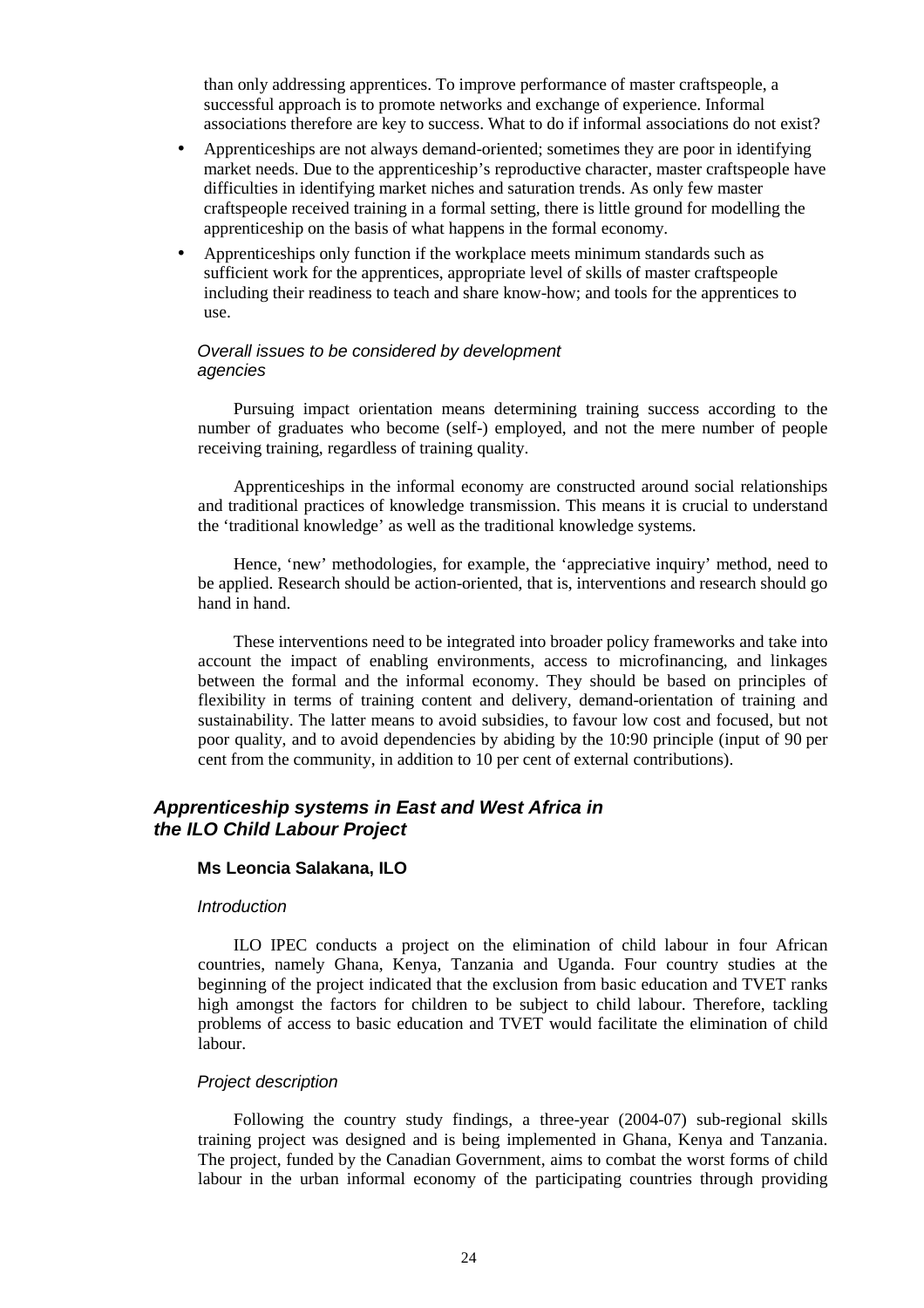than only addressing apprentices. To improve performance of master craftspeople, a successful approach is to promote networks and exchange of experience. Informal associations therefore are key to success. What to do if informal associations do not exist?

- Apprenticeships are not always demand-oriented; sometimes they are poor in identifying market needs. Due to the apprenticeship's reproductive character, master craftspeople have difficulties in identifying market niches and saturation trends. As only few master craftspeople received training in a formal setting, there is little ground for modelling the apprenticeship on the basis of what happens in the formal economy.
- Apprenticeships only function if the workplace meets minimum standards such as sufficient work for the apprentices, appropriate level of skills of master craftspeople including their readiness to teach and share know-how; and tools for the apprentices to use.

### Overall issues to be considered by development agencies

Pursuing impact orientation means determining training success according to the number of graduates who become (self-) employed, and not the mere number of people receiving training, regardless of training quality.

Apprenticeships in the informal economy are constructed around social relationships and traditional practices of knowledge transmission. This means it is crucial to understand the 'traditional knowledge' as well as the traditional knowledge systems.

Hence, 'new' methodologies, for example, the 'appreciative inquiry' method, need to be applied. Research should be action-oriented, that is, interventions and research should go hand in hand.

These interventions need to be integrated into broader policy frameworks and take into account the impact of enabling environments, access to microfinancing, and linkages between the formal and the informal economy. They should be based on principles of flexibility in terms of training content and delivery, demand-orientation of training and sustainability. The latter means to avoid subsidies, to favour low cost and focused, but not poor quality, and to avoid dependencies by abiding by the 10:90 principle (input of 90 per cent from the community, in addition to 10 per cent of external contributions).

### **Apprenticeship systems in East and West Africa in the ILO Child Labour Project**

### **Ms Leoncia Salakana, ILO**

### **Introduction**

ILO IPEC conducts a project on the elimination of child labour in four African countries, namely Ghana, Kenya, Tanzania and Uganda. Four country studies at the beginning of the project indicated that the exclusion from basic education and TVET ranks high amongst the factors for children to be subject to child labour. Therefore, tackling problems of access to basic education and TVET would facilitate the elimination of child labour.

#### Project description

Following the country study findings, a three-year (2004-07) sub-regional skills training project was designed and is being implemented in Ghana, Kenya and Tanzania. The project, funded by the Canadian Government, aims to combat the worst forms of child labour in the urban informal economy of the participating countries through providing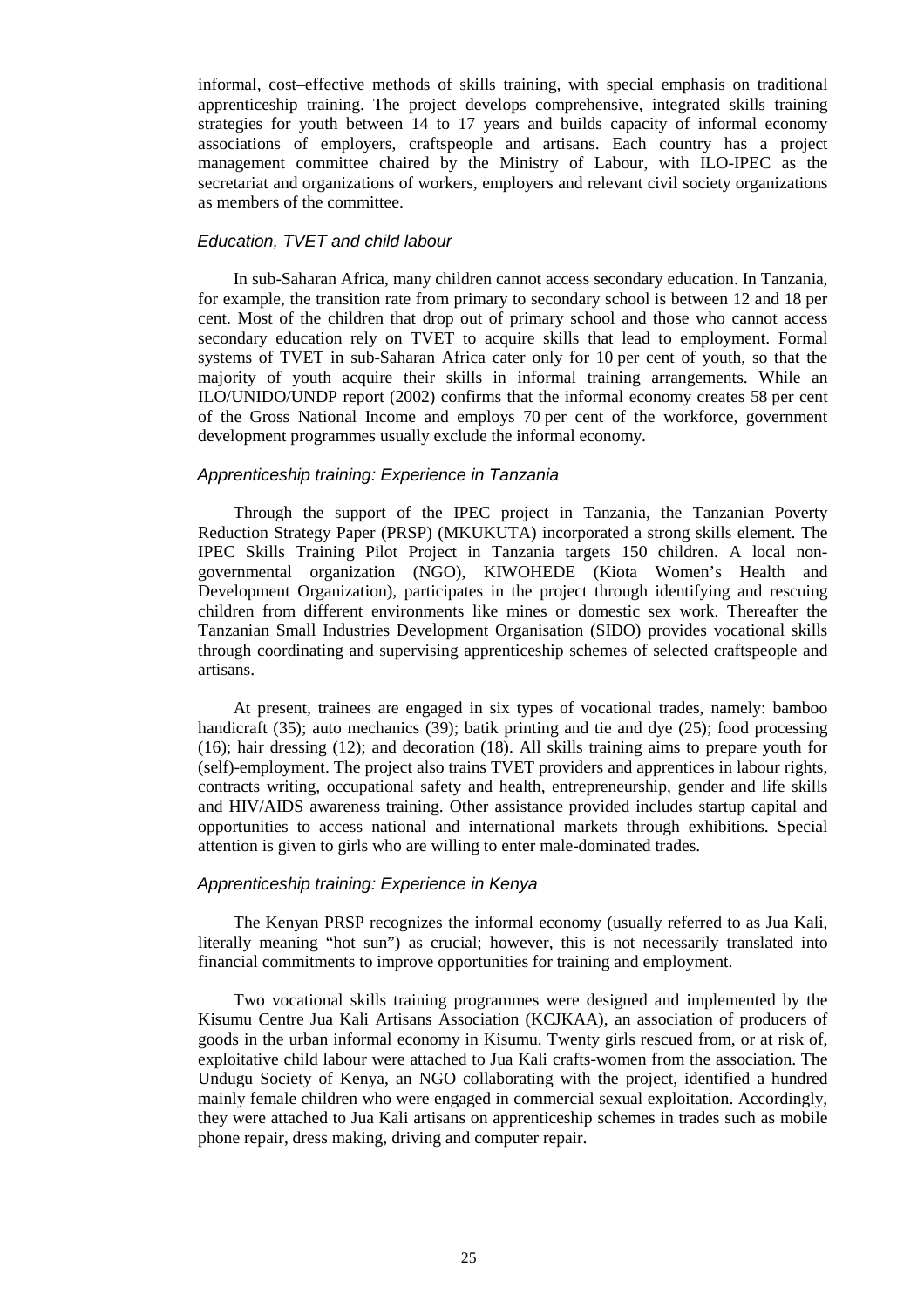informal, cost–effective methods of skills training, with special emphasis on traditional apprenticeship training. The project develops comprehensive, integrated skills training strategies for youth between 14 to 17 years and builds capacity of informal economy associations of employers, craftspeople and artisans. Each country has a project management committee chaired by the Ministry of Labour, with ILO-IPEC as the secretariat and organizations of workers, employers and relevant civil society organizations as members of the committee.

### Education, TVET and child labour

In sub-Saharan Africa, many children cannot access secondary education. In Tanzania, for example, the transition rate from primary to secondary school is between 12 and 18 per cent. Most of the children that drop out of primary school and those who cannot access secondary education rely on TVET to acquire skills that lead to employment. Formal systems of TVET in sub-Saharan Africa cater only for 10 per cent of youth, so that the majority of youth acquire their skills in informal training arrangements. While an ILO/UNIDO/UNDP report (2002) confirms that the informal economy creates 58 per cent of the Gross National Income and employs 70 per cent of the workforce, government development programmes usually exclude the informal economy.

#### Apprenticeship training: Experience in Tanzania

Through the support of the IPEC project in Tanzania, the Tanzanian Poverty Reduction Strategy Paper (PRSP) (MKUKUTA) incorporated a strong skills element. The IPEC Skills Training Pilot Project in Tanzania targets 150 children. A local nongovernmental organization (NGO), KIWOHEDE (Kiota Women's Health and Development Organization), participates in the project through identifying and rescuing children from different environments like mines or domestic sex work. Thereafter the Tanzanian Small Industries Development Organisation (SIDO) provides vocational skills through coordinating and supervising apprenticeship schemes of selected craftspeople and artisans.

At present, trainees are engaged in six types of vocational trades, namely: bamboo handicraft (35); auto mechanics (39); batik printing and tie and dye (25); food processing (16); hair dressing (12); and decoration (18). All skills training aims to prepare youth for (self)-employment. The project also trains TVET providers and apprentices in labour rights, contracts writing, occupational safety and health, entrepreneurship, gender and life skills and HIV/AIDS awareness training. Other assistance provided includes startup capital and opportunities to access national and international markets through exhibitions. Special attention is given to girls who are willing to enter male-dominated trades.

#### Apprenticeship training: Experience in Kenya

The Kenyan PRSP recognizes the informal economy (usually referred to as Jua Kali, literally meaning "hot sun") as crucial; however, this is not necessarily translated into financial commitments to improve opportunities for training and employment.

Two vocational skills training programmes were designed and implemented by the Kisumu Centre Jua Kali Artisans Association (KCJKAA), an association of producers of goods in the urban informal economy in Kisumu. Twenty girls rescued from, or at risk of, exploitative child labour were attached to Jua Kali crafts-women from the association. The Undugu Society of Kenya, an NGO collaborating with the project, identified a hundred mainly female children who were engaged in commercial sexual exploitation. Accordingly, they were attached to Jua Kali artisans on apprenticeship schemes in trades such as mobile phone repair, dress making, driving and computer repair.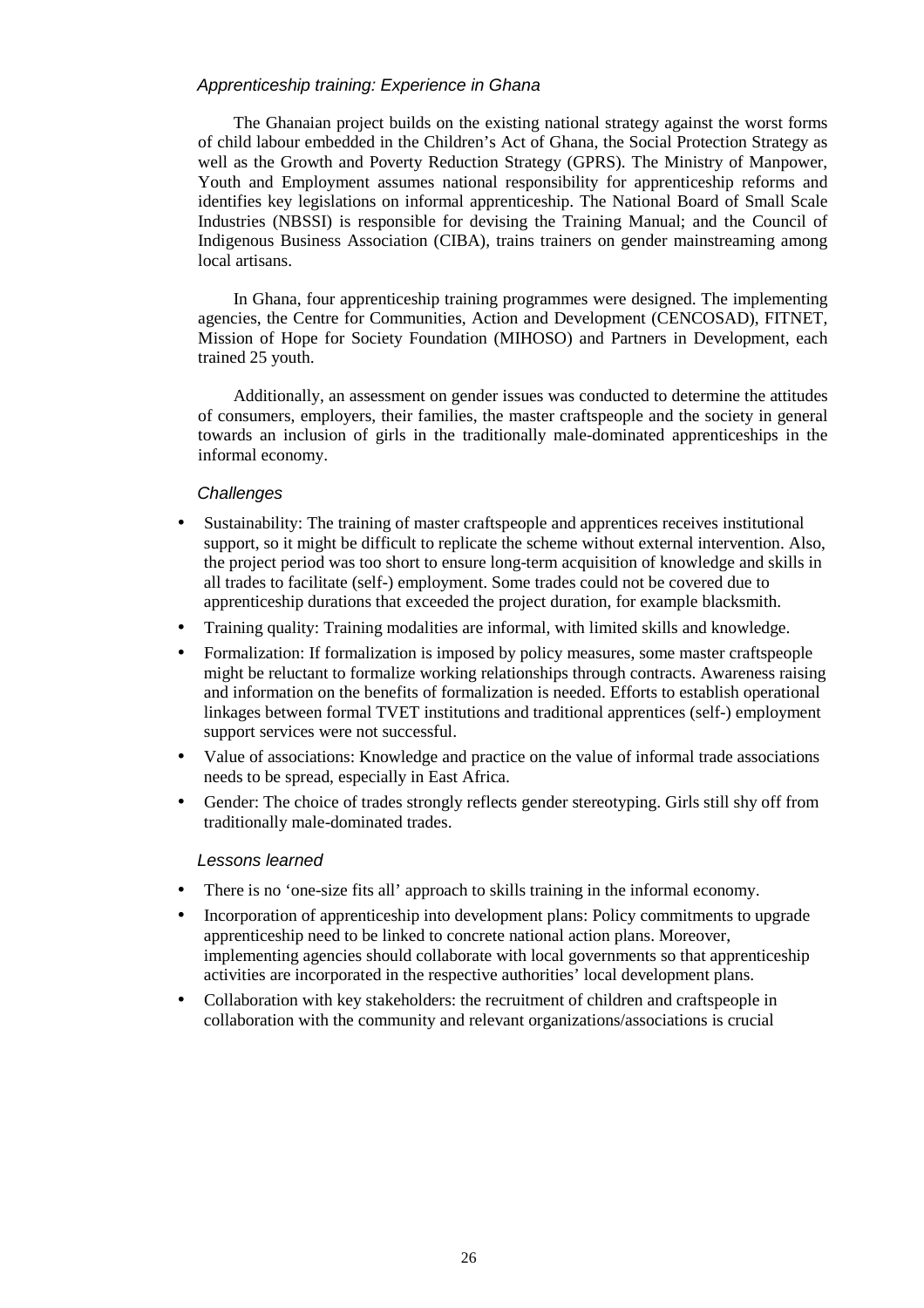### Apprenticeship training: Experience in Ghana

The Ghanaian project builds on the existing national strategy against the worst forms of child labour embedded in the Children's Act of Ghana, the Social Protection Strategy as well as the Growth and Poverty Reduction Strategy (GPRS). The Ministry of Manpower, Youth and Employment assumes national responsibility for apprenticeship reforms and identifies key legislations on informal apprenticeship. The National Board of Small Scale Industries (NBSSI) is responsible for devising the Training Manual; and the Council of Indigenous Business Association (CIBA), trains trainers on gender mainstreaming among local artisans.

In Ghana, four apprenticeship training programmes were designed. The implementing agencies, the Centre for Communities, Action and Development (CENCOSAD), FITNET, Mission of Hope for Society Foundation (MIHOSO) and Partners in Development, each trained 25 youth.

Additionally, an assessment on gender issues was conducted to determine the attitudes of consumers, employers, their families, the master craftspeople and the society in general towards an inclusion of girls in the traditionally male-dominated apprenticeships in the informal economy.

### **Challenges**

- Sustainability: The training of master craftspeople and apprentices receives institutional support, so it might be difficult to replicate the scheme without external intervention. Also, the project period was too short to ensure long-term acquisition of knowledge and skills in all trades to facilitate (self-) employment. Some trades could not be covered due to apprenticeship durations that exceeded the project duration, for example blacksmith.
- Training quality: Training modalities are informal, with limited skills and knowledge.
- Formalization: If formalization is imposed by policy measures, some master craftspeople might be reluctant to formalize working relationships through contracts. Awareness raising and information on the benefits of formalization is needed. Efforts to establish operational linkages between formal TVET institutions and traditional apprentices (self-) employment support services were not successful.
- Value of associations: Knowledge and practice on the value of informal trade associations needs to be spread, especially in East Africa.
- Gender: The choice of trades strongly reflects gender stereotyping. Girls still shy off from traditionally male-dominated trades.

### Lessons learned

- There is no 'one-size fits all' approach to skills training in the informal economy.
- Incorporation of apprenticeship into development plans: Policy commitments to upgrade apprenticeship need to be linked to concrete national action plans. Moreover, implementing agencies should collaborate with local governments so that apprenticeship activities are incorporated in the respective authorities' local development plans.
- Collaboration with key stakeholders: the recruitment of children and craftspeople in collaboration with the community and relevant organizations/associations is crucial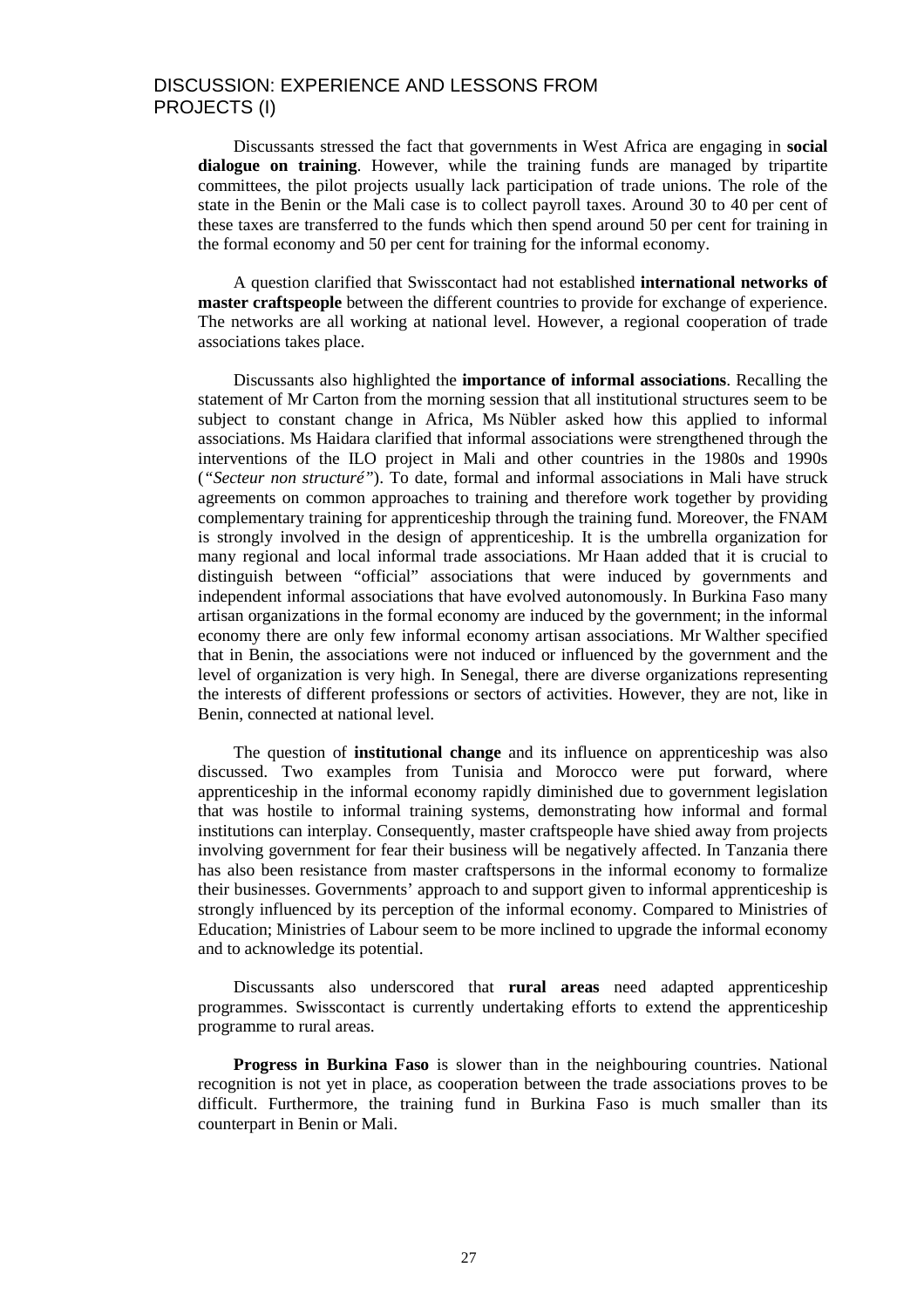### DISCUSSION: EXPERIENCE AND LESSONS FROM PROJECTS (I)

Discussants stressed the fact that governments in West Africa are engaging in **social dialogue on training**. However, while the training funds are managed by tripartite committees, the pilot projects usually lack participation of trade unions. The role of the state in the Benin or the Mali case is to collect payroll taxes. Around 30 to 40 per cent of these taxes are transferred to the funds which then spend around 50 per cent for training in the formal economy and 50 per cent for training for the informal economy.

A question clarified that Swisscontact had not established **international networks of master craftspeople** between the different countries to provide for exchange of experience. The networks are all working at national level. However, a regional cooperation of trade associations takes place.

Discussants also highlighted the **importance of informal associations**. Recalling the statement of Mr Carton from the morning session that all institutional structures seem to be subject to constant change in Africa, Ms Nübler asked how this applied to informal associations. Ms Haidara clarified that informal associations were strengthened through the interventions of the ILO project in Mali and other countries in the 1980s and 1990s (*"Secteur non structuré"*). To date, formal and informal associations in Mali have struck agreements on common approaches to training and therefore work together by providing complementary training for apprenticeship through the training fund. Moreover, the FNAM is strongly involved in the design of apprenticeship. It is the umbrella organization for many regional and local informal trade associations. Mr Haan added that it is crucial to distinguish between "official" associations that were induced by governments and independent informal associations that have evolved autonomously. In Burkina Faso many artisan organizations in the formal economy are induced by the government; in the informal economy there are only few informal economy artisan associations. Mr Walther specified that in Benin, the associations were not induced or influenced by the government and the level of organization is very high. In Senegal, there are diverse organizations representing the interests of different professions or sectors of activities. However, they are not, like in Benin, connected at national level.

The question of **institutional change** and its influence on apprenticeship was also discussed. Two examples from Tunisia and Morocco were put forward, where apprenticeship in the informal economy rapidly diminished due to government legislation that was hostile to informal training systems, demonstrating how informal and formal institutions can interplay. Consequently, master craftspeople have shied away from projects involving government for fear their business will be negatively affected. In Tanzania there has also been resistance from master craftspersons in the informal economy to formalize their businesses. Governments' approach to and support given to informal apprenticeship is strongly influenced by its perception of the informal economy. Compared to Ministries of Education; Ministries of Labour seem to be more inclined to upgrade the informal economy and to acknowledge its potential.

Discussants also underscored that **rural areas** need adapted apprenticeship programmes. Swisscontact is currently undertaking efforts to extend the apprenticeship programme to rural areas.

**Progress in Burkina Faso** is slower than in the neighbouring countries. National recognition is not yet in place, as cooperation between the trade associations proves to be difficult. Furthermore, the training fund in Burkina Faso is much smaller than its counterpart in Benin or Mali.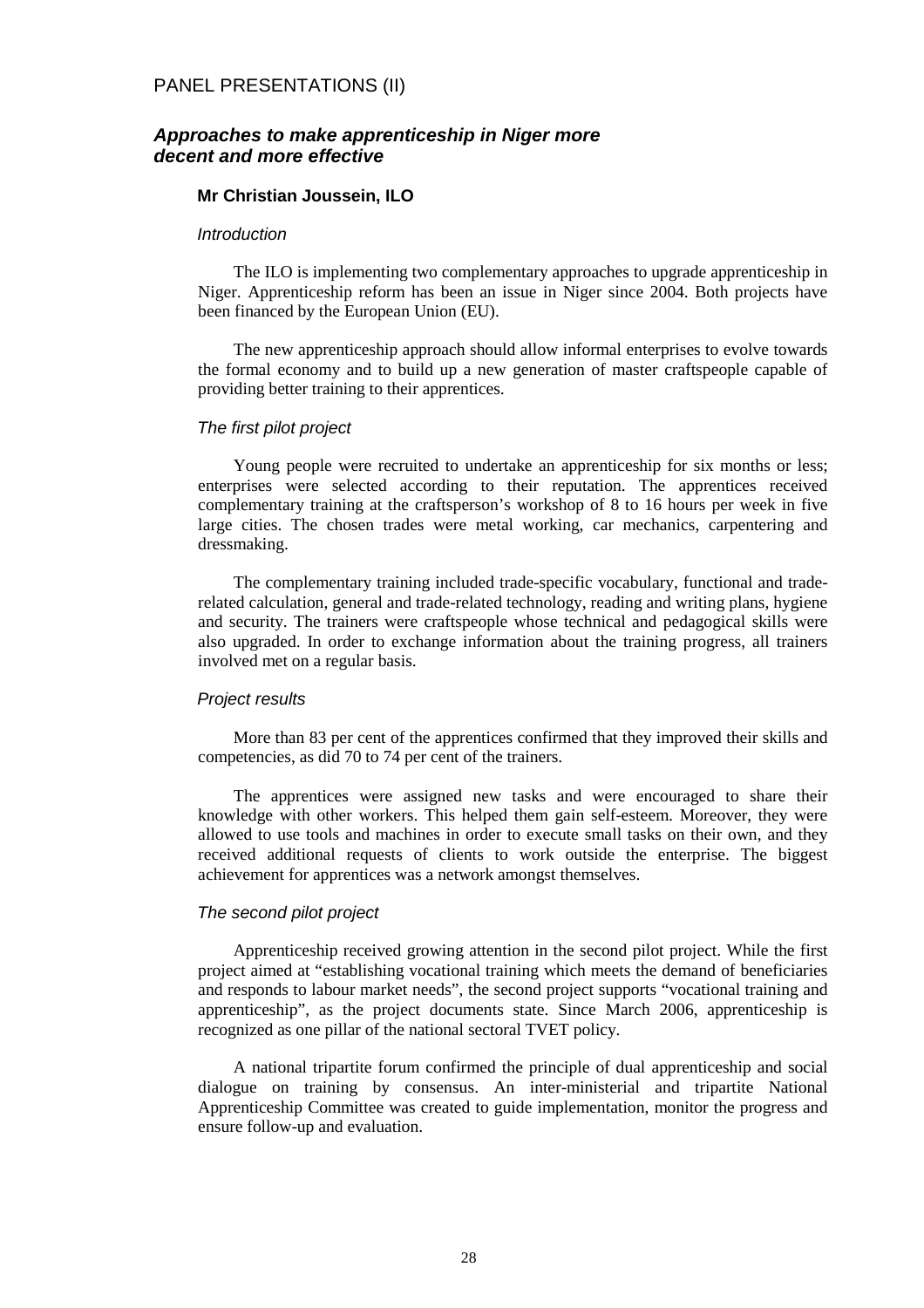### **Approaches to make apprenticeship in Niger more decent and more effective**

### **Mr Christian Joussein, ILO**

#### **Introduction**

The ILO is implementing two complementary approaches to upgrade apprenticeship in Niger. Apprenticeship reform has been an issue in Niger since 2004. Both projects have been financed by the European Union (EU).

The new apprenticeship approach should allow informal enterprises to evolve towards the formal economy and to build up a new generation of master craftspeople capable of providing better training to their apprentices.

#### The first pilot project

Young people were recruited to undertake an apprenticeship for six months or less; enterprises were selected according to their reputation. The apprentices received complementary training at the craftsperson's workshop of 8 to 16 hours per week in five large cities. The chosen trades were metal working, car mechanics, carpentering and dressmaking.

The complementary training included trade-specific vocabulary, functional and traderelated calculation, general and trade-related technology, reading and writing plans, hygiene and security. The trainers were craftspeople whose technical and pedagogical skills were also upgraded. In order to exchange information about the training progress, all trainers involved met on a regular basis.

### Project results

More than 83 per cent of the apprentices confirmed that they improved their skills and competencies, as did 70 to 74 per cent of the trainers.

The apprentices were assigned new tasks and were encouraged to share their knowledge with other workers. This helped them gain self-esteem. Moreover, they were allowed to use tools and machines in order to execute small tasks on their own, and they received additional requests of clients to work outside the enterprise. The biggest achievement for apprentices was a network amongst themselves.

### The second pilot project

Apprenticeship received growing attention in the second pilot project. While the first project aimed at "establishing vocational training which meets the demand of beneficiaries and responds to labour market needs", the second project supports "vocational training and apprenticeship", as the project documents state. Since March 2006, apprenticeship is recognized as one pillar of the national sectoral TVET policy.

A national tripartite forum confirmed the principle of dual apprenticeship and social dialogue on training by consensus. An inter-ministerial and tripartite National Apprenticeship Committee was created to guide implementation, monitor the progress and ensure follow-up and evaluation.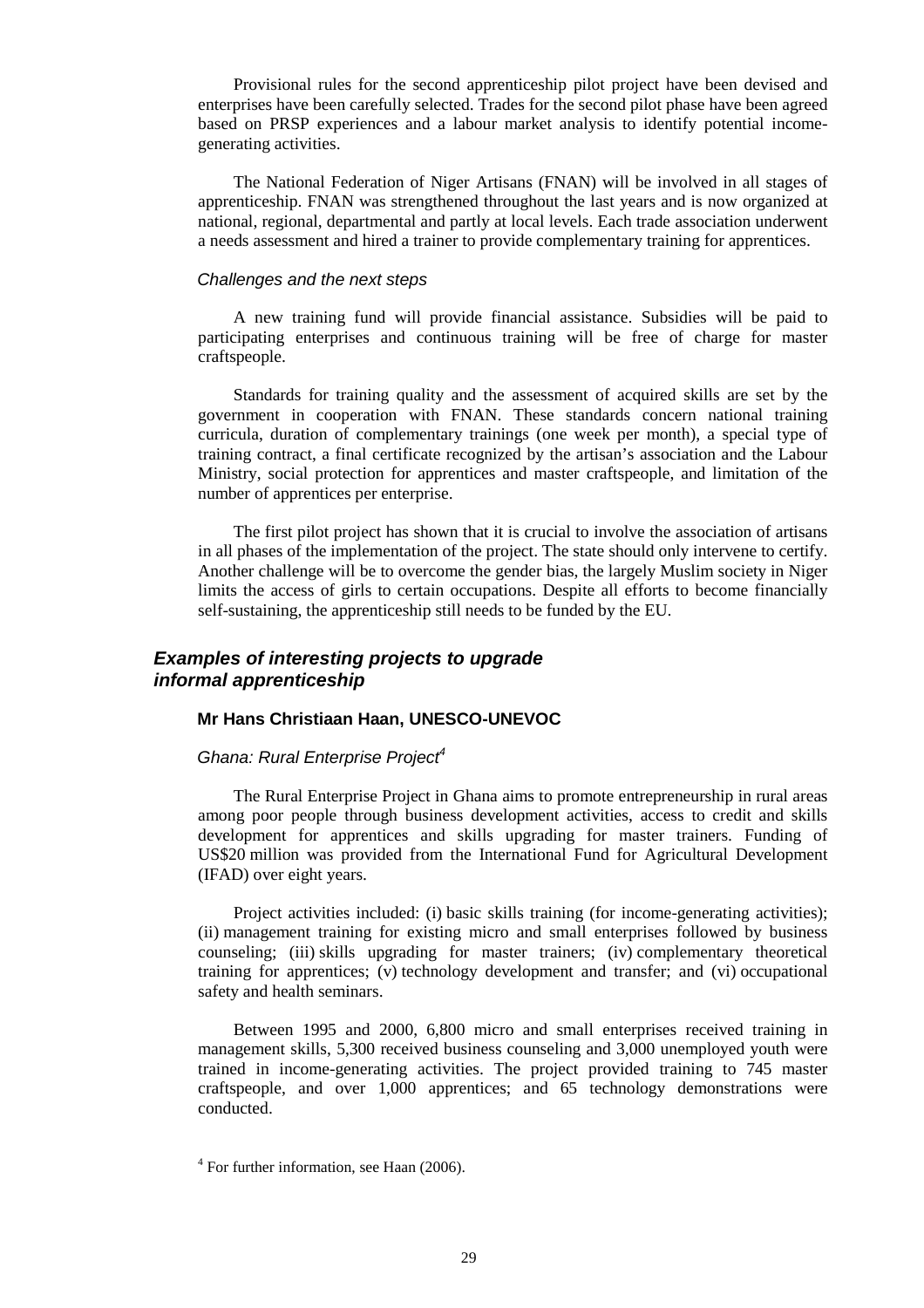Provisional rules for the second apprenticeship pilot project have been devised and enterprises have been carefully selected. Trades for the second pilot phase have been agreed based on PRSP experiences and a labour market analysis to identify potential incomegenerating activities.

The National Federation of Niger Artisans (FNAN) will be involved in all stages of apprenticeship. FNAN was strengthened throughout the last years and is now organized at national, regional, departmental and partly at local levels. Each trade association underwent a needs assessment and hired a trainer to provide complementary training for apprentices.

#### Challenges and the next steps

A new training fund will provide financial assistance. Subsidies will be paid to participating enterprises and continuous training will be free of charge for master craftspeople.

Standards for training quality and the assessment of acquired skills are set by the government in cooperation with FNAN. These standards concern national training curricula, duration of complementary trainings (one week per month), a special type of training contract, a final certificate recognized by the artisan's association and the Labour Ministry, social protection for apprentices and master craftspeople, and limitation of the number of apprentices per enterprise.

The first pilot project has shown that it is crucial to involve the association of artisans in all phases of the implementation of the project. The state should only intervene to certify. Another challenge will be to overcome the gender bias, the largely Muslim society in Niger limits the access of girls to certain occupations. Despite all efforts to become financially self-sustaining, the apprenticeship still needs to be funded by the EU.

## **Examples of interesting projects to upgrade informal apprenticeship**

#### **Mr Hans Christiaan Haan, UNESCO-UNEVOC**

## Ghana: Rural Enterprise Project<sup>4</sup>

The Rural Enterprise Project in Ghana aims to promote entrepreneurship in rural areas among poor people through business development activities, access to credit and skills development for apprentices and skills upgrading for master trainers. Funding of US\$20 million was provided from the International Fund for Agricultural Development (IFAD) over eight years.

Project activities included: (i) basic skills training (for income-generating activities); (ii) management training for existing micro and small enterprises followed by business counseling; (iii) skills upgrading for master trainers; (iv) complementary theoretical training for apprentices; (v) technology development and transfer; and (vi) occupational safety and health seminars.

Between 1995 and 2000, 6,800 micro and small enterprises received training in management skills, 5,300 received business counseling and 3,000 unemployed youth were trained in income-generating activities. The project provided training to 745 master craftspeople, and over 1,000 apprentices; and 65 technology demonstrations were conducted.

<sup>&</sup>lt;sup>4</sup> For further information, see Haan (2006).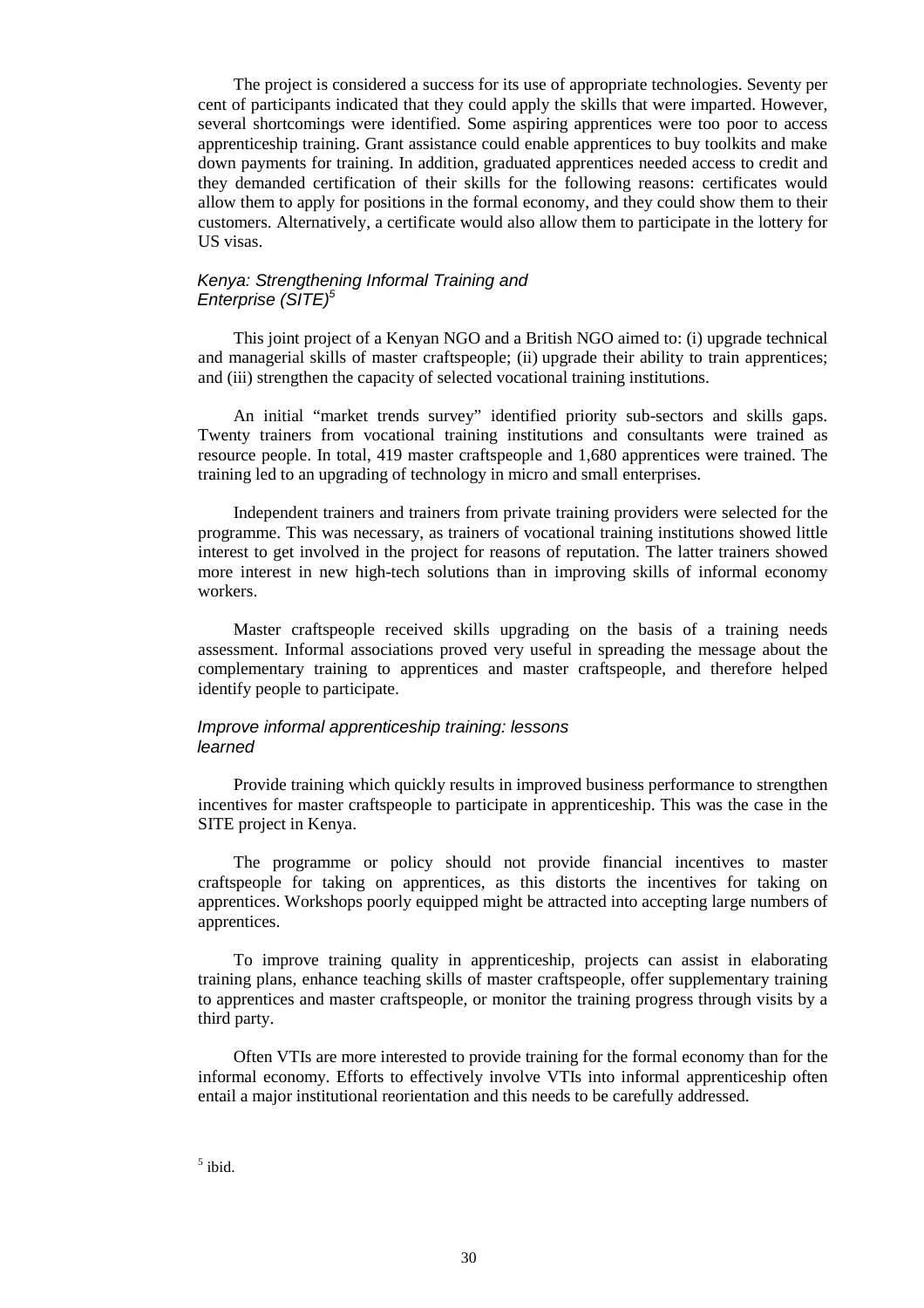The project is considered a success for its use of appropriate technologies. Seventy per cent of participants indicated that they could apply the skills that were imparted. However, several shortcomings were identified. Some aspiring apprentices were too poor to access apprenticeship training. Grant assistance could enable apprentices to buy toolkits and make down payments for training. In addition, graduated apprentices needed access to credit and they demanded certification of their skills for the following reasons: certificates would allow them to apply for positions in the formal economy, and they could show them to their customers. Alternatively, a certificate would also allow them to participate in the lottery for US visas.

#### Kenya: Strengthening Informal Training and Enterprise (SITE)<sup>5</sup>

This joint project of a Kenyan NGO and a British NGO aimed to: (i) upgrade technical and managerial skills of master craftspeople; (ii) upgrade their ability to train apprentices; and (iii) strengthen the capacity of selected vocational training institutions.

An initial "market trends survey" identified priority sub-sectors and skills gaps. Twenty trainers from vocational training institutions and consultants were trained as resource people. In total, 419 master craftspeople and 1,680 apprentices were trained. The training led to an upgrading of technology in micro and small enterprises.

Independent trainers and trainers from private training providers were selected for the programme. This was necessary, as trainers of vocational training institutions showed little interest to get involved in the project for reasons of reputation. The latter trainers showed more interest in new high-tech solutions than in improving skills of informal economy workers.

Master craftspeople received skills upgrading on the basis of a training needs assessment. Informal associations proved very useful in spreading the message about the complementary training to apprentices and master craftspeople, and therefore helped identify people to participate.

#### Improve informal apprenticeship training: lessons learned

Provide training which quickly results in improved business performance to strengthen incentives for master craftspeople to participate in apprenticeship. This was the case in the SITE project in Kenya.

The programme or policy should not provide financial incentives to master craftspeople for taking on apprentices, as this distorts the incentives for taking on apprentices. Workshops poorly equipped might be attracted into accepting large numbers of apprentices.

To improve training quality in apprenticeship, projects can assist in elaborating training plans, enhance teaching skills of master craftspeople, offer supplementary training to apprentices and master craftspeople, or monitor the training progress through visits by a third party.

Often VTIs are more interested to provide training for the formal economy than for the informal economy. Efforts to effectively involve VTIs into informal apprenticeship often entail a major institutional reorientation and this needs to be carefully addressed.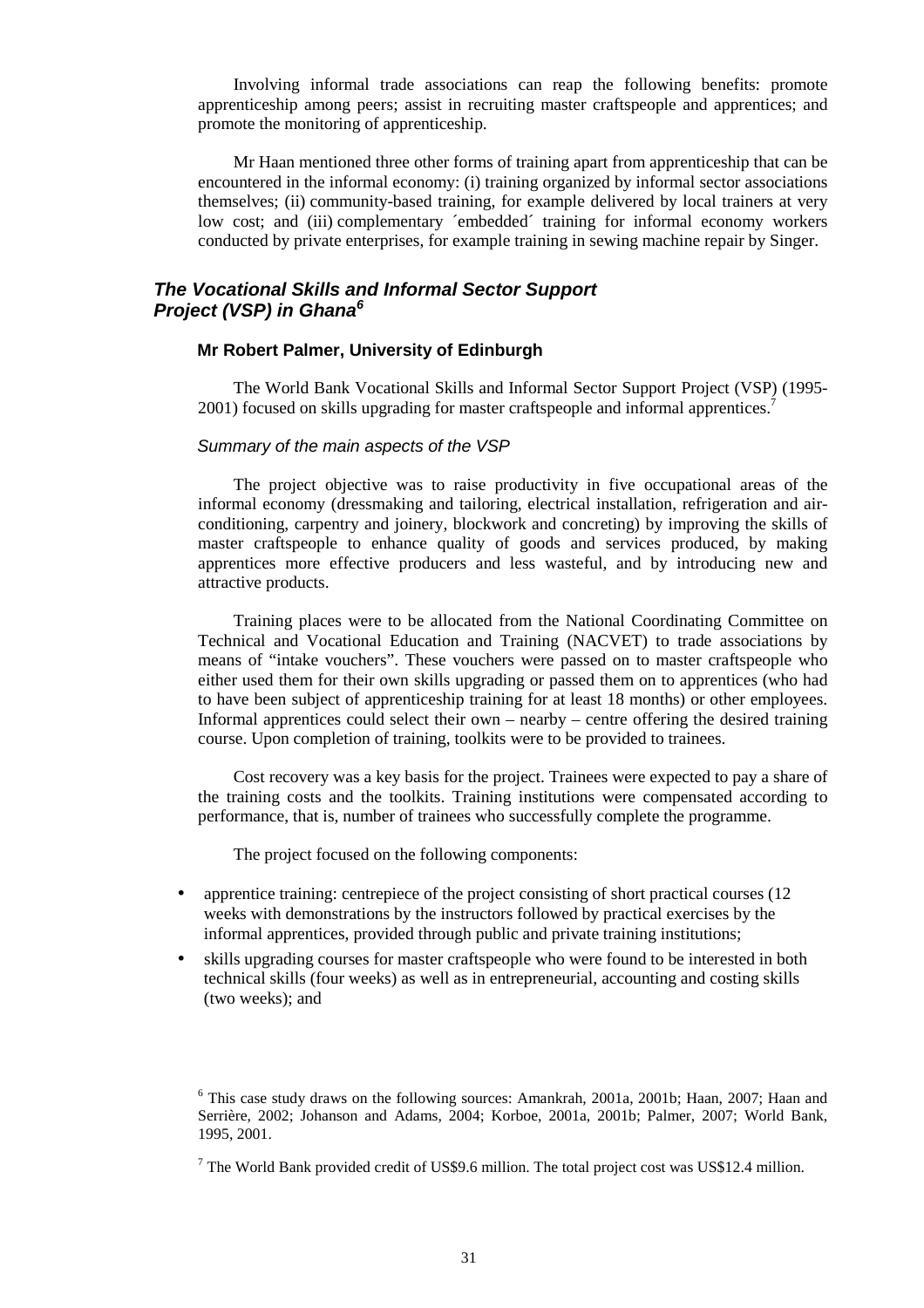Involving informal trade associations can reap the following benefits: promote apprenticeship among peers; assist in recruiting master craftspeople and apprentices; and promote the monitoring of apprenticeship.

Mr Haan mentioned three other forms of training apart from apprenticeship that can be encountered in the informal economy: (i) training organized by informal sector associations themselves; (ii) community-based training, for example delivered by local trainers at very low cost; and (iii) complementary ´embedded´ training for informal economy workers conducted by private enterprises, for example training in sewing machine repair by Singer.

## **The Vocational Skills and Informal Sector Support Project (VSP) in Ghana<sup>6</sup>**

## **Mr Robert Palmer, University of Edinburgh**

The World Bank Vocational Skills and Informal Sector Support Project (VSP) (1995- 2001) focused on skills upgrading for master craftspeople and informal apprentices.

#### Summary of the main aspects of the VSP

The project objective was to raise productivity in five occupational areas of the informal economy (dressmaking and tailoring, electrical installation, refrigeration and airconditioning, carpentry and joinery, blockwork and concreting) by improving the skills of master craftspeople to enhance quality of goods and services produced, by making apprentices more effective producers and less wasteful, and by introducing new and attractive products.

Training places were to be allocated from the National Coordinating Committee on Technical and Vocational Education and Training (NACVET) to trade associations by means of "intake vouchers". These vouchers were passed on to master craftspeople who either used them for their own skills upgrading or passed them on to apprentices (who had to have been subject of apprenticeship training for at least 18 months) or other employees. Informal apprentices could select their own – nearby – centre offering the desired training course. Upon completion of training, toolkits were to be provided to trainees.

Cost recovery was a key basis for the project. Trainees were expected to pay a share of the training costs and the toolkits. Training institutions were compensated according to performance, that is, number of trainees who successfully complete the programme.

The project focused on the following components:

- apprentice training: centrepiece of the project consisting of short practical courses (12) weeks with demonstrations by the instructors followed by practical exercises by the informal apprentices, provided through public and private training institutions;
- skills upgrading courses for master craftspeople who were found to be interested in both technical skills (four weeks) as well as in entrepreneurial, accounting and costing skills (two weeks); and

<sup>&</sup>lt;sup>6</sup> This case study draws on the following sources: Amankrah, 2001a, 2001b; Haan, 2007; Haan and Serrière, 2002; Johanson and Adams, 2004; Korboe, 2001a, 2001b; Palmer, 2007; World Bank, 1995, 2001.

 $7$  The World Bank provided credit of US\$9.6 million. The total project cost was US\$12.4 million.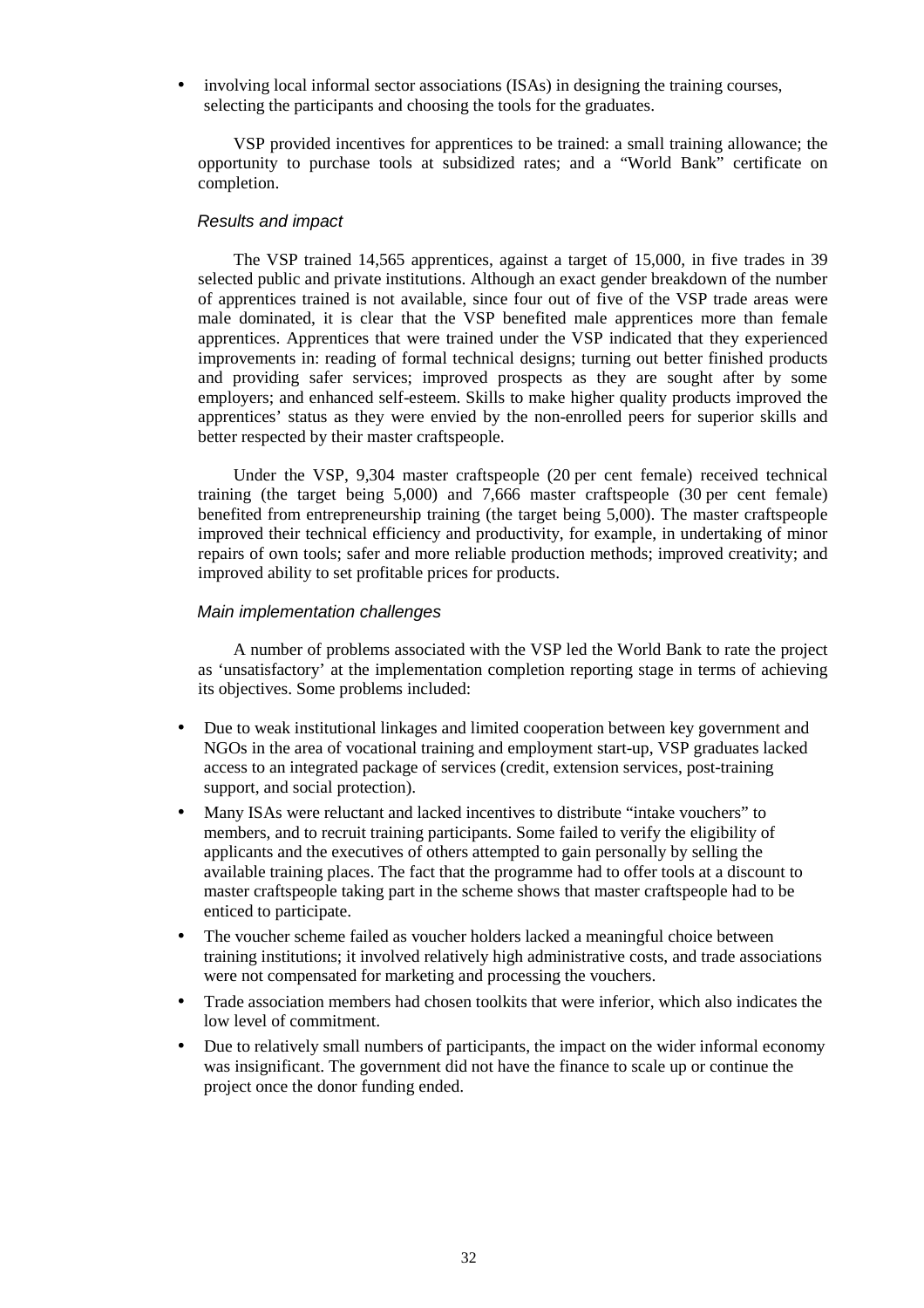involving local informal sector associations (ISAs) in designing the training courses, selecting the participants and choosing the tools for the graduates.

VSP provided incentives for apprentices to be trained: a small training allowance; the opportunity to purchase tools at subsidized rates; and a "World Bank" certificate on completion.

#### Results and impact

The VSP trained 14,565 apprentices, against a target of 15,000, in five trades in 39 selected public and private institutions. Although an exact gender breakdown of the number of apprentices trained is not available, since four out of five of the VSP trade areas were male dominated, it is clear that the VSP benefited male apprentices more than female apprentices. Apprentices that were trained under the VSP indicated that they experienced improvements in: reading of formal technical designs; turning out better finished products and providing safer services; improved prospects as they are sought after by some employers; and enhanced self-esteem. Skills to make higher quality products improved the apprentices' status as they were envied by the non-enrolled peers for superior skills and better respected by their master craftspeople.

Under the VSP, 9,304 master craftspeople (20 per cent female) received technical training (the target being 5,000) and 7,666 master craftspeople (30 per cent female) benefited from entrepreneurship training (the target being 5,000). The master craftspeople improved their technical efficiency and productivity, for example, in undertaking of minor repairs of own tools; safer and more reliable production methods; improved creativity; and improved ability to set profitable prices for products.

#### Main implementation challenges

A number of problems associated with the VSP led the World Bank to rate the project as 'unsatisfactory' at the implementation completion reporting stage in terms of achieving its objectives. Some problems included:

- Due to weak institutional linkages and limited cooperation between key government and NGOs in the area of vocational training and employment start-up, VSP graduates lacked access to an integrated package of services (credit, extension services, post-training support, and social protection).
- Many ISAs were reluctant and lacked incentives to distribute "intake vouchers" to members, and to recruit training participants. Some failed to verify the eligibility of applicants and the executives of others attempted to gain personally by selling the available training places. The fact that the programme had to offer tools at a discount to master craftspeople taking part in the scheme shows that master craftspeople had to be enticed to participate.
- The voucher scheme failed as voucher holders lacked a meaningful choice between training institutions; it involved relatively high administrative costs, and trade associations were not compensated for marketing and processing the vouchers.
- Trade association members had chosen toolkits that were inferior, which also indicates the low level of commitment.
- Due to relatively small numbers of participants, the impact on the wider informal economy was insignificant. The government did not have the finance to scale up or continue the project once the donor funding ended.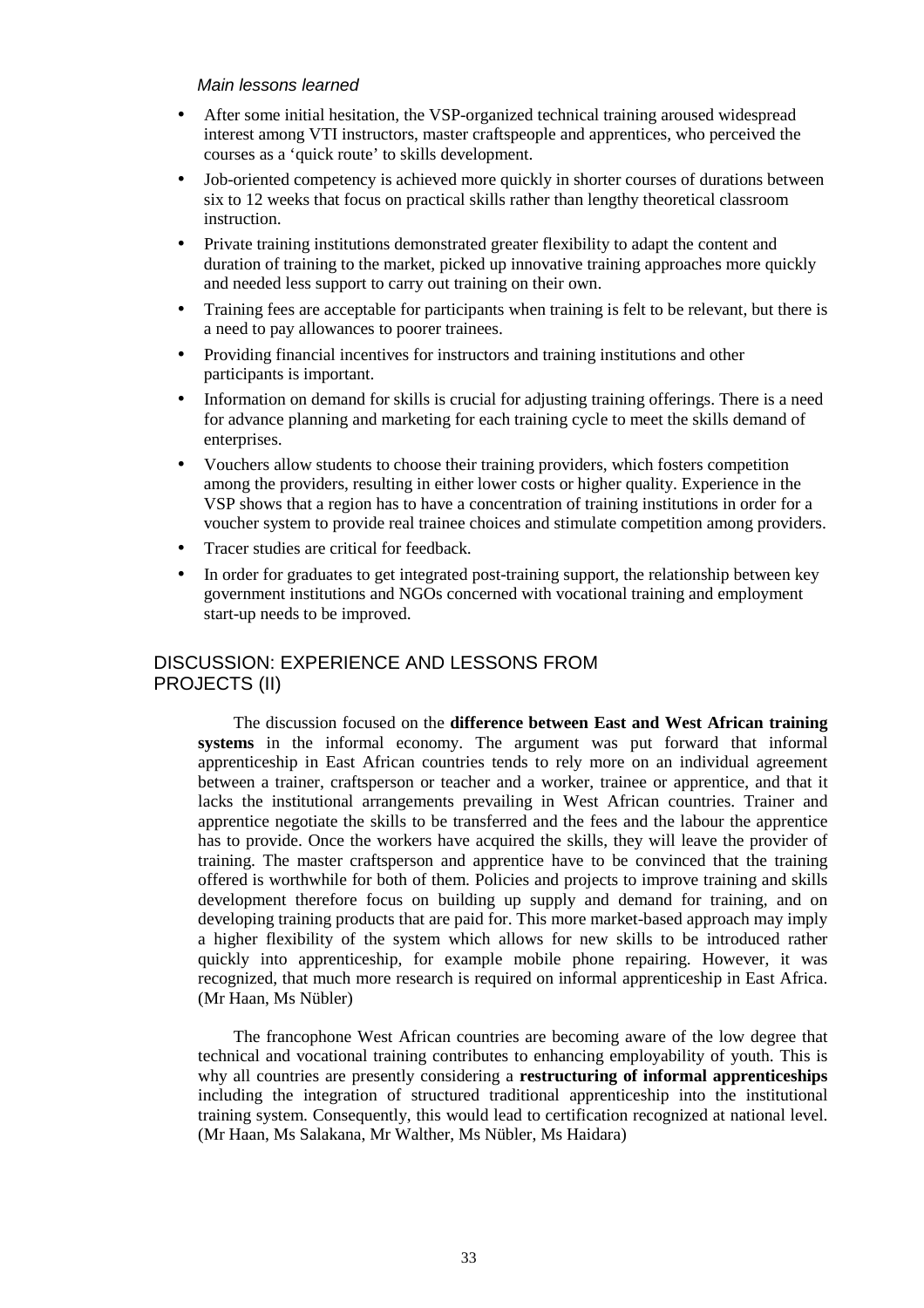#### Main lessons learned

- After some initial hesitation, the VSP-organized technical training aroused widespread interest among VTI instructors, master craftspeople and apprentices, who perceived the courses as a 'quick route' to skills development.
- Job-oriented competency is achieved more quickly in shorter courses of durations between six to 12 weeks that focus on practical skills rather than lengthy theoretical classroom instruction.
- Private training institutions demonstrated greater flexibility to adapt the content and duration of training to the market, picked up innovative training approaches more quickly and needed less support to carry out training on their own.
- Training fees are acceptable for participants when training is felt to be relevant, but there is a need to pay allowances to poorer trainees.
- Providing financial incentives for instructors and training institutions and other participants is important.
- Information on demand for skills is crucial for adjusting training offerings. There is a need for advance planning and marketing for each training cycle to meet the skills demand of enterprises.
- Vouchers allow students to choose their training providers, which fosters competition among the providers, resulting in either lower costs or higher quality. Experience in the VSP shows that a region has to have a concentration of training institutions in order for a voucher system to provide real trainee choices and stimulate competition among providers.
- Tracer studies are critical for feedback.
- In order for graduates to get integrated post-training support, the relationship between key government institutions and NGOs concerned with vocational training and employment start-up needs to be improved.

## DISCUSSION: EXPERIENCE AND LESSONS FROM PROJECTS (II)

The discussion focused on the **difference between East and West African training systems** in the informal economy. The argument was put forward that informal apprenticeship in East African countries tends to rely more on an individual agreement between a trainer, craftsperson or teacher and a worker, trainee or apprentice, and that it lacks the institutional arrangements prevailing in West African countries. Trainer and apprentice negotiate the skills to be transferred and the fees and the labour the apprentice has to provide. Once the workers have acquired the skills, they will leave the provider of training. The master craftsperson and apprentice have to be convinced that the training offered is worthwhile for both of them. Policies and projects to improve training and skills development therefore focus on building up supply and demand for training, and on developing training products that are paid for. This more market-based approach may imply a higher flexibility of the system which allows for new skills to be introduced rather quickly into apprenticeship, for example mobile phone repairing. However, it was recognized, that much more research is required on informal apprenticeship in East Africa. (Mr Haan, Ms Nübler)

The francophone West African countries are becoming aware of the low degree that technical and vocational training contributes to enhancing employability of youth. This is why all countries are presently considering a **restructuring of informal apprenticeships** including the integration of structured traditional apprenticeship into the institutional training system. Consequently, this would lead to certification recognized at national level. (Mr Haan, Ms Salakana, Mr Walther, Ms Nübler, Ms Haidara)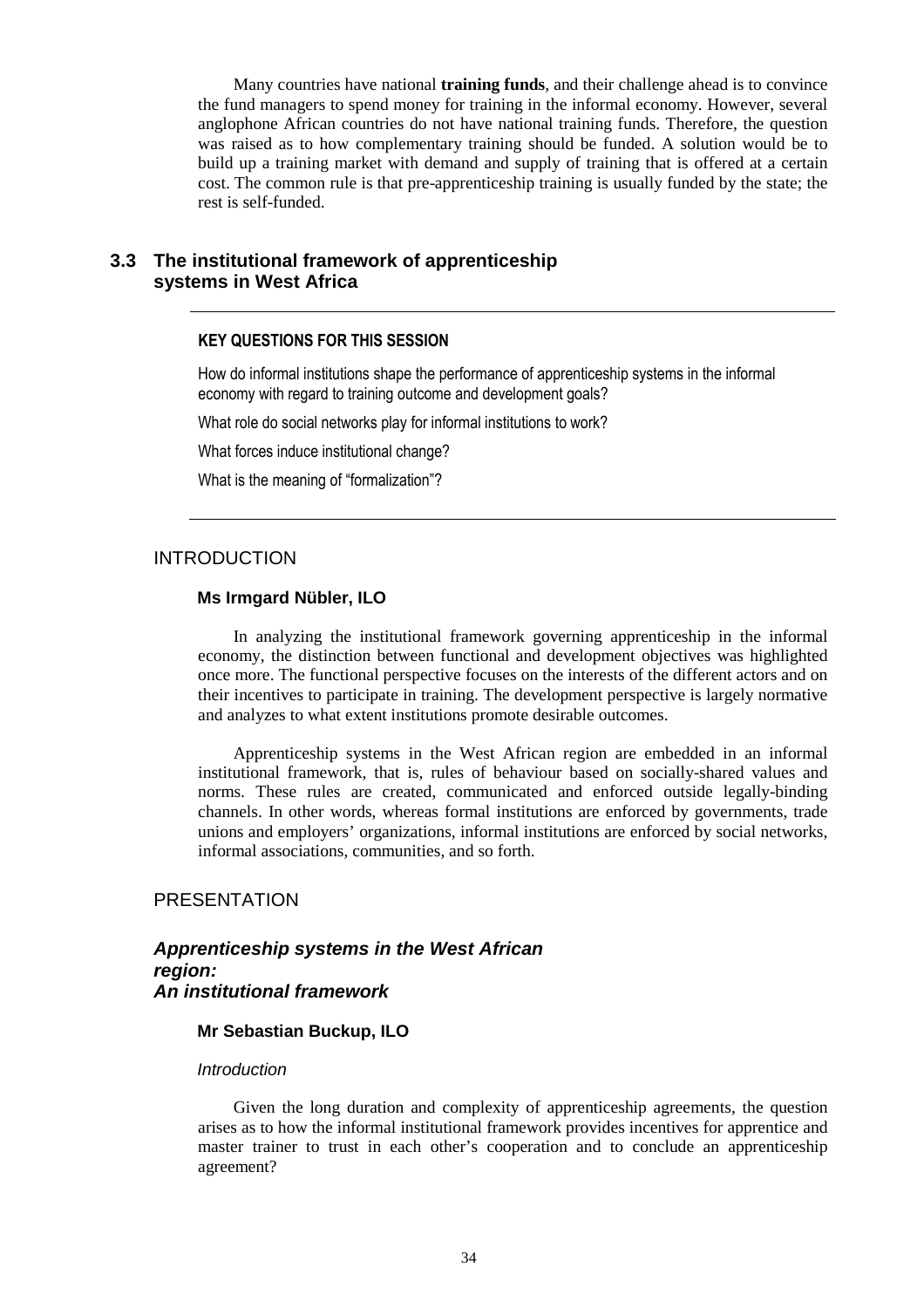Many countries have national **training funds**, and their challenge ahead is to convince the fund managers to spend money for training in the informal economy. However, several anglophone African countries do not have national training funds. Therefore, the question was raised as to how complementary training should be funded. A solution would be to build up a training market with demand and supply of training that is offered at a certain cost. The common rule is that pre-apprenticeship training is usually funded by the state; the rest is self-funded.

## **3.3 The institutional framework of apprenticeship systems in West Africa**

#### KEY QUESTIONS FOR THIS SESSION

How do informal institutions shape the performance of apprenticeship systems in the informal economy with regard to training outcome and development goals?

What role do social networks play for informal institutions to work?

What forces induce institutional change?

What is the meaning of "formalization"?

## INTRODUCTION

#### **Ms Irmgard Nübler, ILO**

In analyzing the institutional framework governing apprenticeship in the informal economy, the distinction between functional and development objectives was highlighted once more. The functional perspective focuses on the interests of the different actors and on their incentives to participate in training. The development perspective is largely normative and analyzes to what extent institutions promote desirable outcomes.

Apprenticeship systems in the West African region are embedded in an informal institutional framework, that is, rules of behaviour based on socially-shared values and norms. These rules are created, communicated and enforced outside legally-binding channels. In other words, whereas formal institutions are enforced by governments, trade unions and employers' organizations, informal institutions are enforced by social networks, informal associations, communities, and so forth.

## **PRESENTATION**

## **Apprenticeship systems in the West African region: An institutional framework**

#### **Mr Sebastian Buckup, ILO**

#### **Introduction**

Given the long duration and complexity of apprenticeship agreements, the question arises as to how the informal institutional framework provides incentives for apprentice and master trainer to trust in each other's cooperation and to conclude an apprenticeship agreement?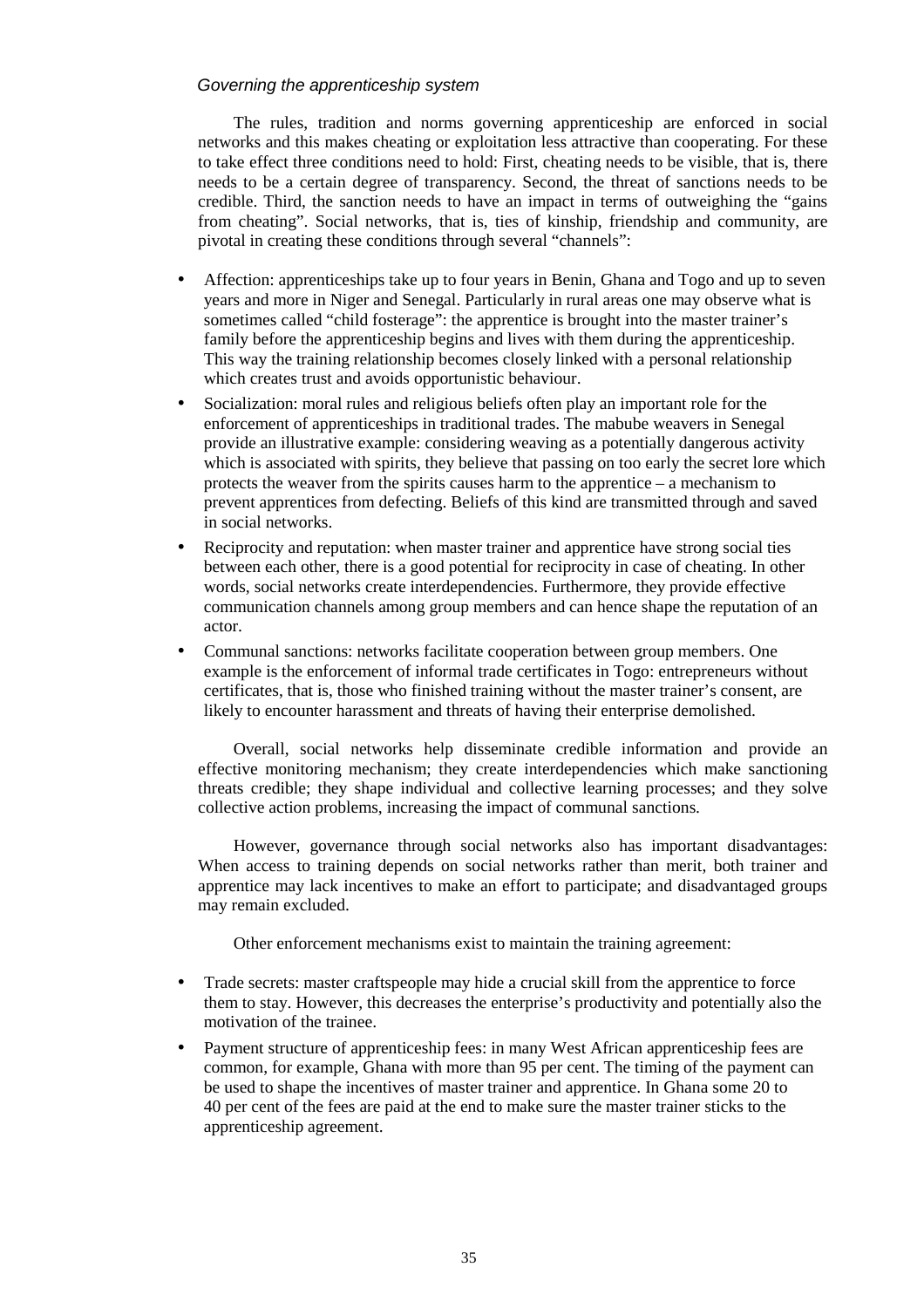## Governing the apprenticeship system

The rules, tradition and norms governing apprenticeship are enforced in social networks and this makes cheating or exploitation less attractive than cooperating. For these to take effect three conditions need to hold: First, cheating needs to be visible, that is, there needs to be a certain degree of transparency. Second, the threat of sanctions needs to be credible. Third, the sanction needs to have an impact in terms of outweighing the "gains from cheating". Social networks, that is, ties of kinship, friendship and community, are pivotal in creating these conditions through several "channels":

- Affection: apprenticeships take up to four years in Benin, Ghana and Togo and up to seven years and more in Niger and Senegal. Particularly in rural areas one may observe what is sometimes called "child fosterage": the apprentice is brought into the master trainer's family before the apprenticeship begins and lives with them during the apprenticeship. This way the training relationship becomes closely linked with a personal relationship which creates trust and avoids opportunistic behaviour.
- Socialization: moral rules and religious beliefs often play an important role for the enforcement of apprenticeships in traditional trades. The mabube weavers in Senegal provide an illustrative example: considering weaving as a potentially dangerous activity which is associated with spirits, they believe that passing on too early the secret lore which protects the weaver from the spirits causes harm to the apprentice – a mechanism to prevent apprentices from defecting. Beliefs of this kind are transmitted through and saved in social networks.
- Reciprocity and reputation: when master trainer and apprentice have strong social ties between each other, there is a good potential for reciprocity in case of cheating. In other words, social networks create interdependencies. Furthermore, they provide effective communication channels among group members and can hence shape the reputation of an actor.
- Communal sanctions: networks facilitate cooperation between group members. One example is the enforcement of informal trade certificates in Togo: entrepreneurs without certificates, that is, those who finished training without the master trainer's consent, are likely to encounter harassment and threats of having their enterprise demolished.

Overall, social networks help disseminate credible information and provide an effective monitoring mechanism; they create interdependencies which make sanctioning threats credible; they shape individual and collective learning processes; and they solve collective action problems, increasing the impact of communal sanctions.

However, governance through social networks also has important disadvantages: When access to training depends on social networks rather than merit, both trainer and apprentice may lack incentives to make an effort to participate; and disadvantaged groups may remain excluded.

Other enforcement mechanisms exist to maintain the training agreement:

- Trade secrets: master craftspeople may hide a crucial skill from the apprentice to force them to stay. However, this decreases the enterprise's productivity and potentially also the motivation of the trainee.
- Payment structure of apprenticeship fees: in many West African apprenticeship fees are common, for example, Ghana with more than 95 per cent. The timing of the payment can be used to shape the incentives of master trainer and apprentice. In Ghana some 20 to 40 per cent of the fees are paid at the end to make sure the master trainer sticks to the apprenticeship agreement.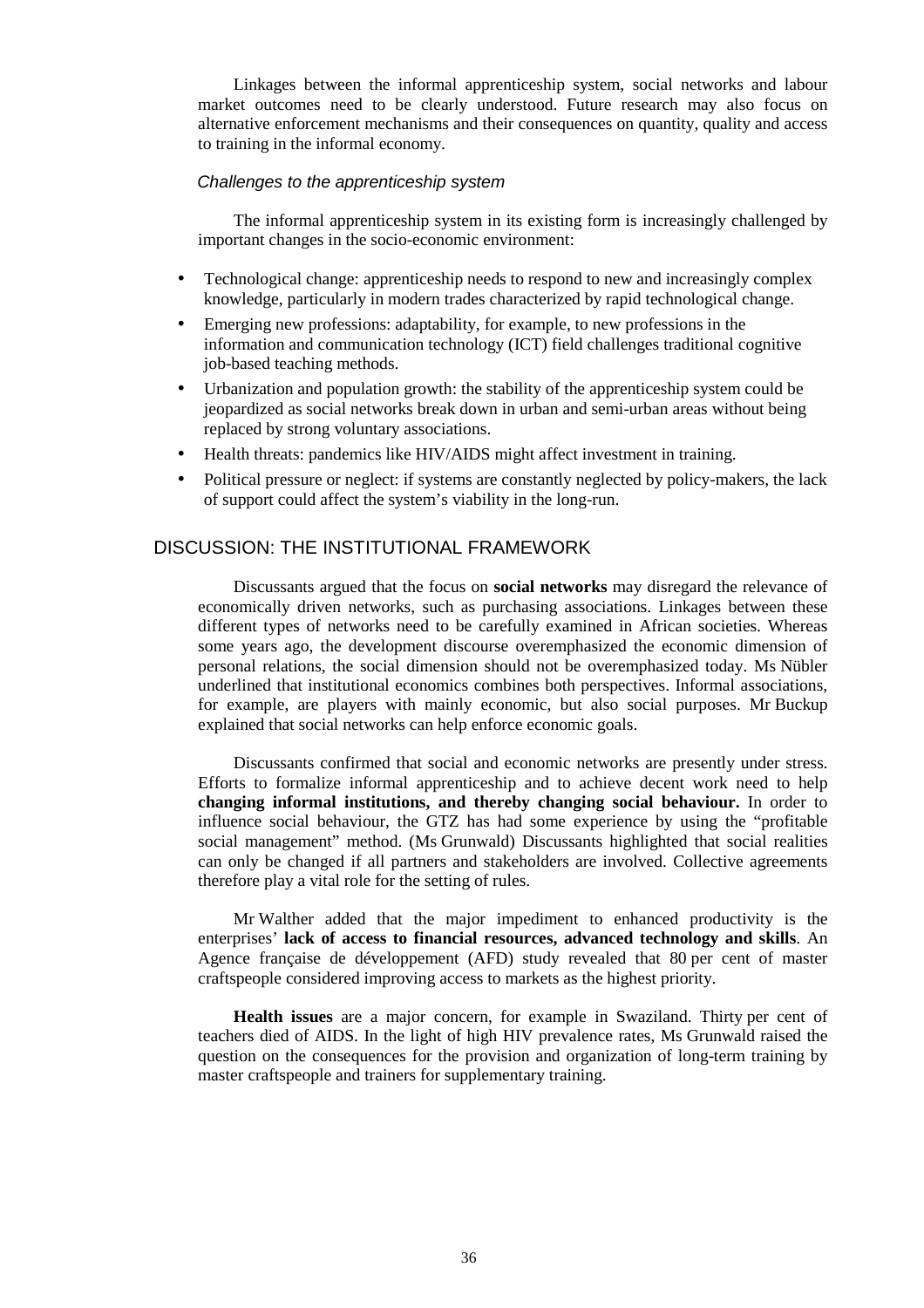Linkages between the informal apprenticeship system, social networks and labour market outcomes need to be clearly understood. Future research may also focus on alternative enforcement mechanisms and their consequences on quantity, quality and access to training in the informal economy.

#### Challenges to the apprenticeship system

The informal apprenticeship system in its existing form is increasingly challenged by important changes in the socio-economic environment:

- Technological change: apprenticeship needs to respond to new and increasingly complex knowledge, particularly in modern trades characterized by rapid technological change.
- Emerging new professions: adaptability, for example, to new professions in the information and communication technology (ICT) field challenges traditional cognitive job-based teaching methods.
- Urbanization and population growth: the stability of the apprenticeship system could be jeopardized as social networks break down in urban and semi-urban areas without being replaced by strong voluntary associations.
- Health threats: pandemics like HIV/AIDS might affect investment in training.
- Political pressure or neglect: if systems are constantly neglected by policy-makers, the lack of support could affect the system's viability in the long-run.

## DISCUSSION: THE INSTITUTIONAL FRAMEWORK

Discussants argued that the focus on **social networks** may disregard the relevance of economically driven networks, such as purchasing associations. Linkages between these different types of networks need to be carefully examined in African societies. Whereas some years ago, the development discourse overemphasized the economic dimension of personal relations, the social dimension should not be overemphasized today. Ms Nübler underlined that institutional economics combines both perspectives. Informal associations, for example, are players with mainly economic, but also social purposes. Mr Buckup explained that social networks can help enforce economic goals.

Discussants confirmed that social and economic networks are presently under stress. Efforts to formalize informal apprenticeship and to achieve decent work need to help **changing informal institutions, and thereby changing social behaviour.** In order to influence social behaviour, the GTZ has had some experience by using the "profitable social management" method. (Ms Grunwald) Discussants highlighted that social realities can only be changed if all partners and stakeholders are involved. Collective agreements therefore play a vital role for the setting of rules.

Mr Walther added that the major impediment to enhanced productivity is the enterprises' **lack of access to financial resources, advanced technology and skills**. An Agence française de développement (AFD) study revealed that 80 per cent of master craftspeople considered improving access to markets as the highest priority.

**Health issues** are a major concern, for example in Swaziland. Thirty per cent of teachers died of AIDS. In the light of high HIV prevalence rates, Ms Grunwald raised the question on the consequences for the provision and organization of long-term training by master craftspeople and trainers for supplementary training.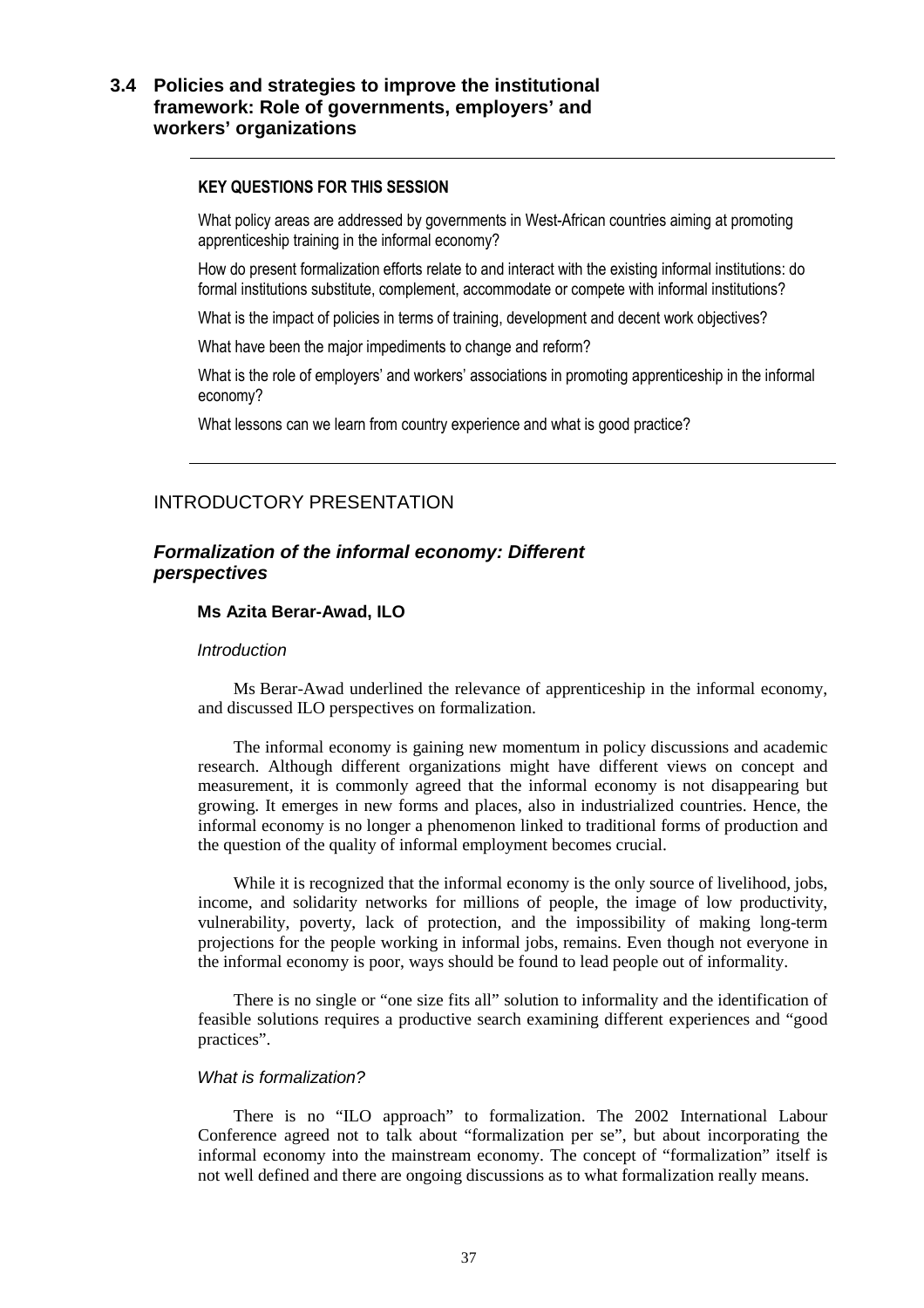## **3.4 Policies and strategies to improve the institutional framework: Role of governments, employers' and workers' organizations**

#### KEY QUESTIONS FOR THIS SESSION

What policy areas are addressed by governments in West-African countries aiming at promoting apprenticeship training in the informal economy?

How do present formalization efforts relate to and interact with the existing informal institutions: do formal institutions substitute, complement, accommodate or compete with informal institutions?

What is the impact of policies in terms of training, development and decent work objectives?

What have been the major impediments to change and reform?

What is the role of employers' and workers' associations in promoting apprenticeship in the informal economy?

What lessons can we learn from country experience and what is good practice?

## INTRODUCTORY PRESENTATION

## **Formalization of the informal economy: Different perspectives**

#### **Ms Azita Berar-Awad, ILO**

#### **Introduction**

Ms Berar-Awad underlined the relevance of apprenticeship in the informal economy, and discussed ILO perspectives on formalization.

The informal economy is gaining new momentum in policy discussions and academic research. Although different organizations might have different views on concept and measurement, it is commonly agreed that the informal economy is not disappearing but growing. It emerges in new forms and places, also in industrialized countries. Hence, the informal economy is no longer a phenomenon linked to traditional forms of production and the question of the quality of informal employment becomes crucial.

While it is recognized that the informal economy is the only source of livelihood, jobs, income, and solidarity networks for millions of people, the image of low productivity, vulnerability, poverty, lack of protection, and the impossibility of making long-term projections for the people working in informal jobs, remains. Even though not everyone in the informal economy is poor, ways should be found to lead people out of informality.

There is no single or "one size fits all" solution to informality and the identification of feasible solutions requires a productive search examining different experiences and "good practices".

#### What is formalization?

There is no "ILO approach" to formalization. The 2002 International Labour Conference agreed not to talk about "formalization per se", but about incorporating the informal economy into the mainstream economy. The concept of "formalization" itself is not well defined and there are ongoing discussions as to what formalization really means.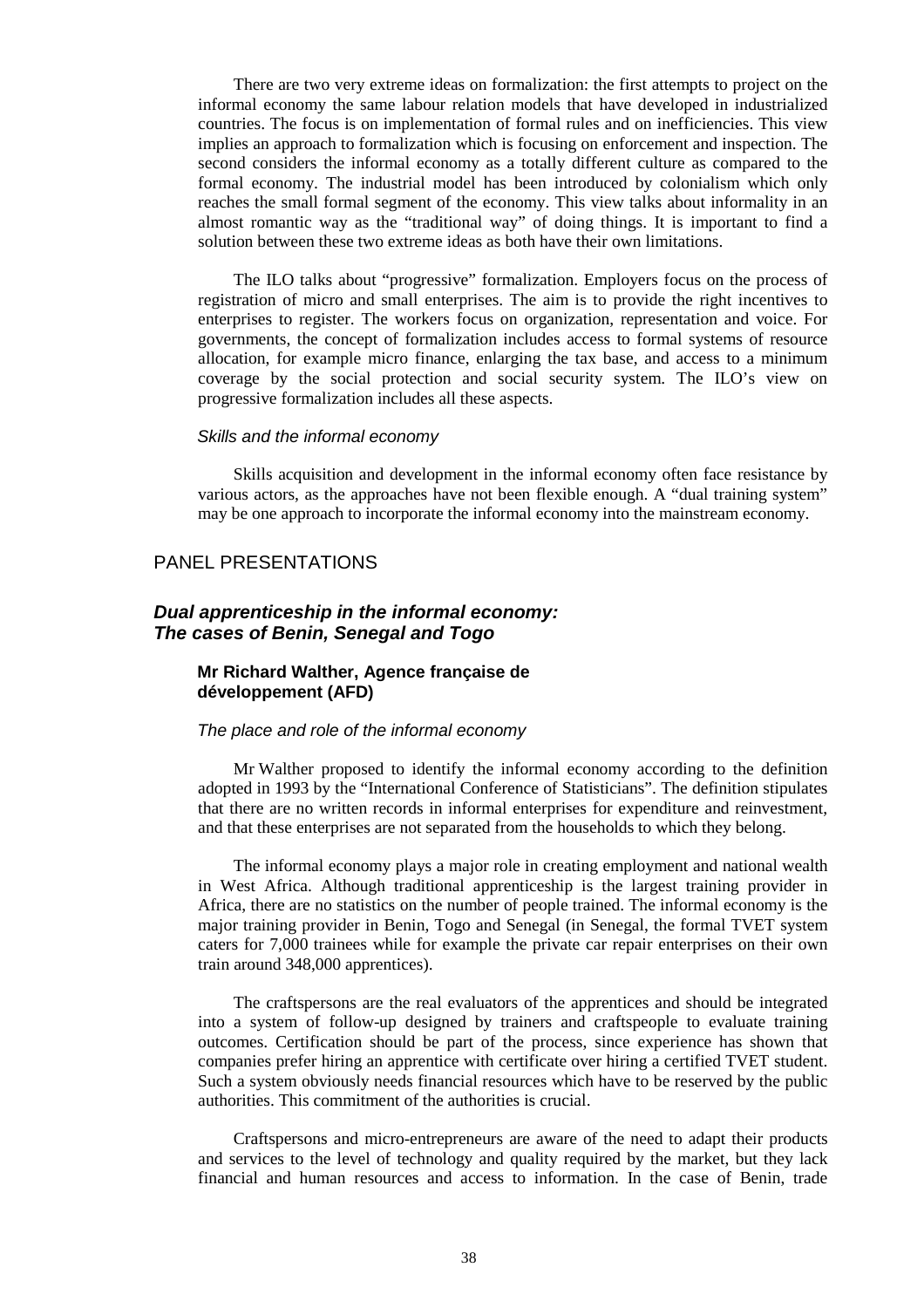There are two very extreme ideas on formalization: the first attempts to project on the informal economy the same labour relation models that have developed in industrialized countries. The focus is on implementation of formal rules and on inefficiencies. This view implies an approach to formalization which is focusing on enforcement and inspection. The second considers the informal economy as a totally different culture as compared to the formal economy. The industrial model has been introduced by colonialism which only reaches the small formal segment of the economy. This view talks about informality in an almost romantic way as the "traditional way" of doing things. It is important to find a solution between these two extreme ideas as both have their own limitations.

The ILO talks about "progressive" formalization. Employers focus on the process of registration of micro and small enterprises. The aim is to provide the right incentives to enterprises to register. The workers focus on organization, representation and voice. For governments, the concept of formalization includes access to formal systems of resource allocation, for example micro finance, enlarging the tax base, and access to a minimum coverage by the social protection and social security system. The ILO's view on progressive formalization includes all these aspects.

#### Skills and the informal economy

Skills acquisition and development in the informal economy often face resistance by various actors, as the approaches have not been flexible enough. A "dual training system" may be one approach to incorporate the informal economy into the mainstream economy.

### PANEL PRESENTATIONS

## **Dual apprenticeship in the informal economy: The cases of Benin, Senegal and Togo**

## **Mr Richard Walther, Agence française de développement (AFD)**

#### The place and role of the informal economy

Mr Walther proposed to identify the informal economy according to the definition adopted in 1993 by the "International Conference of Statisticians". The definition stipulates that there are no written records in informal enterprises for expenditure and reinvestment, and that these enterprises are not separated from the households to which they belong.

The informal economy plays a major role in creating employment and national wealth in West Africa. Although traditional apprenticeship is the largest training provider in Africa, there are no statistics on the number of people trained. The informal economy is the major training provider in Benin, Togo and Senegal (in Senegal, the formal TVET system caters for 7,000 trainees while for example the private car repair enterprises on their own train around 348,000 apprentices).

The craftspersons are the real evaluators of the apprentices and should be integrated into a system of follow-up designed by trainers and craftspeople to evaluate training outcomes. Certification should be part of the process, since experience has shown that companies prefer hiring an apprentice with certificate over hiring a certified TVET student. Such a system obviously needs financial resources which have to be reserved by the public authorities. This commitment of the authorities is crucial.

Craftspersons and micro-entrepreneurs are aware of the need to adapt their products and services to the level of technology and quality required by the market, but they lack financial and human resources and access to information. In the case of Benin, trade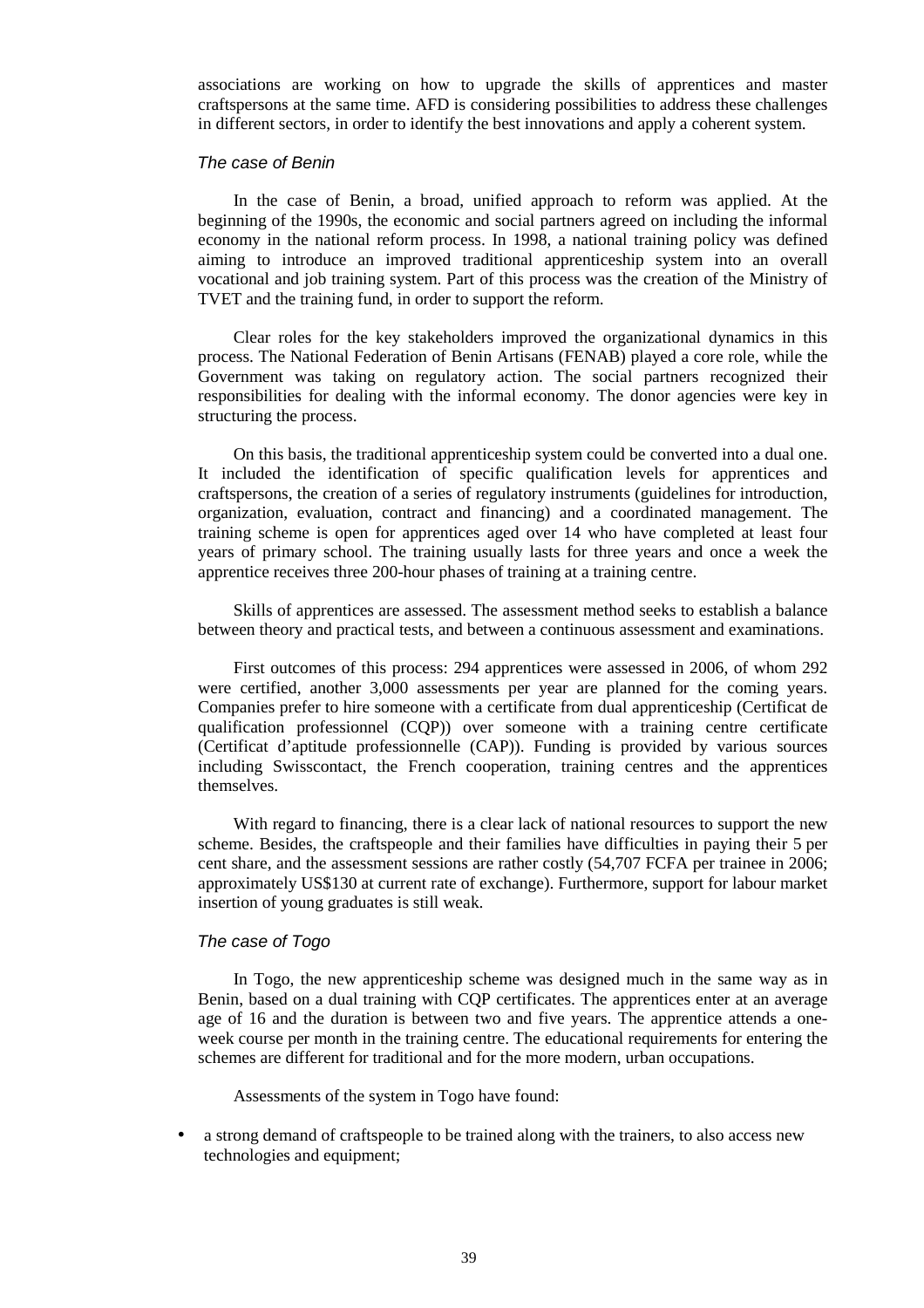associations are working on how to upgrade the skills of apprentices and master craftspersons at the same time. AFD is considering possibilities to address these challenges in different sectors, in order to identify the best innovations and apply a coherent system.

#### The case of Benin

In the case of Benin, a broad, unified approach to reform was applied. At the beginning of the 1990s, the economic and social partners agreed on including the informal economy in the national reform process. In 1998, a national training policy was defined aiming to introduce an improved traditional apprenticeship system into an overall vocational and job training system. Part of this process was the creation of the Ministry of TVET and the training fund, in order to support the reform.

Clear roles for the key stakeholders improved the organizational dynamics in this process. The National Federation of Benin Artisans (FENAB) played a core role, while the Government was taking on regulatory action. The social partners recognized their responsibilities for dealing with the informal economy. The donor agencies were key in structuring the process.

On this basis, the traditional apprenticeship system could be converted into a dual one. It included the identification of specific qualification levels for apprentices and craftspersons, the creation of a series of regulatory instruments (guidelines for introduction, organization, evaluation, contract and financing) and a coordinated management. The training scheme is open for apprentices aged over 14 who have completed at least four years of primary school. The training usually lasts for three years and once a week the apprentice receives three 200-hour phases of training at a training centre.

Skills of apprentices are assessed. The assessment method seeks to establish a balance between theory and practical tests, and between a continuous assessment and examinations.

First outcomes of this process: 294 apprentices were assessed in 2006, of whom 292 were certified, another 3,000 assessments per year are planned for the coming years. Companies prefer to hire someone with a certificate from dual apprenticeship (Certificat de qualification professionnel (CQP)) over someone with a training centre certificate (Certificat d'aptitude professionnelle (CAP)). Funding is provided by various sources including Swisscontact, the French cooperation, training centres and the apprentices themselves.

With regard to financing, there is a clear lack of national resources to support the new scheme. Besides, the craftspeople and their families have difficulties in paying their 5 per cent share, and the assessment sessions are rather costly (54,707 FCFA per trainee in 2006; approximately US\$130 at current rate of exchange). Furthermore, support for labour market insertion of young graduates is still weak.

#### The case of Togo

In Togo, the new apprenticeship scheme was designed much in the same way as in Benin, based on a dual training with CQP certificates. The apprentices enter at an average age of 16 and the duration is between two and five years. The apprentice attends a oneweek course per month in the training centre. The educational requirements for entering the schemes are different for traditional and for the more modern, urban occupations.

Assessments of the system in Togo have found:

• a strong demand of craftspeople to be trained along with the trainers, to also access new technologies and equipment;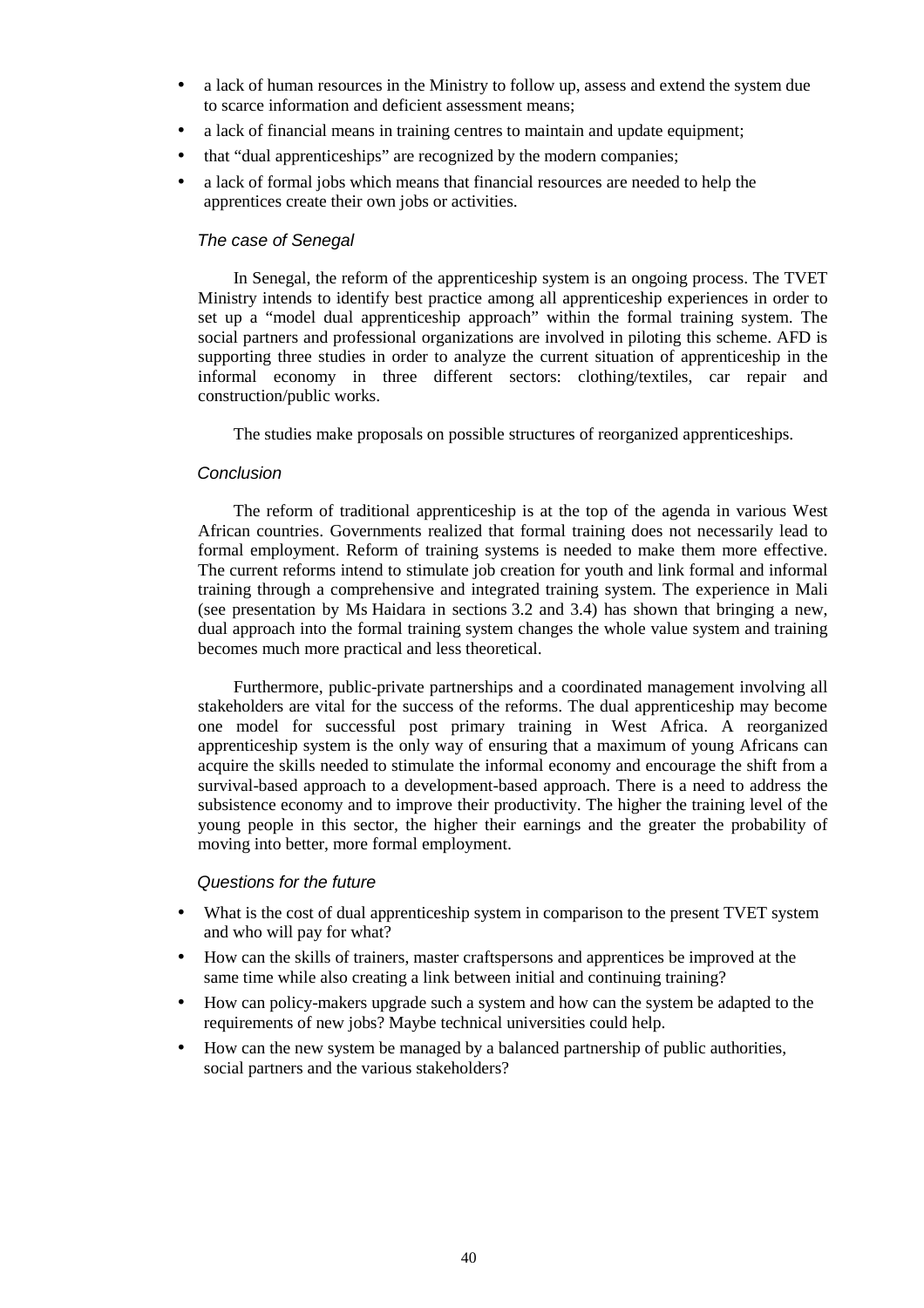- a lack of human resources in the Ministry to follow up, assess and extend the system due to scarce information and deficient assessment means;
- a lack of financial means in training centres to maintain and update equipment;
- that "dual apprenticeships" are recognized by the modern companies;
- a lack of formal jobs which means that financial resources are needed to help the apprentices create their own jobs or activities.

## The case of Senegal

In Senegal, the reform of the apprenticeship system is an ongoing process. The TVET Ministry intends to identify best practice among all apprenticeship experiences in order to set up a "model dual apprenticeship approach" within the formal training system. The social partners and professional organizations are involved in piloting this scheme. AFD is supporting three studies in order to analyze the current situation of apprenticeship in the informal economy in three different sectors: clothing/textiles, car repair and construction/public works.

The studies make proposals on possible structures of reorganized apprenticeships.

#### Conclusion

The reform of traditional apprenticeship is at the top of the agenda in various West African countries. Governments realized that formal training does not necessarily lead to formal employment. Reform of training systems is needed to make them more effective. The current reforms intend to stimulate job creation for youth and link formal and informal training through a comprehensive and integrated training system. The experience in Mali (see presentation by Ms Haidara in sections 3.2 and 3.4) has shown that bringing a new, dual approach into the formal training system changes the whole value system and training becomes much more practical and less theoretical.

Furthermore, public-private partnerships and a coordinated management involving all stakeholders are vital for the success of the reforms. The dual apprenticeship may become one model for successful post primary training in West Africa. A reorganized apprenticeship system is the only way of ensuring that a maximum of young Africans can acquire the skills needed to stimulate the informal economy and encourage the shift from a survival-based approach to a development-based approach. There is a need to address the subsistence economy and to improve their productivity. The higher the training level of the young people in this sector, the higher their earnings and the greater the probability of moving into better, more formal employment.

#### Questions for the future

- What is the cost of dual apprenticeship system in comparison to the present TVET system and who will pay for what?
- How can the skills of trainers, master craftspersons and apprentices be improved at the same time while also creating a link between initial and continuing training?
- How can policy-makers upgrade such a system and how can the system be adapted to the requirements of new jobs? Maybe technical universities could help.
- How can the new system be managed by a balanced partnership of public authorities, social partners and the various stakeholders?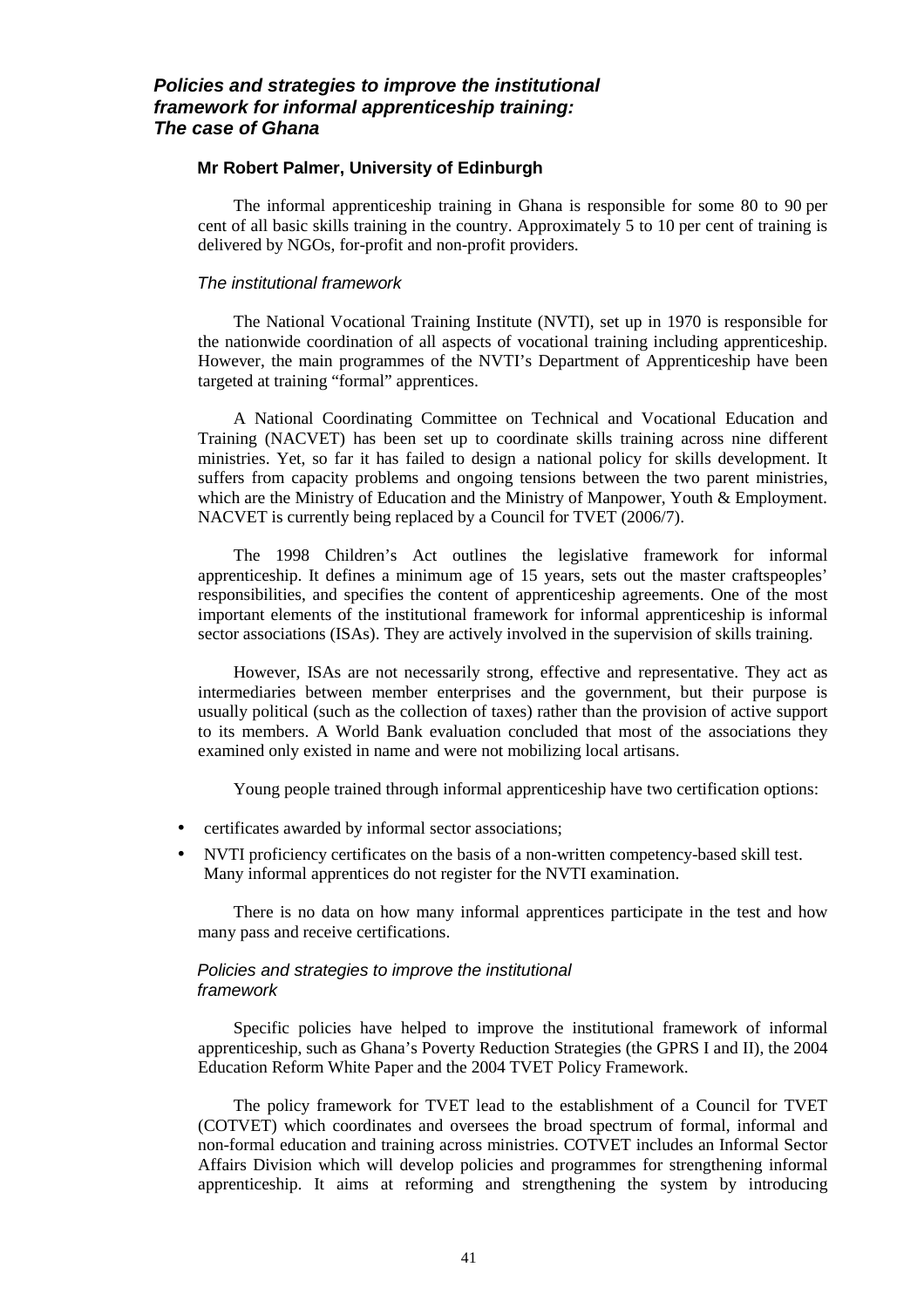## **Policies and strategies to improve the institutional framework for informal apprenticeship training: The case of Ghana**

#### **Mr Robert Palmer, University of Edinburgh**

The informal apprenticeship training in Ghana is responsible for some 80 to 90 per cent of all basic skills training in the country. Approximately 5 to 10 per cent of training is delivered by NGOs, for-profit and non-profit providers.

#### The institutional framework

The National Vocational Training Institute (NVTI), set up in 1970 is responsible for the nationwide coordination of all aspects of vocational training including apprenticeship. However, the main programmes of the NVTI's Department of Apprenticeship have been targeted at training "formal" apprentices.

A National Coordinating Committee on Technical and Vocational Education and Training (NACVET) has been set up to coordinate skills training across nine different ministries. Yet, so far it has failed to design a national policy for skills development. It suffers from capacity problems and ongoing tensions between the two parent ministries, which are the Ministry of Education and the Ministry of Manpower, Youth & Employment. NACVET is currently being replaced by a Council for TVET (2006/7).

The 1998 Children's Act outlines the legislative framework for informal apprenticeship. It defines a minimum age of 15 years, sets out the master craftspeoples' responsibilities, and specifies the content of apprenticeship agreements. One of the most important elements of the institutional framework for informal apprenticeship is informal sector associations (ISAs). They are actively involved in the supervision of skills training.

However, ISAs are not necessarily strong, effective and representative. They act as intermediaries between member enterprises and the government, but their purpose is usually political (such as the collection of taxes) rather than the provision of active support to its members. A World Bank evaluation concluded that most of the associations they examined only existed in name and were not mobilizing local artisans.

Young people trained through informal apprenticeship have two certification options:

- certificates awarded by informal sector associations;
- NVTI proficiency certificates on the basis of a non-written competency-based skill test. Many informal apprentices do not register for the NVTI examination.

There is no data on how many informal apprentices participate in the test and how many pass and receive certifications.

#### Policies and strategies to improve the institutional framework

Specific policies have helped to improve the institutional framework of informal apprenticeship, such as Ghana's Poverty Reduction Strategies (the GPRS I and II), the 2004 Education Reform White Paper and the 2004 TVET Policy Framework.

The policy framework for TVET lead to the establishment of a Council for TVET (COTVET) which coordinates and oversees the broad spectrum of formal, informal and non-formal education and training across ministries. COTVET includes an Informal Sector Affairs Division which will develop policies and programmes for strengthening informal apprenticeship. It aims at reforming and strengthening the system by introducing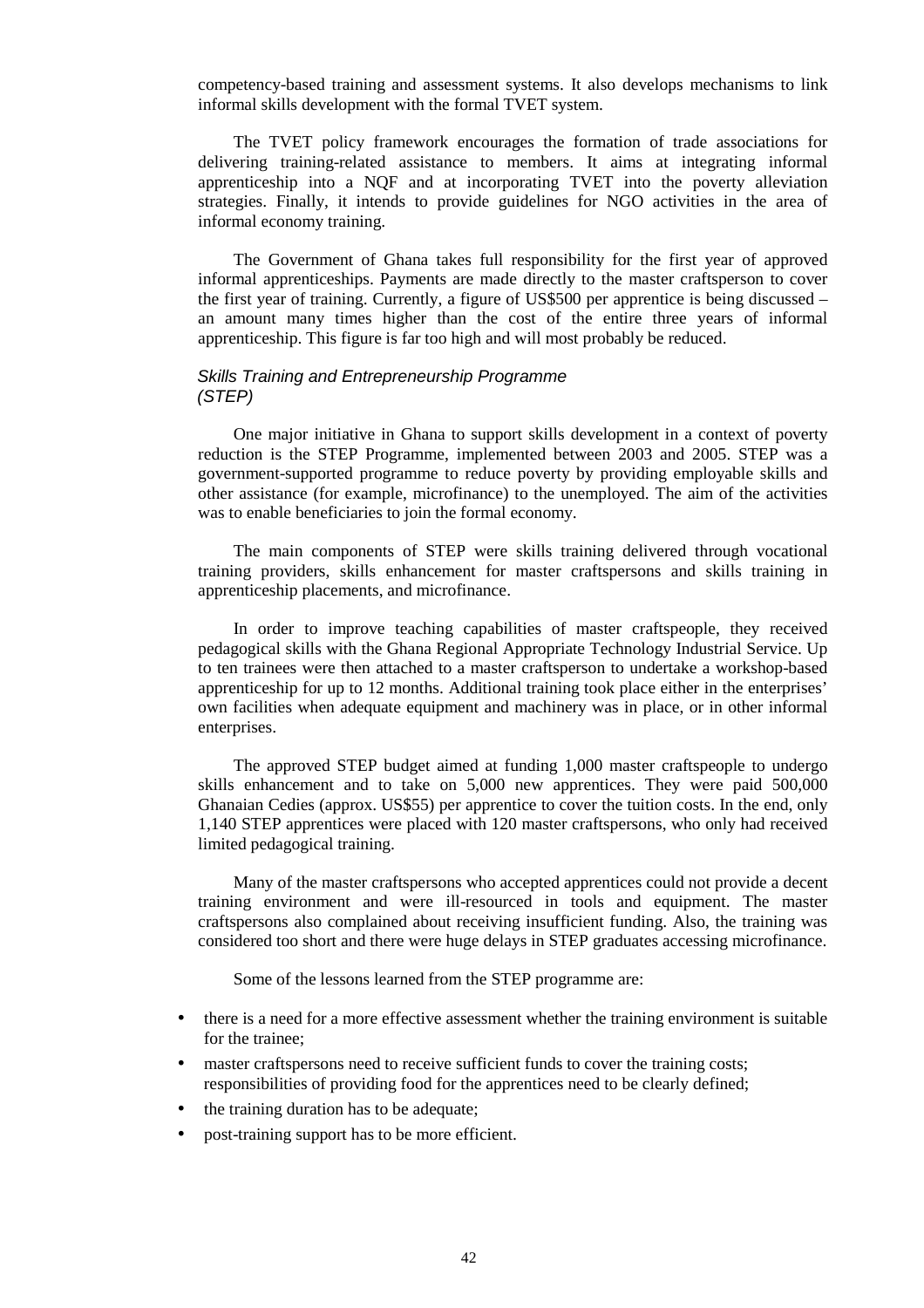competency-based training and assessment systems. It also develops mechanisms to link informal skills development with the formal TVET system.

The TVET policy framework encourages the formation of trade associations for delivering training-related assistance to members. It aims at integrating informal apprenticeship into a NQF and at incorporating TVET into the poverty alleviation strategies. Finally, it intends to provide guidelines for NGO activities in the area of informal economy training.

The Government of Ghana takes full responsibility for the first year of approved informal apprenticeships. Payments are made directly to the master craftsperson to cover the first year of training. Currently, a figure of US\$500 per apprentice is being discussed – an amount many times higher than the cost of the entire three years of informal apprenticeship. This figure is far too high and will most probably be reduced.

#### Skills Training and Entrepreneurship Programme (STEP)

One major initiative in Ghana to support skills development in a context of poverty reduction is the STEP Programme, implemented between 2003 and 2005. STEP was a government-supported programme to reduce poverty by providing employable skills and other assistance (for example, microfinance) to the unemployed. The aim of the activities was to enable beneficiaries to join the formal economy.

The main components of STEP were skills training delivered through vocational training providers, skills enhancement for master craftspersons and skills training in apprenticeship placements, and microfinance.

In order to improve teaching capabilities of master craftspeople, they received pedagogical skills with the Ghana Regional Appropriate Technology Industrial Service. Up to ten trainees were then attached to a master craftsperson to undertake a workshop-based apprenticeship for up to 12 months. Additional training took place either in the enterprises' own facilities when adequate equipment and machinery was in place, or in other informal enterprises.

The approved STEP budget aimed at funding 1,000 master craftspeople to undergo skills enhancement and to take on 5,000 new apprentices. They were paid 500,000 Ghanaian Cedies (approx. US\$55) per apprentice to cover the tuition costs. In the end, only 1,140 STEP apprentices were placed with 120 master craftspersons, who only had received limited pedagogical training.

Many of the master craftspersons who accepted apprentices could not provide a decent training environment and were ill-resourced in tools and equipment. The master craftspersons also complained about receiving insufficient funding. Also, the training was considered too short and there were huge delays in STEP graduates accessing microfinance.

Some of the lessons learned from the STEP programme are:

- there is a need for a more effective assessment whether the training environment is suitable for the trainee;
- master craftspersons need to receive sufficient funds to cover the training costs; responsibilities of providing food for the apprentices need to be clearly defined;
- the training duration has to be adequate;
- post-training support has to be more efficient.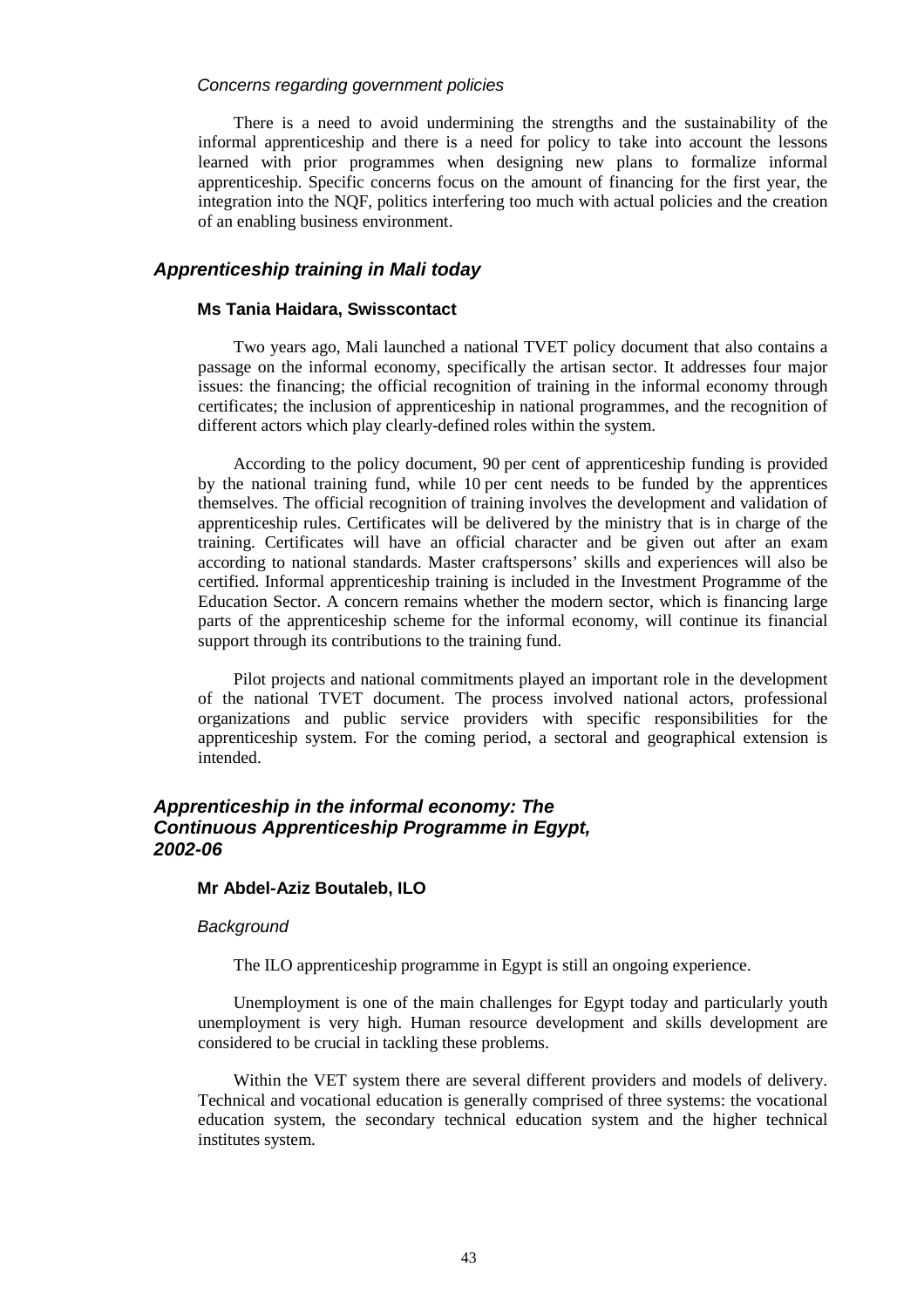#### Concerns regarding government policies

There is a need to avoid undermining the strengths and the sustainability of the informal apprenticeship and there is a need for policy to take into account the lessons learned with prior programmes when designing new plans to formalize informal apprenticeship. Specific concerns focus on the amount of financing for the first year, the integration into the NQF, politics interfering too much with actual policies and the creation of an enabling business environment.

## **Apprenticeship training in Mali today**

#### **Ms Tania Haidara, Swisscontact**

Two years ago, Mali launched a national TVET policy document that also contains a passage on the informal economy, specifically the artisan sector. It addresses four major issues: the financing; the official recognition of training in the informal economy through certificates; the inclusion of apprenticeship in national programmes, and the recognition of different actors which play clearly-defined roles within the system.

According to the policy document, 90 per cent of apprenticeship funding is provided by the national training fund, while 10 per cent needs to be funded by the apprentices themselves. The official recognition of training involves the development and validation of apprenticeship rules. Certificates will be delivered by the ministry that is in charge of the training. Certificates will have an official character and be given out after an exam according to national standards. Master craftspersons' skills and experiences will also be certified. Informal apprenticeship training is included in the Investment Programme of the Education Sector. A concern remains whether the modern sector, which is financing large parts of the apprenticeship scheme for the informal economy, will continue its financial support through its contributions to the training fund.

Pilot projects and national commitments played an important role in the development of the national TVET document. The process involved national actors, professional organizations and public service providers with specific responsibilities for the apprenticeship system. For the coming period, a sectoral and geographical extension is intended.

## **Apprenticeship in the informal economy: The Continuous Apprenticeship Programme in Egypt, 2002-06**

#### **Mr Abdel-Aziz Boutaleb, ILO**

#### **Background**

The ILO apprenticeship programme in Egypt is still an ongoing experience.

Unemployment is one of the main challenges for Egypt today and particularly youth unemployment is very high. Human resource development and skills development are considered to be crucial in tackling these problems.

Within the VET system there are several different providers and models of delivery. Technical and vocational education is generally comprised of three systems: the vocational education system, the secondary technical education system and the higher technical institutes system.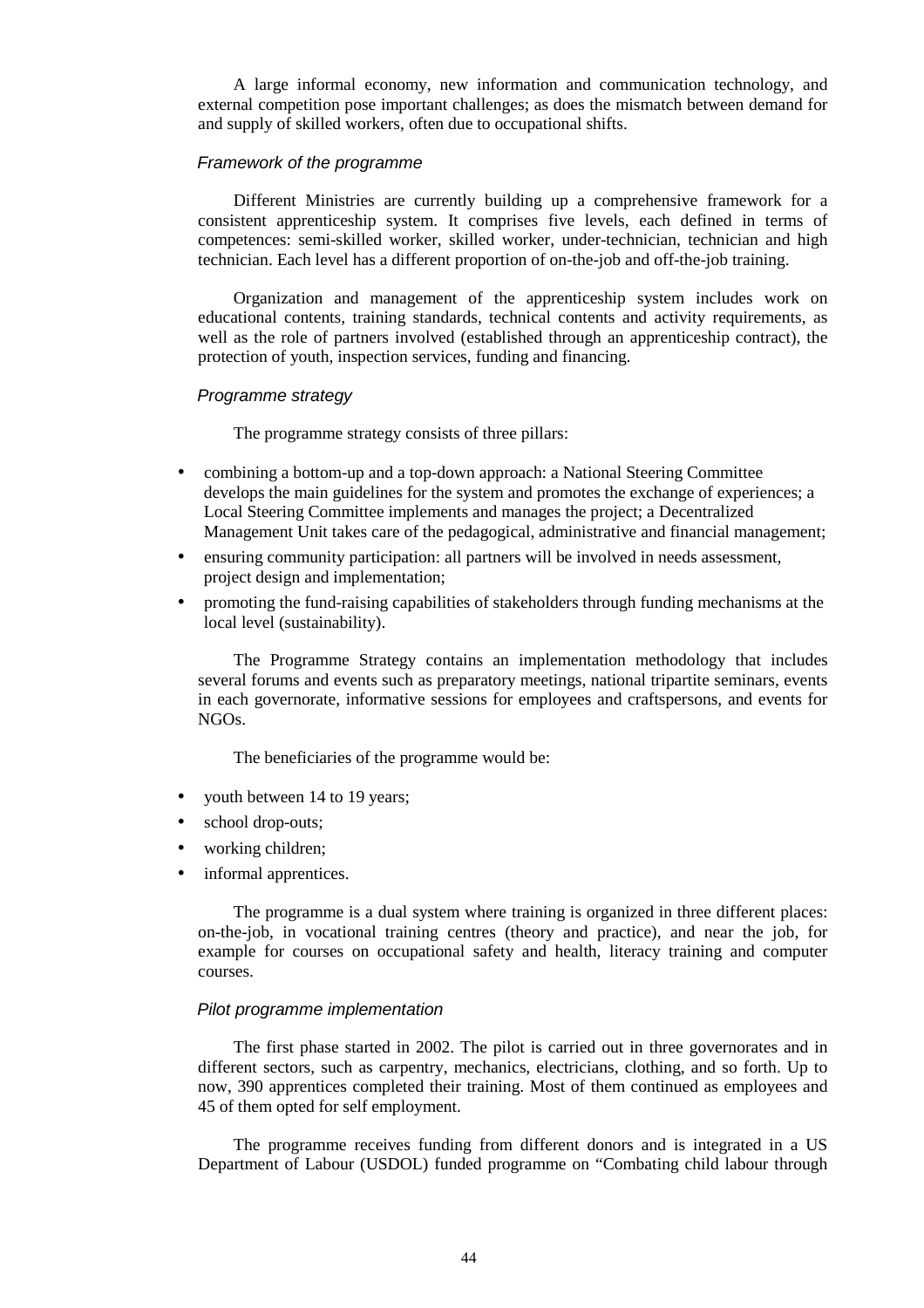A large informal economy, new information and communication technology, and external competition pose important challenges; as does the mismatch between demand for and supply of skilled workers, often due to occupational shifts.

#### Framework of the programme

Different Ministries are currently building up a comprehensive framework for a consistent apprenticeship system. It comprises five levels, each defined in terms of competences: semi-skilled worker, skilled worker, under-technician, technician and high technician. Each level has a different proportion of on-the-job and off-the-job training.

Organization and management of the apprenticeship system includes work on educational contents, training standards, technical contents and activity requirements, as well as the role of partners involved (established through an apprenticeship contract), the protection of youth, inspection services, funding and financing.

#### Programme strategy

The programme strategy consists of three pillars:

- combining a bottom-up and a top-down approach: a National Steering Committee develops the main guidelines for the system and promotes the exchange of experiences; a Local Steering Committee implements and manages the project; a Decentralized Management Unit takes care of the pedagogical, administrative and financial management;
- ensuring community participation: all partners will be involved in needs assessment, project design and implementation;
- promoting the fund-raising capabilities of stakeholders through funding mechanisms at the local level (sustainability).

The Programme Strategy contains an implementation methodology that includes several forums and events such as preparatory meetings, national tripartite seminars, events in each governorate, informative sessions for employees and craftspersons, and events for NGOs.

The beneficiaries of the programme would be:

- youth between 14 to 19 years;
- school drop-outs;
- working children;
- informal apprentices.

The programme is a dual system where training is organized in three different places: on-the-job, in vocational training centres (theory and practice), and near the job, for example for courses on occupational safety and health, literacy training and computer courses.

#### Pilot programme implementation

The first phase started in 2002. The pilot is carried out in three governorates and in different sectors, such as carpentry, mechanics, electricians, clothing, and so forth. Up to now, 390 apprentices completed their training. Most of them continued as employees and 45 of them opted for self employment.

The programme receives funding from different donors and is integrated in a US Department of Labour (USDOL) funded programme on "Combating child labour through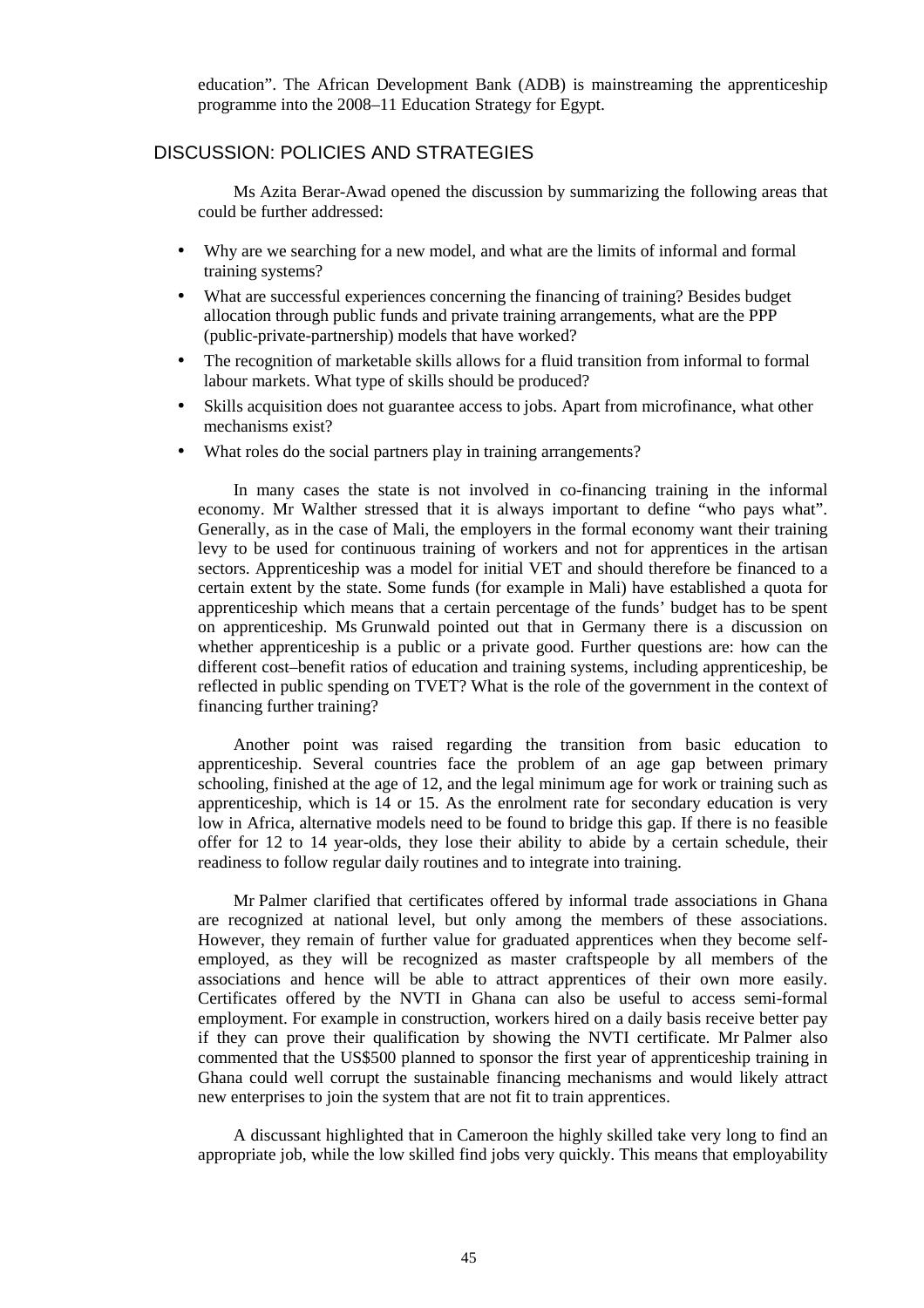education". The African Development Bank (ADB) is mainstreaming the apprenticeship programme into the 2008–11 Education Strategy for Egypt.

## DISCUSSION: POLICIES AND STRATEGIES

Ms Azita Berar-Awad opened the discussion by summarizing the following areas that could be further addressed:

- Why are we searching for a new model, and what are the limits of informal and formal training systems?
- What are successful experiences concerning the financing of training? Besides budget allocation through public funds and private training arrangements, what are the PPP (public-private-partnership) models that have worked?
- The recognition of marketable skills allows for a fluid transition from informal to formal labour markets. What type of skills should be produced?
- Skills acquisition does not guarantee access to jobs. Apart from microfinance, what other mechanisms exist?
- What roles do the social partners play in training arrangements?

In many cases the state is not involved in co-financing training in the informal economy. Mr Walther stressed that it is always important to define "who pays what". Generally, as in the case of Mali, the employers in the formal economy want their training levy to be used for continuous training of workers and not for apprentices in the artisan sectors. Apprenticeship was a model for initial VET and should therefore be financed to a certain extent by the state. Some funds (for example in Mali) have established a quota for apprenticeship which means that a certain percentage of the funds' budget has to be spent on apprenticeship. Ms Grunwald pointed out that in Germany there is a discussion on whether apprenticeship is a public or a private good. Further questions are: how can the different cost–benefit ratios of education and training systems, including apprenticeship, be reflected in public spending on TVET? What is the role of the government in the context of financing further training?

Another point was raised regarding the transition from basic education to apprenticeship. Several countries face the problem of an age gap between primary schooling, finished at the age of 12, and the legal minimum age for work or training such as apprenticeship, which is 14 or 15. As the enrolment rate for secondary education is very low in Africa, alternative models need to be found to bridge this gap. If there is no feasible offer for 12 to 14 year-olds, they lose their ability to abide by a certain schedule, their readiness to follow regular daily routines and to integrate into training.

Mr Palmer clarified that certificates offered by informal trade associations in Ghana are recognized at national level, but only among the members of these associations. However, they remain of further value for graduated apprentices when they become selfemployed, as they will be recognized as master craftspeople by all members of the associations and hence will be able to attract apprentices of their own more easily. Certificates offered by the NVTI in Ghana can also be useful to access semi-formal employment. For example in construction, workers hired on a daily basis receive better pay if they can prove their qualification by showing the NVTI certificate. Mr Palmer also commented that the US\$500 planned to sponsor the first year of apprenticeship training in Ghana could well corrupt the sustainable financing mechanisms and would likely attract new enterprises to join the system that are not fit to train apprentices.

A discussant highlighted that in Cameroon the highly skilled take very long to find an appropriate job, while the low skilled find jobs very quickly. This means that employability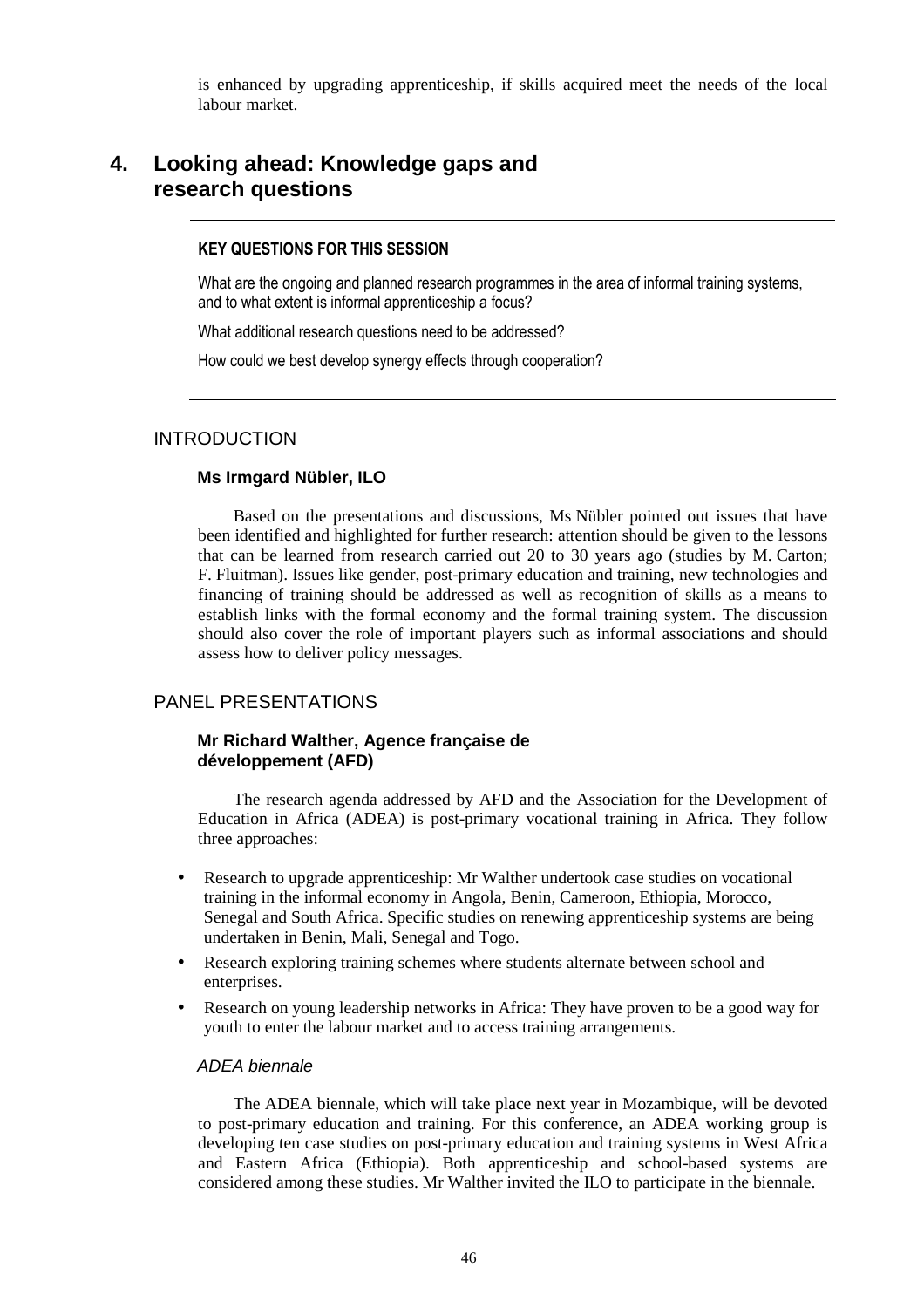is enhanced by upgrading apprenticeship, if skills acquired meet the needs of the local labour market.

## **4. Looking ahead: Knowledge gaps and research questions**

#### KEY QUESTIONS FOR THIS SESSION

What are the ongoing and planned research programmes in the area of informal training systems, and to what extent is informal apprenticeship a focus?

What additional research questions need to be addressed?

How could we best develop synergy effects through cooperation?

## INTRODUCTION

#### **Ms Irmgard Nübler, ILO**

Based on the presentations and discussions, Ms Nübler pointed out issues that have been identified and highlighted for further research: attention should be given to the lessons that can be learned from research carried out 20 to 30 years ago (studies by M. Carton; F. Fluitman). Issues like gender, post-primary education and training, new technologies and financing of training should be addressed as well as recognition of skills as a means to establish links with the formal economy and the formal training system. The discussion should also cover the role of important players such as informal associations and should assess how to deliver policy messages.

## PANEL PRESENTATIONS

#### **Mr Richard Walther, Agence française de développement (AFD)**

The research agenda addressed by AFD and the Association for the Development of Education in Africa (ADEA) is post-primary vocational training in Africa. They follow three approaches:

- Research to upgrade apprenticeship: Mr Walther undertook case studies on vocational training in the informal economy in Angola, Benin, Cameroon, Ethiopia, Morocco, Senegal and South Africa. Specific studies on renewing apprenticeship systems are being undertaken in Benin, Mali, Senegal and Togo.
- Research exploring training schemes where students alternate between school and enterprises.
- Research on young leadership networks in Africa: They have proven to be a good way for youth to enter the labour market and to access training arrangements.

#### ADEA biennale

The ADEA biennale, which will take place next year in Mozambique, will be devoted to post-primary education and training. For this conference, an ADEA working group is developing ten case studies on post-primary education and training systems in West Africa and Eastern Africa (Ethiopia). Both apprenticeship and school-based systems are considered among these studies. Mr Walther invited the ILO to participate in the biennale.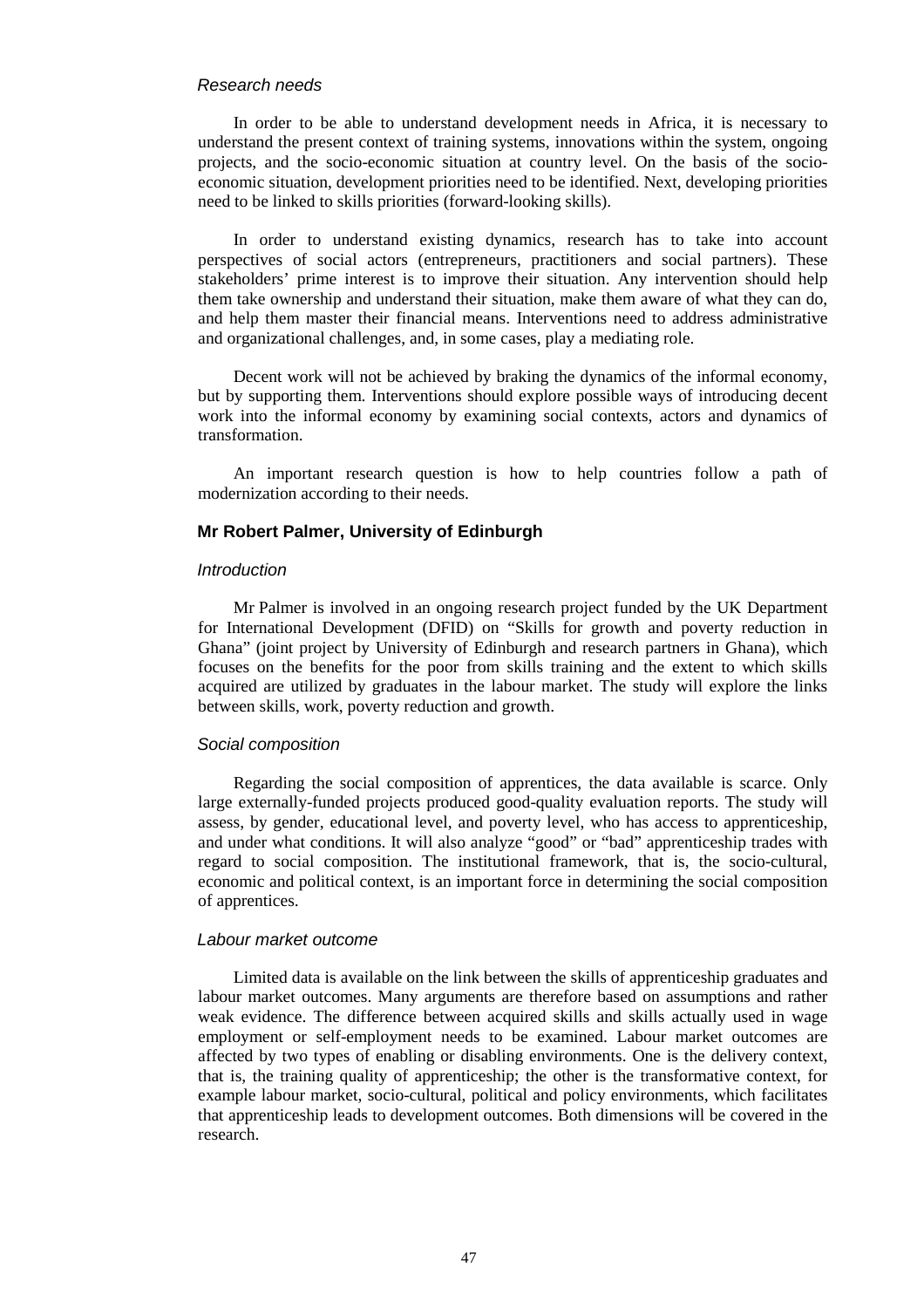#### Research needs

In order to be able to understand development needs in Africa, it is necessary to understand the present context of training systems, innovations within the system, ongoing projects, and the socio-economic situation at country level. On the basis of the socioeconomic situation, development priorities need to be identified. Next, developing priorities need to be linked to skills priorities (forward-looking skills).

In order to understand existing dynamics, research has to take into account perspectives of social actors (entrepreneurs, practitioners and social partners). These stakeholders' prime interest is to improve their situation. Any intervention should help them take ownership and understand their situation, make them aware of what they can do, and help them master their financial means. Interventions need to address administrative and organizational challenges, and, in some cases, play a mediating role.

Decent work will not be achieved by braking the dynamics of the informal economy, but by supporting them. Interventions should explore possible ways of introducing decent work into the informal economy by examining social contexts, actors and dynamics of transformation.

An important research question is how to help countries follow a path of modernization according to their needs.

#### **Mr Robert Palmer, University of Edinburgh**

#### Introduction

Mr Palmer is involved in an ongoing research project funded by the UK Department for International Development (DFID) on "Skills for growth and poverty reduction in Ghana" (joint project by University of Edinburgh and research partners in Ghana), which focuses on the benefits for the poor from skills training and the extent to which skills acquired are utilized by graduates in the labour market. The study will explore the links between skills, work, poverty reduction and growth.

#### Social composition

Regarding the social composition of apprentices, the data available is scarce. Only large externally-funded projects produced good-quality evaluation reports. The study will assess, by gender, educational level, and poverty level, who has access to apprenticeship, and under what conditions. It will also analyze "good" or "bad" apprenticeship trades with regard to social composition. The institutional framework, that is, the socio-cultural, economic and political context, is an important force in determining the social composition of apprentices.

#### Labour market outcome

Limited data is available on the link between the skills of apprenticeship graduates and labour market outcomes. Many arguments are therefore based on assumptions and rather weak evidence. The difference between acquired skills and skills actually used in wage employment or self-employment needs to be examined. Labour market outcomes are affected by two types of enabling or disabling environments. One is the delivery context, that is, the training quality of apprenticeship; the other is the transformative context, for example labour market, socio-cultural, political and policy environments, which facilitates that apprenticeship leads to development outcomes. Both dimensions will be covered in the research.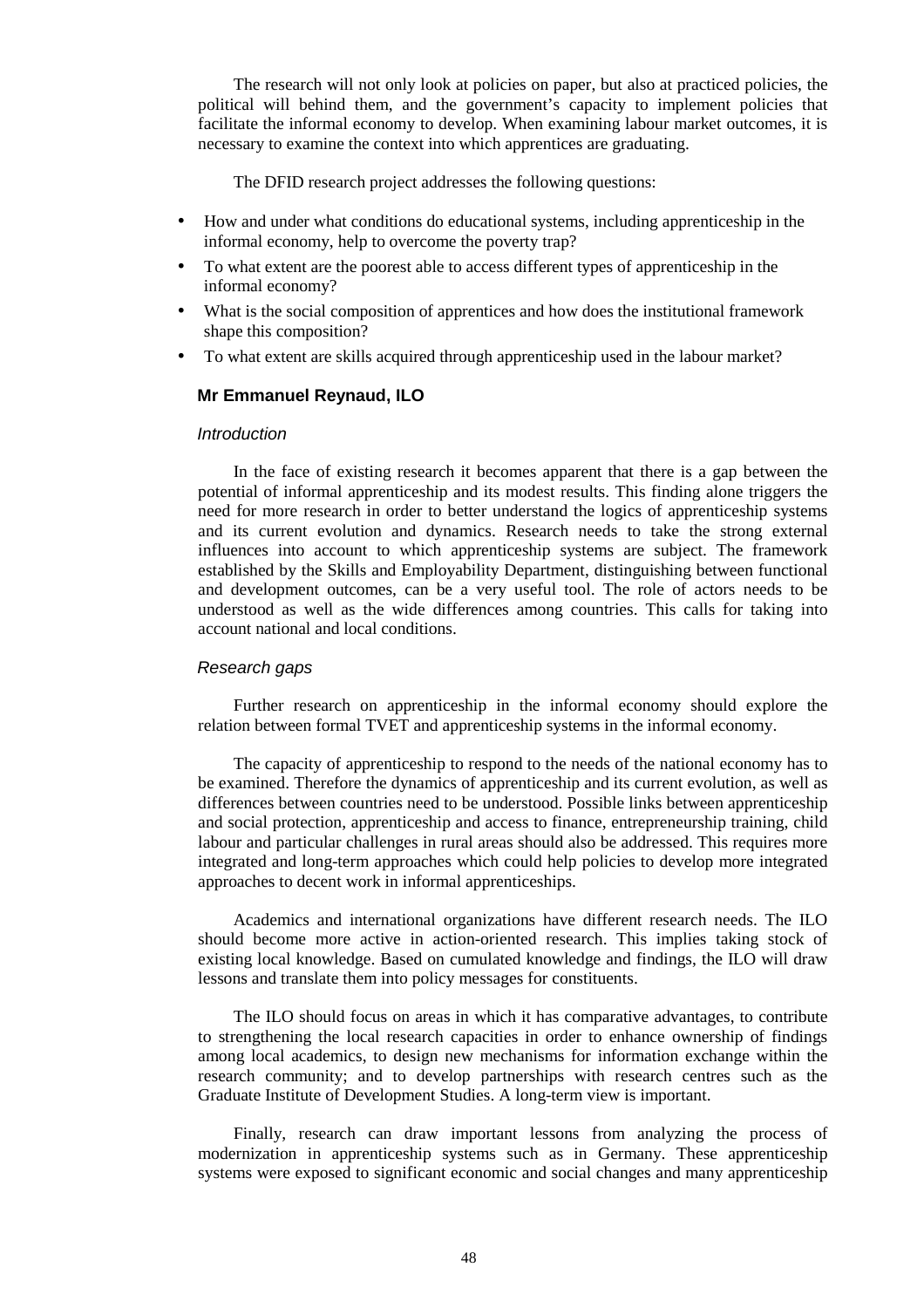The research will not only look at policies on paper, but also at practiced policies, the political will behind them, and the government's capacity to implement policies that facilitate the informal economy to develop. When examining labour market outcomes, it is necessary to examine the context into which apprentices are graduating.

The DFID research project addresses the following questions:

- How and under what conditions do educational systems, including apprenticeship in the informal economy, help to overcome the poverty trap?
- To what extent are the poorest able to access different types of apprenticeship in the informal economy?
- What is the social composition of apprentices and how does the institutional framework shape this composition?
- To what extent are skills acquired through apprenticeship used in the labour market?

#### **Mr Emmanuel Reynaud, ILO**

#### Introduction

In the face of existing research it becomes apparent that there is a gap between the potential of informal apprenticeship and its modest results. This finding alone triggers the need for more research in order to better understand the logics of apprenticeship systems and its current evolution and dynamics. Research needs to take the strong external influences into account to which apprenticeship systems are subject. The framework established by the Skills and Employability Department, distinguishing between functional and development outcomes, can be a very useful tool. The role of actors needs to be understood as well as the wide differences among countries. This calls for taking into account national and local conditions.

#### Research gaps

Further research on apprenticeship in the informal economy should explore the relation between formal TVET and apprenticeship systems in the informal economy.

The capacity of apprenticeship to respond to the needs of the national economy has to be examined. Therefore the dynamics of apprenticeship and its current evolution, as well as differences between countries need to be understood. Possible links between apprenticeship and social protection, apprenticeship and access to finance, entrepreneurship training, child labour and particular challenges in rural areas should also be addressed. This requires more integrated and long-term approaches which could help policies to develop more integrated approaches to decent work in informal apprenticeships.

Academics and international organizations have different research needs. The ILO should become more active in action-oriented research. This implies taking stock of existing local knowledge. Based on cumulated knowledge and findings, the ILO will draw lessons and translate them into policy messages for constituents.

The ILO should focus on areas in which it has comparative advantages, to contribute to strengthening the local research capacities in order to enhance ownership of findings among local academics, to design new mechanisms for information exchange within the research community; and to develop partnerships with research centres such as the Graduate Institute of Development Studies. A long-term view is important.

Finally, research can draw important lessons from analyzing the process of modernization in apprenticeship systems such as in Germany. These apprenticeship systems were exposed to significant economic and social changes and many apprenticeship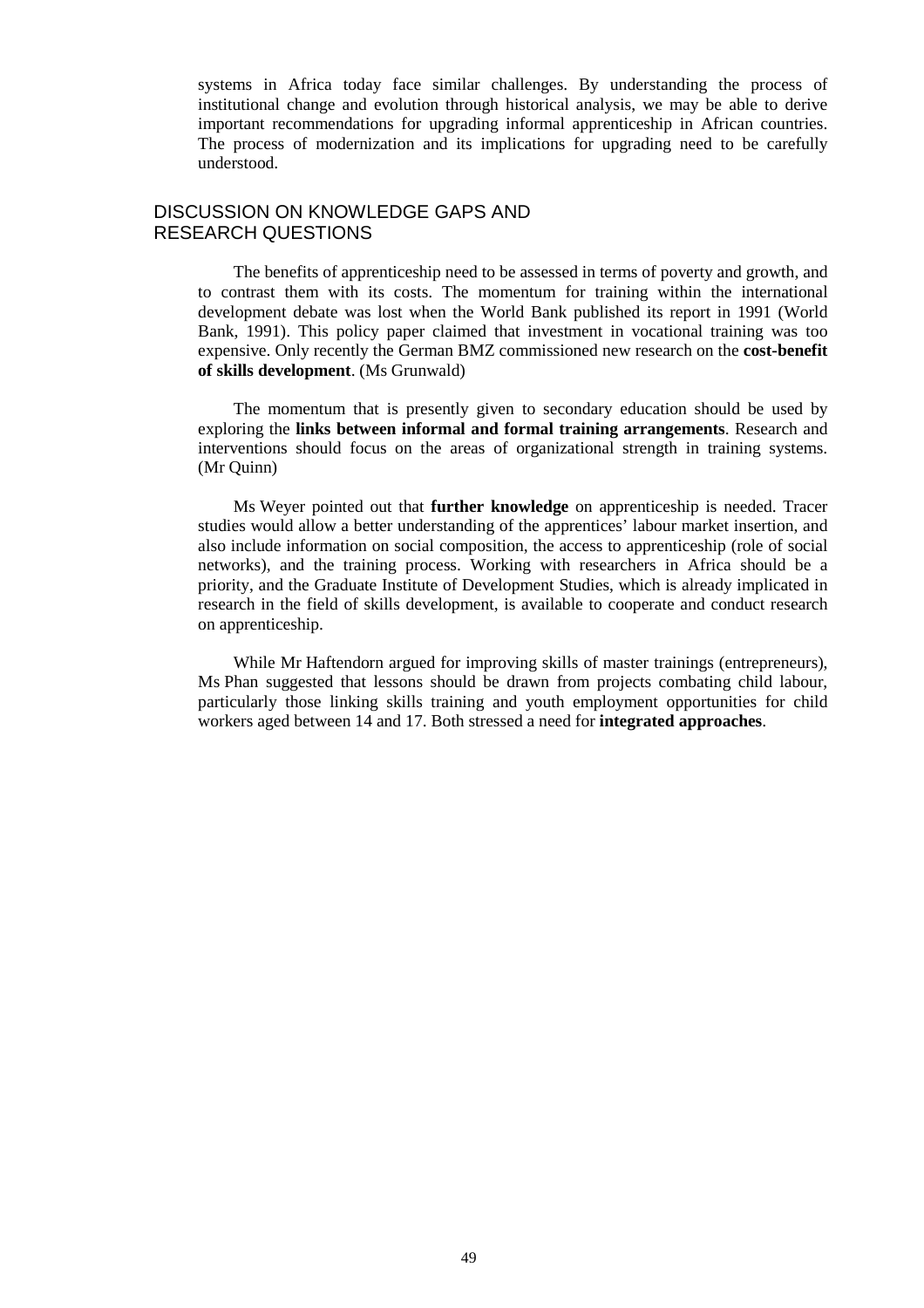systems in Africa today face similar challenges. By understanding the process of institutional change and evolution through historical analysis, we may be able to derive important recommendations for upgrading informal apprenticeship in African countries. The process of modernization and its implications for upgrading need to be carefully understood.

## DISCUSSION ON KNOWLEDGE GAPS AND RESEARCH QUESTIONS

The benefits of apprenticeship need to be assessed in terms of poverty and growth, and to contrast them with its costs. The momentum for training within the international development debate was lost when the World Bank published its report in 1991 (World Bank, 1991). This policy paper claimed that investment in vocational training was too expensive. Only recently the German BMZ commissioned new research on the **cost-benefit of skills development**. (Ms Grunwald)

The momentum that is presently given to secondary education should be used by exploring the **links between informal and formal training arrangements**. Research and interventions should focus on the areas of organizational strength in training systems. (Mr Quinn)

Ms Weyer pointed out that **further knowledge** on apprenticeship is needed. Tracer studies would allow a better understanding of the apprentices' labour market insertion, and also include information on social composition, the access to apprenticeship (role of social networks), and the training process. Working with researchers in Africa should be a priority, and the Graduate Institute of Development Studies, which is already implicated in research in the field of skills development, is available to cooperate and conduct research on apprenticeship.

While Mr Haftendorn argued for improving skills of master trainings (entrepreneurs), Ms Phan suggested that lessons should be drawn from projects combating child labour, particularly those linking skills training and youth employment opportunities for child workers aged between 14 and 17. Both stressed a need for **integrated approaches**.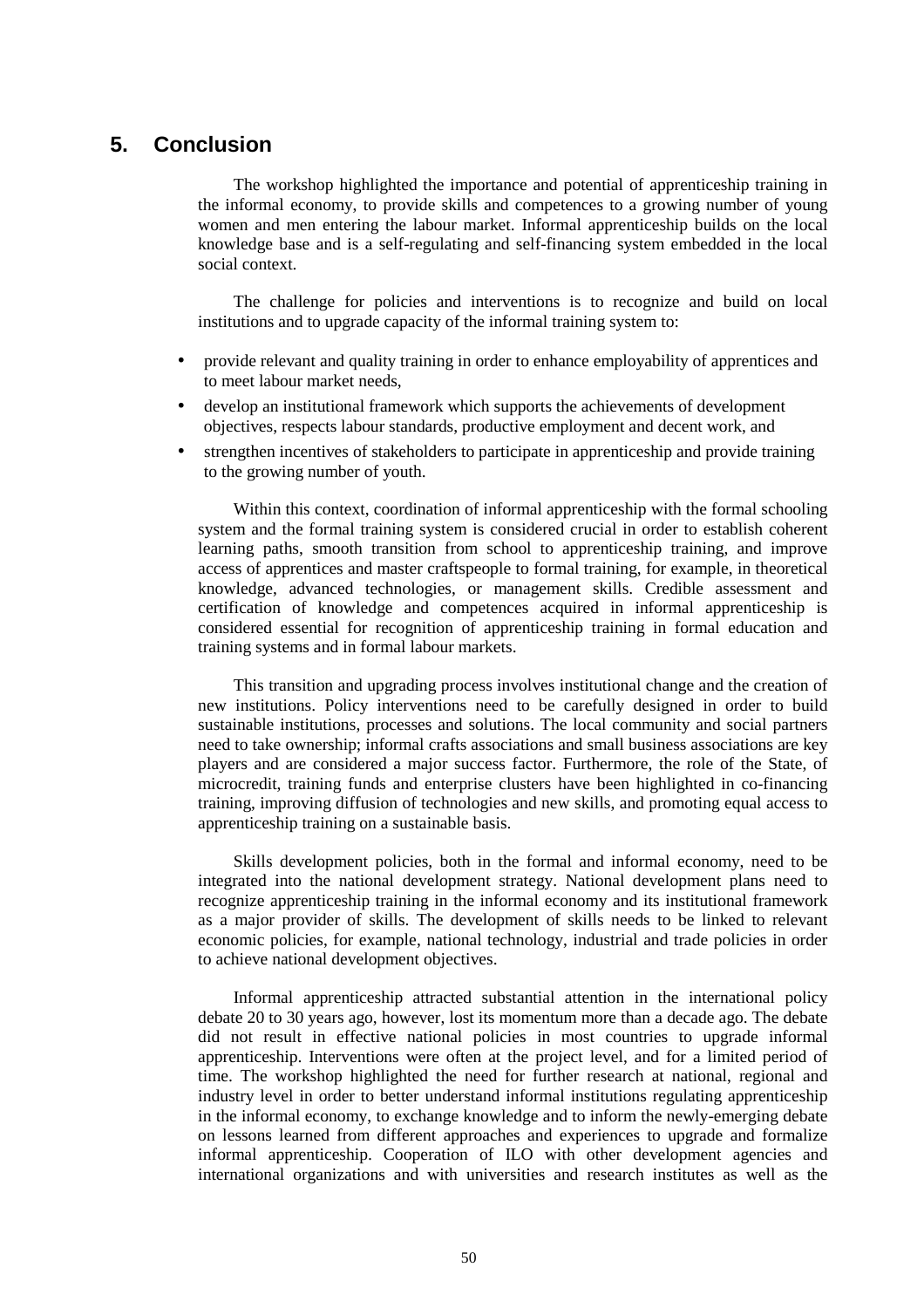## **5. Conclusion**

The workshop highlighted the importance and potential of apprenticeship training in the informal economy, to provide skills and competences to a growing number of young women and men entering the labour market. Informal apprenticeship builds on the local knowledge base and is a self-regulating and self-financing system embedded in the local social context.

The challenge for policies and interventions is to recognize and build on local institutions and to upgrade capacity of the informal training system to:

- provide relevant and quality training in order to enhance employability of apprentices and to meet labour market needs,
- develop an institutional framework which supports the achievements of development objectives, respects labour standards, productive employment and decent work, and
- strengthen incentives of stakeholders to participate in apprenticeship and provide training to the growing number of youth.

Within this context, coordination of informal apprenticeship with the formal schooling system and the formal training system is considered crucial in order to establish coherent learning paths, smooth transition from school to apprenticeship training, and improve access of apprentices and master craftspeople to formal training, for example, in theoretical knowledge, advanced technologies, or management skills. Credible assessment and certification of knowledge and competences acquired in informal apprenticeship is considered essential for recognition of apprenticeship training in formal education and training systems and in formal labour markets.

This transition and upgrading process involves institutional change and the creation of new institutions. Policy interventions need to be carefully designed in order to build sustainable institutions, processes and solutions. The local community and social partners need to take ownership; informal crafts associations and small business associations are key players and are considered a major success factor. Furthermore, the role of the State, of microcredit, training funds and enterprise clusters have been highlighted in co-financing training, improving diffusion of technologies and new skills, and promoting equal access to apprenticeship training on a sustainable basis.

Skills development policies, both in the formal and informal economy, need to be integrated into the national development strategy. National development plans need to recognize apprenticeship training in the informal economy and its institutional framework as a major provider of skills. The development of skills needs to be linked to relevant economic policies, for example, national technology, industrial and trade policies in order to achieve national development objectives.

Informal apprenticeship attracted substantial attention in the international policy debate 20 to 30 years ago, however, lost its momentum more than a decade ago. The debate did not result in effective national policies in most countries to upgrade informal apprenticeship. Interventions were often at the project level, and for a limited period of time. The workshop highlighted the need for further research at national, regional and industry level in order to better understand informal institutions regulating apprenticeship in the informal economy, to exchange knowledge and to inform the newly-emerging debate on lessons learned from different approaches and experiences to upgrade and formalize informal apprenticeship. Cooperation of ILO with other development agencies and international organizations and with universities and research institutes as well as the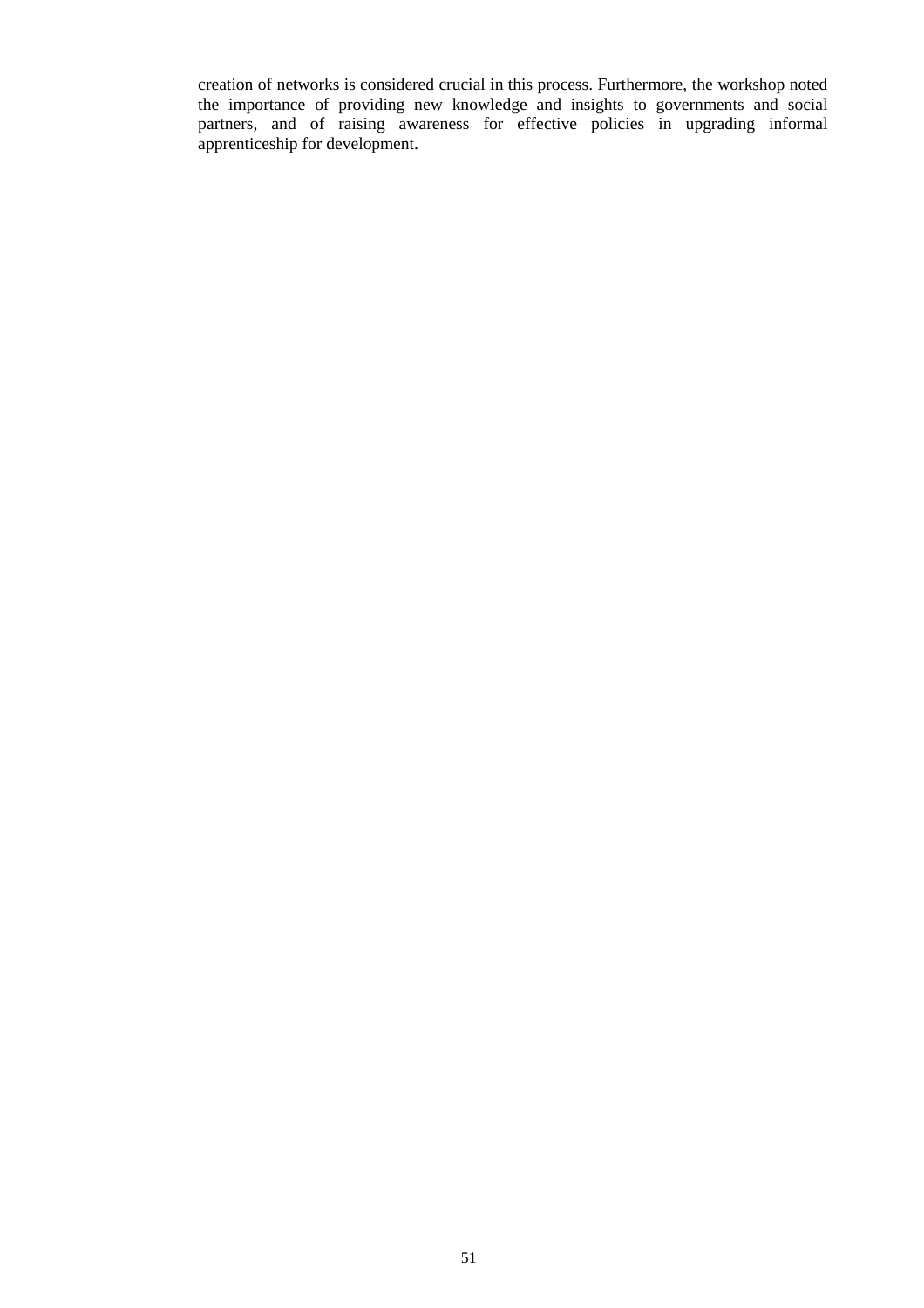creation of networks is considered crucial in this process. Furthermore, the workshop noted the importance of providing new knowledge and insights to governments and social partners, and of raising awareness for effective policies in upgrading informal apprenticeship for development.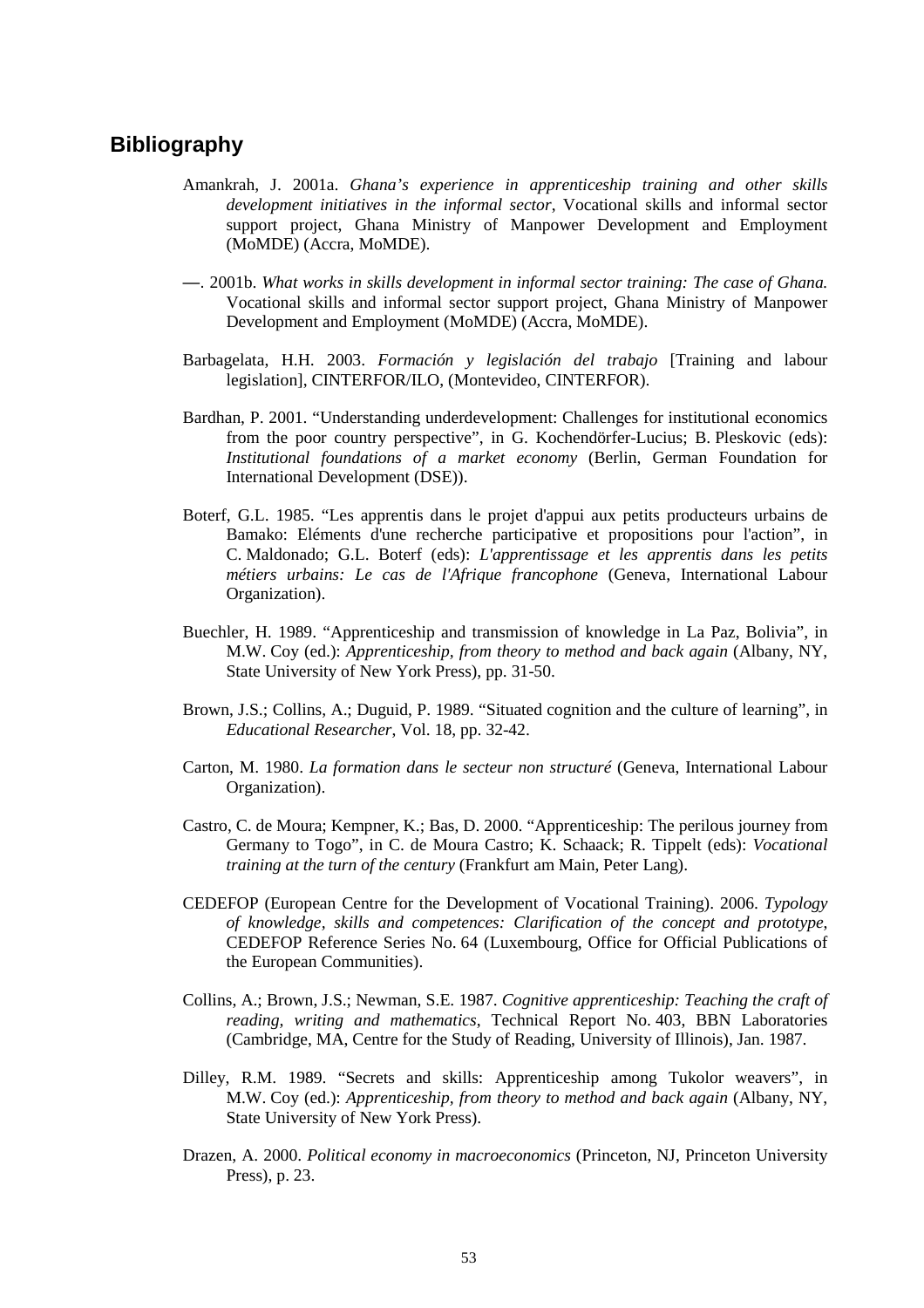## **Bibliography**

- Amankrah, J. 2001a. *Ghana's experience in apprenticeship training and other skills development initiatives in the informal sector*, Vocational skills and informal sector support project, Ghana Ministry of Manpower Development and Employment (MoMDE) (Accra, MoMDE).
- —. 2001b. *What works in skills development in informal sector training: The case of Ghana.* Vocational skills and informal sector support project, Ghana Ministry of Manpower Development and Employment (MoMDE) (Accra, MoMDE).
- Barbagelata, H.H. 2003. *Formación y legislación del trabajo* [Training and labour legislation], CINTERFOR/ILO, (Montevideo, CINTERFOR).
- Bardhan, P. 2001. "Understanding underdevelopment: Challenges for institutional economics from the poor country perspective", in G. Kochendörfer-Lucius; B. Pleskovic (eds): *Institutional foundations of a market economy* (Berlin, German Foundation for International Development (DSE)).
- Boterf, G.L. 1985. "Les apprentis dans le projet d'appui aux petits producteurs urbains de Bamako: Eléments d'une recherche participative et propositions pour l'action", in C. Maldonado; G.L. Boterf (eds): *L'apprentissage et les apprentis dans les petits métiers urbains: Le cas de l'Afrique francophone* (Geneva, International Labour Organization).
- Buechler, H. 1989. "Apprenticeship and transmission of knowledge in La Paz, Bolivia", in M.W. Coy (ed.): *Apprenticeship, from theory to method and back again* (Albany, NY, State University of New York Press), pp. 31-50.
- Brown, J.S.; Collins, A.; Duguid, P. 1989. "Situated cognition and the culture of learning", in *Educational Researcher*, Vol. 18, pp. 32-42.
- Carton, M. 1980. *La formation dans le secteur non structuré* (Geneva, International Labour Organization).
- Castro, C. de Moura; Kempner, K.; Bas, D. 2000. "Apprenticeship: The perilous journey from Germany to Togo", in C. de Moura Castro; K. Schaack; R. Tippelt (eds): *Vocational training at the turn of the century* (Frankfurt am Main, Peter Lang).
- CEDEFOP (European Centre for the Development of Vocational Training). 2006. *Typology of knowledge, skills and competences: Clarification of the concept and prototype*, CEDEFOP Reference Series No. 64 (Luxembourg, Office for Official Publications of the European Communities).
- Collins, A.; Brown, J.S.; Newman, S.E. 1987. *Cognitive apprenticeship: Teaching the craft of reading, writing and mathematics*, Technical Report No. 403, BBN Laboratories (Cambridge, MA, Centre for the Study of Reading, University of Illinois), Jan. 1987.
- Dilley, R.M. 1989. "Secrets and skills: Apprenticeship among Tukolor weavers", in M.W. Coy (ed.): *Apprenticeship, from theory to method and back again* (Albany, NY, State University of New York Press).
- Drazen, A. 2000. *Political economy in macroeconomics* (Princeton, NJ, Princeton University Press), p. 23.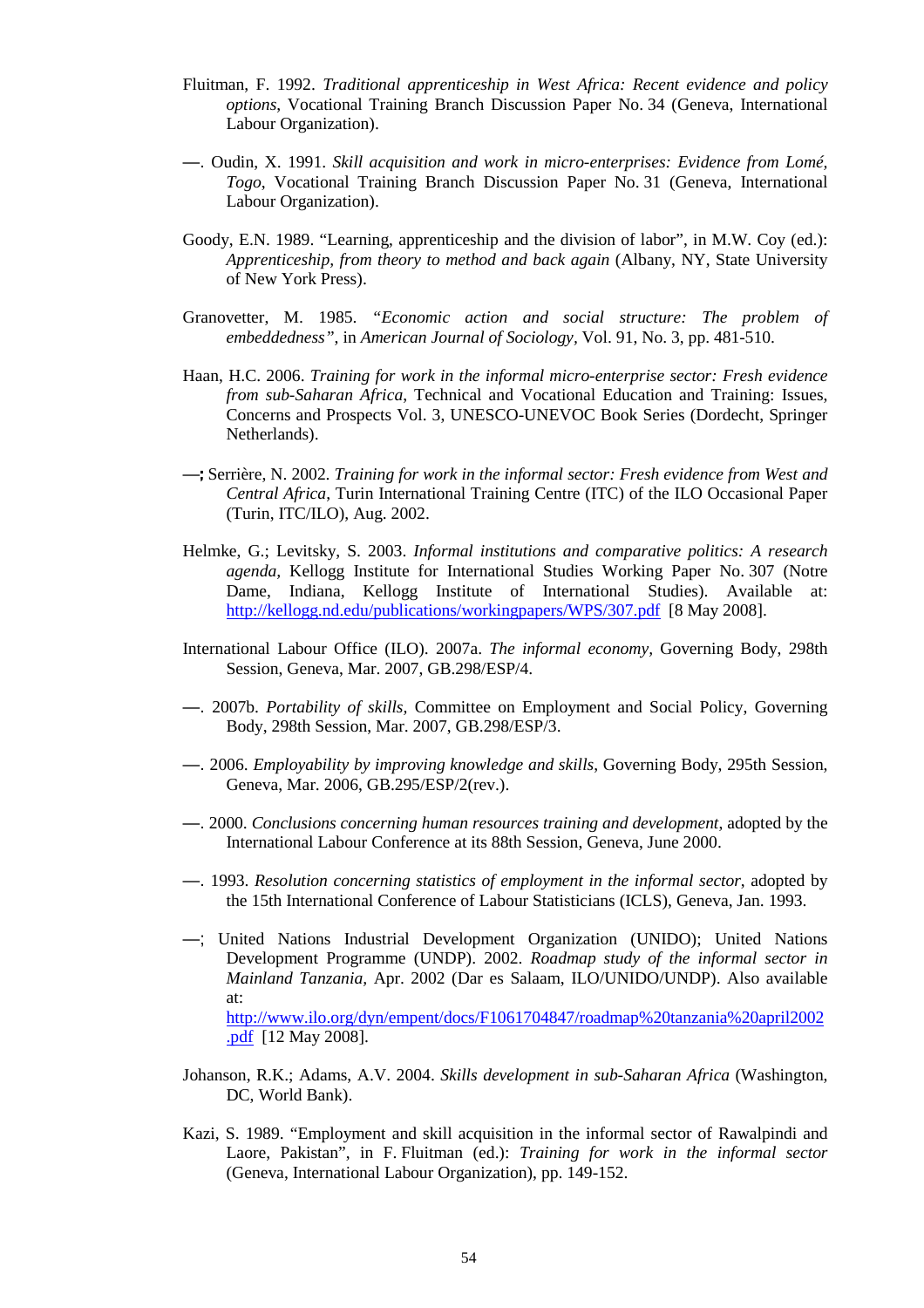- Fluitman, F. 1992. *Traditional apprenticeship in West Africa: Recent evidence and policy options*, Vocational Training Branch Discussion Paper No. 34 (Geneva, International Labour Organization).
- —. Oudin, X. 1991. *Skill acquisition and work in micro-enterprises: Evidence from Lomé, Togo*, Vocational Training Branch Discussion Paper No. 31 (Geneva, International Labour Organization).
- Goody, E.N. 1989. "Learning, apprenticeship and the division of labor", in M.W. Coy (ed.): *Apprenticeship, from theory to method and back again* (Albany, NY, State University of New York Press).
- Granovetter, M. 1985. *"Economic action and social structure: The problem of embeddedness"*, in *American Journal of Sociology,* Vol. 91, No. 3, pp. 481-510.
- Haan, H.C. 2006. *Training for work in the informal micro-enterprise sector: Fresh evidence from sub-Saharan Africa*, Technical and Vocational Education and Training: Issues, Concerns and Prospects Vol. 3, UNESCO-UNEVOC Book Series (Dordecht, Springer Netherlands).
- —; Serrière, N. 2002. *Training for work in the informal sector: Fresh evidence from West and Central Africa*, Turin International Training Centre (ITC) of the ILO Occasional Paper (Turin, ITC/ILO), Aug. 2002.
- Helmke, G.; Levitsky, S. 2003. *Informal institutions and comparative politics: A research agenda,* Kellogg Institute for International Studies Working Paper No. 307 (Notre Dame, Indiana, Kellogg Institute of International Studies). Available at: http://kellogg.nd.edu/publications/workingpapers/WPS/307.pdf [8 May 2008].
- International Labour Office (ILO). 2007a. *The informal economy,* Governing Body, 298th Session, Geneva, Mar. 2007, GB.298/ESP/4.
- —. 2007b. *Portability of skills,* Committee on Employment and Social Policy, Governing Body, 298th Session, Mar. 2007, GB.298/ESP/3.
- —. 2006. *Employability by improving knowledge and skills*, Governing Body, 295th Session, Geneva, Mar. 2006, GB.295/ESP/2(rev.).
- —. 2000. *Conclusions concerning human resources training and development*, adopted by the International Labour Conference at its 88th Session, Geneva, June 2000.
- —. 1993. *Resolution concerning statistics of employment in the informal sector*, adopted by the 15th International Conference of Labour Statisticians (ICLS), Geneva, Jan. 1993.
- —; United Nations Industrial Development Organization (UNIDO); United Nations Development Programme (UNDP). 2002. *Roadmap study of the informal sector in Mainland Tanzania,* Apr. 2002 (Dar es Salaam, ILO/UNIDO/UNDP). Also available at: http://www.ilo.org/dyn/empent/docs/F1061704847/roadmap%20tanzania%20april2002 .pdf [12 May 2008].
- Johanson, R.K.; Adams, A.V. 2004. *Skills development in sub-Saharan Africa* (Washington, DC, World Bank).
- Kazi, S. 1989. "Employment and skill acquisition in the informal sector of Rawalpindi and Laore, Pakistan", in F. Fluitman (ed.): *Training for work in the informal sector*  (Geneva, International Labour Organization), pp. 149-152.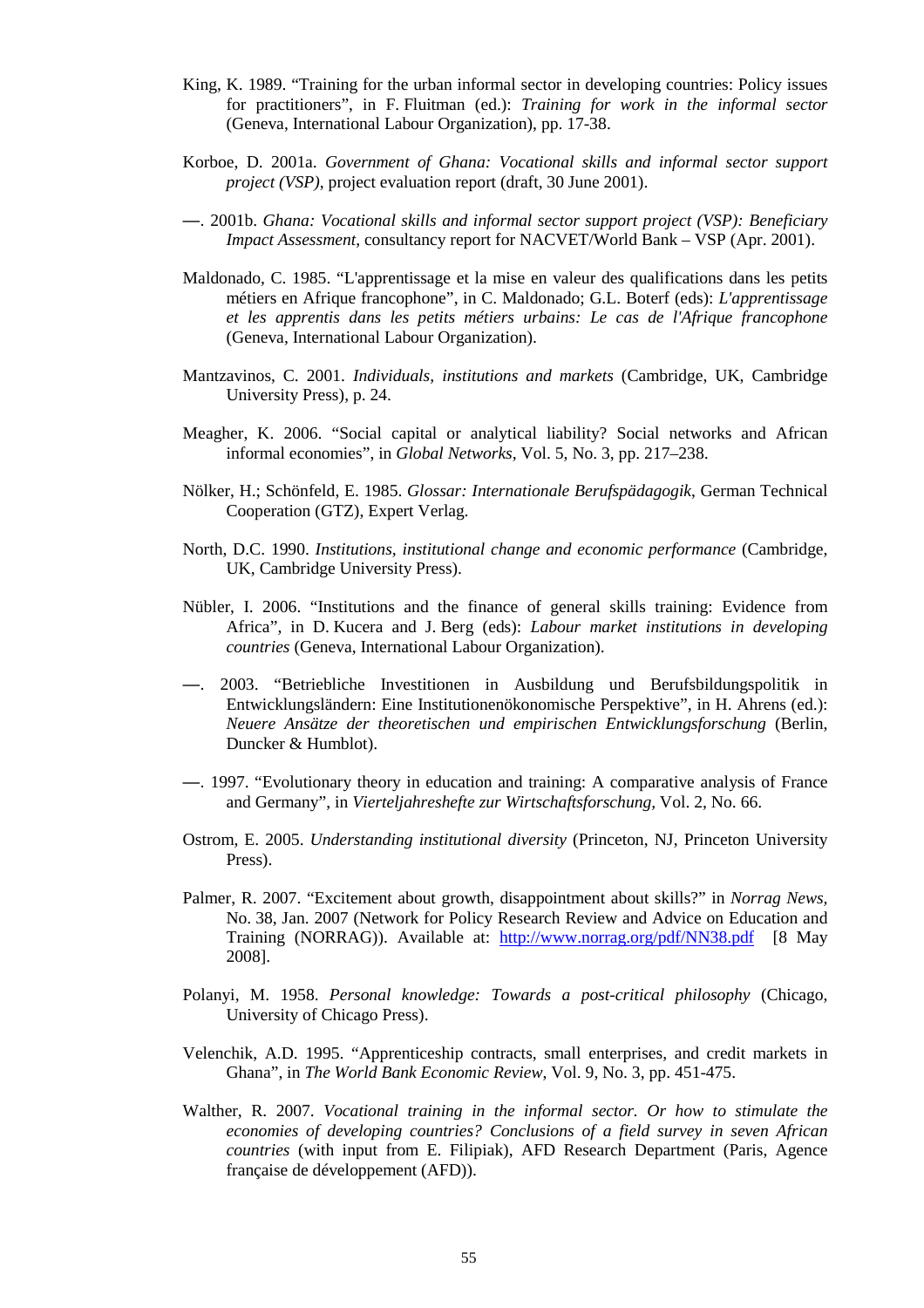- King, K. 1989. "Training for the urban informal sector in developing countries: Policy issues for practitioners", in F. Fluitman (ed.): *Training for work in the informal sector*  (Geneva, International Labour Organization), pp. 17-38.
- Korboe, D. 2001a. *Government of Ghana: Vocational skills and informal sector support project (VSP)*, project evaluation report (draft, 30 June 2001).
- —. 2001b. *Ghana: Vocational skills and informal sector support project (VSP): Beneficiary Impact Assessment*, consultancy report for NACVET/World Bank – VSP (Apr. 2001).
- Maldonado, C. 1985. "L'apprentissage et la mise en valeur des qualifications dans les petits métiers en Afrique francophone", in C. Maldonado; G.L. Boterf (eds): *L'apprentissage et les apprentis dans les petits métiers urbains: Le cas de l'Afrique francophone* (Geneva, International Labour Organization).
- Mantzavinos, C. 2001. *Individuals, institutions and markets* (Cambridge, UK, Cambridge University Press), p. 24.
- Meagher, K. 2006. "Social capital or analytical liability? Social networks and African informal economies", in *Global Networks,* Vol. 5, No. 3, pp. 217–238.
- Nölker, H.; Schönfeld, E. 1985. *Glossar: Internationale Berufspädagogik*, German Technical Cooperation (GTZ), Expert Verlag.
- North, D.C. 1990. *Institutions, institutional change and economic performance* (Cambridge, UK, Cambridge University Press).
- Nübler, I. 2006. "Institutions and the finance of general skills training: Evidence from Africa", in D. Kucera and J. Berg (eds): *Labour market institutions in developing countries* (Geneva, International Labour Organization).
- —. 2003. "Betriebliche Investitionen in Ausbildung und Berufsbildungspolitik in Entwicklungsländern: Eine Institutionenökonomische Perspektive", in H. Ahrens (ed.): *Neuere Ansätze der theoretischen und empirischen Entwicklungsforschung* (Berlin, Duncker & Humblot).
- —. 1997. "Evolutionary theory in education and training: A comparative analysis of France and Germany", in *Vierteljahreshefte zur Wirtschaftsforschung,* Vol. 2, No. 66.
- Ostrom, E. 2005. *Understanding institutional diversity* (Princeton, NJ, Princeton University Press).
- Palmer, R. 2007. "Excitement about growth, disappointment about skills?" in *Norrag News,*  No. 38, Jan. 2007 (Network for Policy Research Review and Advice on Education and Training (NORRAG)). Available at: http://www.norrag.org/pdf/NN38.pdf [8 May 2008].
- Polanyi, M. 1958. *Personal knowledge: Towards a post-critical philosophy* (Chicago, University of Chicago Press).
- Velenchik, A.D. 1995. "Apprenticeship contracts, small enterprises, and credit markets in Ghana", in *The World Bank Economic Review*, Vol. 9, No. 3, pp. 451-475.
- Walther, R. 2007. *Vocational training in the informal sector. Or how to stimulate the economies of developing countries? Conclusions of a field survey in seven African countries* (with input from E. Filipiak), AFD Research Department (Paris, Agence française de développement (AFD)).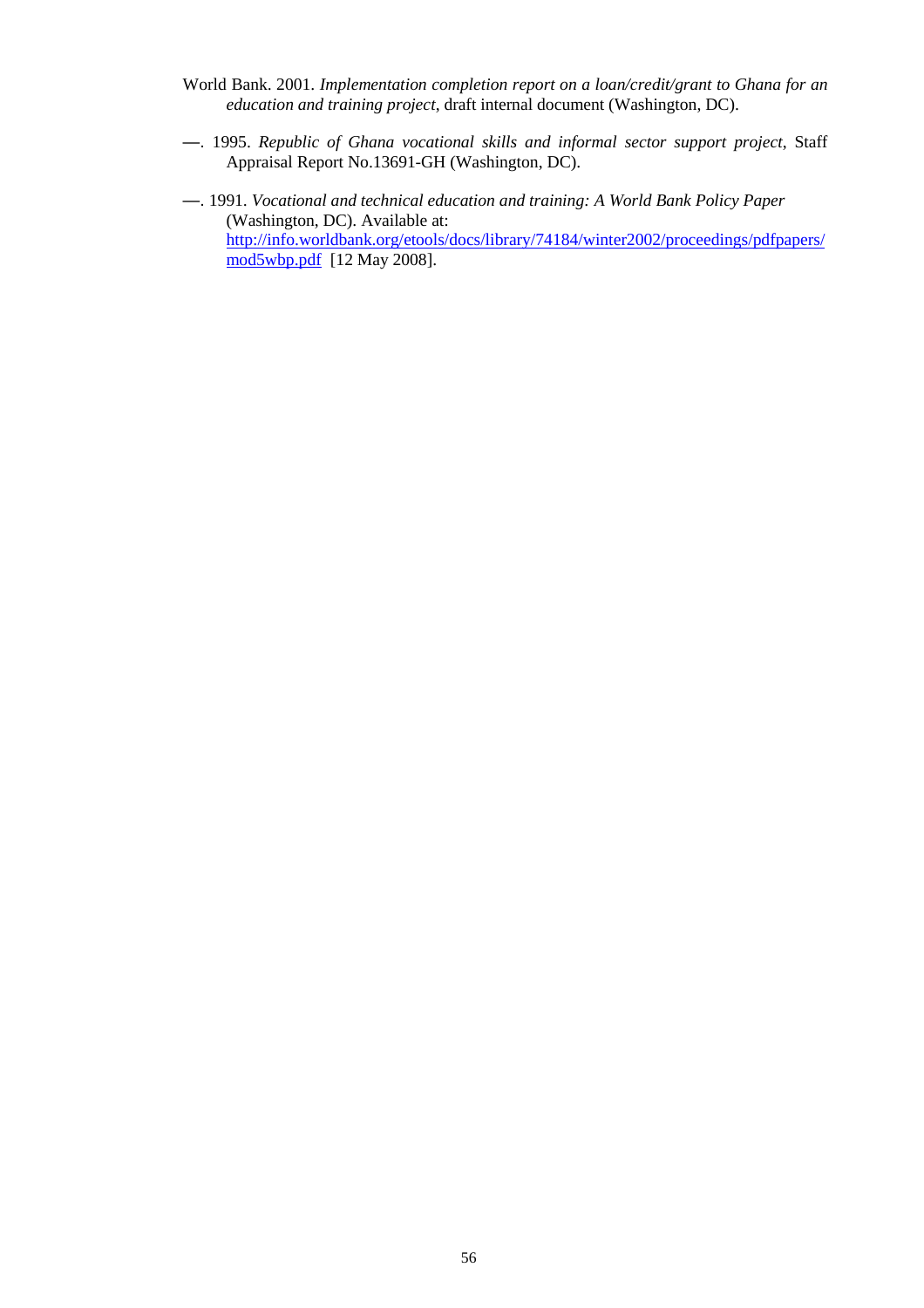- World Bank. 2001. *Implementation completion report on a loan/credit/grant to Ghana for an education and training project*, draft internal document (Washington, DC).
- —. 1995. *Republic of Ghana vocational skills and informal sector support project*, Staff Appraisal Report No.13691-GH (Washington, DC).
- —. 1991. *Vocational and technical education and training: A World Bank Policy Paper*  (Washington, DC). Available at: http://info.worldbank.org/etools/docs/library/74184/winter2002/proceedings/pdfpapers/ mod5wbp.pdf [12 May 2008].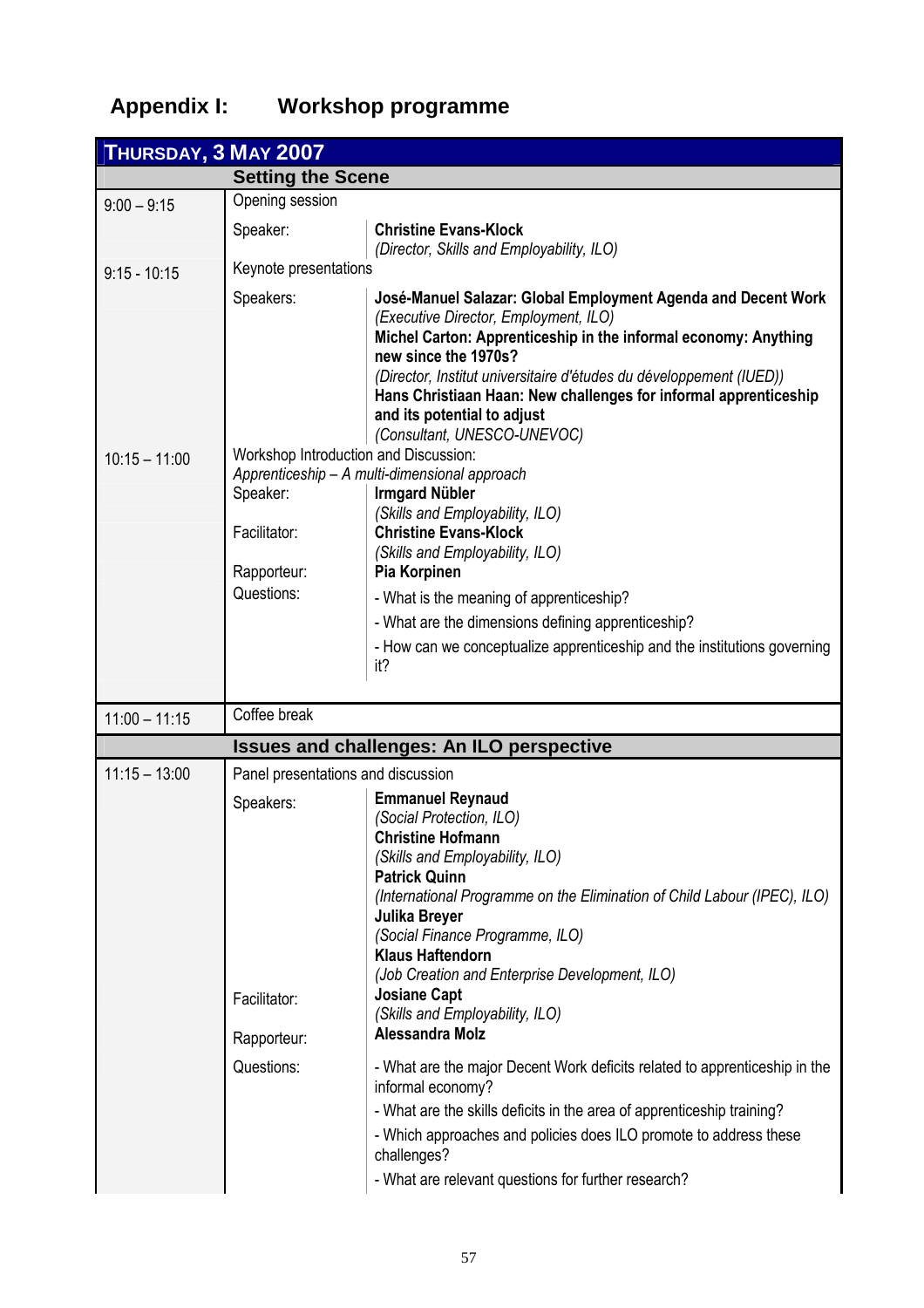# **Appendix I: Workshop programme**

| THURSDAY, 3 MAY 2007 |                                    |                                                                                                          |  |  |  |
|----------------------|------------------------------------|----------------------------------------------------------------------------------------------------------|--|--|--|
|                      | <b>Setting the Scene</b>           |                                                                                                          |  |  |  |
| $9:00 - 9:15$        | Opening session                    |                                                                                                          |  |  |  |
|                      | Speaker:                           | <b>Christine Evans-Klock</b>                                                                             |  |  |  |
|                      |                                    | (Director, Skills and Employability, ILO)                                                                |  |  |  |
| $9:15 - 10:15$       | Keynote presentations              |                                                                                                          |  |  |  |
|                      | Speakers:                          | José-Manuel Salazar: Global Employment Agenda and Decent Work                                            |  |  |  |
|                      |                                    | (Executive Director, Employment, ILO)<br>Michel Carton: Apprenticeship in the informal economy: Anything |  |  |  |
|                      |                                    | new since the 1970s?                                                                                     |  |  |  |
|                      |                                    | (Director, Institut universitaire d'études du développement (IUED))                                      |  |  |  |
|                      |                                    | Hans Christiaan Haan: New challenges for informal apprenticeship<br>and its potential to adjust          |  |  |  |
|                      |                                    | (Consultant, UNESCO-UNEVOC)                                                                              |  |  |  |
| $10:15 - 11:00$      |                                    | Workshop Introduction and Discussion:                                                                    |  |  |  |
|                      |                                    | Apprenticeship - A multi-dimensional approach                                                            |  |  |  |
|                      | Speaker:                           | <b>Irmgard Nübler</b><br>(Skills and Employability, ILO)                                                 |  |  |  |
|                      | Facilitator:                       | <b>Christine Evans-Klock</b>                                                                             |  |  |  |
|                      |                                    | (Skills and Employability, ILO)                                                                          |  |  |  |
|                      | Rapporteur:<br>Questions:          | Pia Korpinen                                                                                             |  |  |  |
|                      |                                    | - What is the meaning of apprenticeship?                                                                 |  |  |  |
|                      |                                    | - What are the dimensions defining apprenticeship?                                                       |  |  |  |
|                      |                                    | - How can we conceptualize apprenticeship and the institutions governing<br>it?                          |  |  |  |
|                      |                                    |                                                                                                          |  |  |  |
| $11:00 - 11:15$      | Coffee break                       |                                                                                                          |  |  |  |
|                      |                                    | <b>Issues and challenges: An ILO perspective</b>                                                         |  |  |  |
| $11:15 - 13:00$      | Panel presentations and discussion |                                                                                                          |  |  |  |
|                      | Speakers:                          | <b>Emmanuel Reynaud</b>                                                                                  |  |  |  |
|                      |                                    | (Social Protection, ILO)                                                                                 |  |  |  |
|                      |                                    | <b>Christine Hofmann</b><br>(Skills and Employability, ILO)                                              |  |  |  |
|                      |                                    | <b>Patrick Quinn</b>                                                                                     |  |  |  |
|                      |                                    | (International Programme on the Elimination of Child Labour (IPEC), ILO)                                 |  |  |  |
|                      |                                    | Julika Breyer                                                                                            |  |  |  |
|                      |                                    | (Social Finance Programme, ILO)<br><b>Klaus Haftendorn</b>                                               |  |  |  |
|                      |                                    | (Job Creation and Enterprise Development, ILO)                                                           |  |  |  |
|                      | Facilitator:                       | <b>Josiane Capt</b>                                                                                      |  |  |  |
|                      |                                    | (Skills and Employability, ILO)<br>Alessandra Molz                                                       |  |  |  |
|                      | Rapporteur:                        |                                                                                                          |  |  |  |
|                      | Questions:                         | - What are the major Decent Work deficits related to apprenticeship in the<br>informal economy?          |  |  |  |
|                      |                                    | - What are the skills deficits in the area of apprenticeship training?                                   |  |  |  |
|                      |                                    | - Which approaches and policies does ILO promote to address these<br>challenges?                         |  |  |  |
|                      |                                    | - What are relevant questions for further research?                                                      |  |  |  |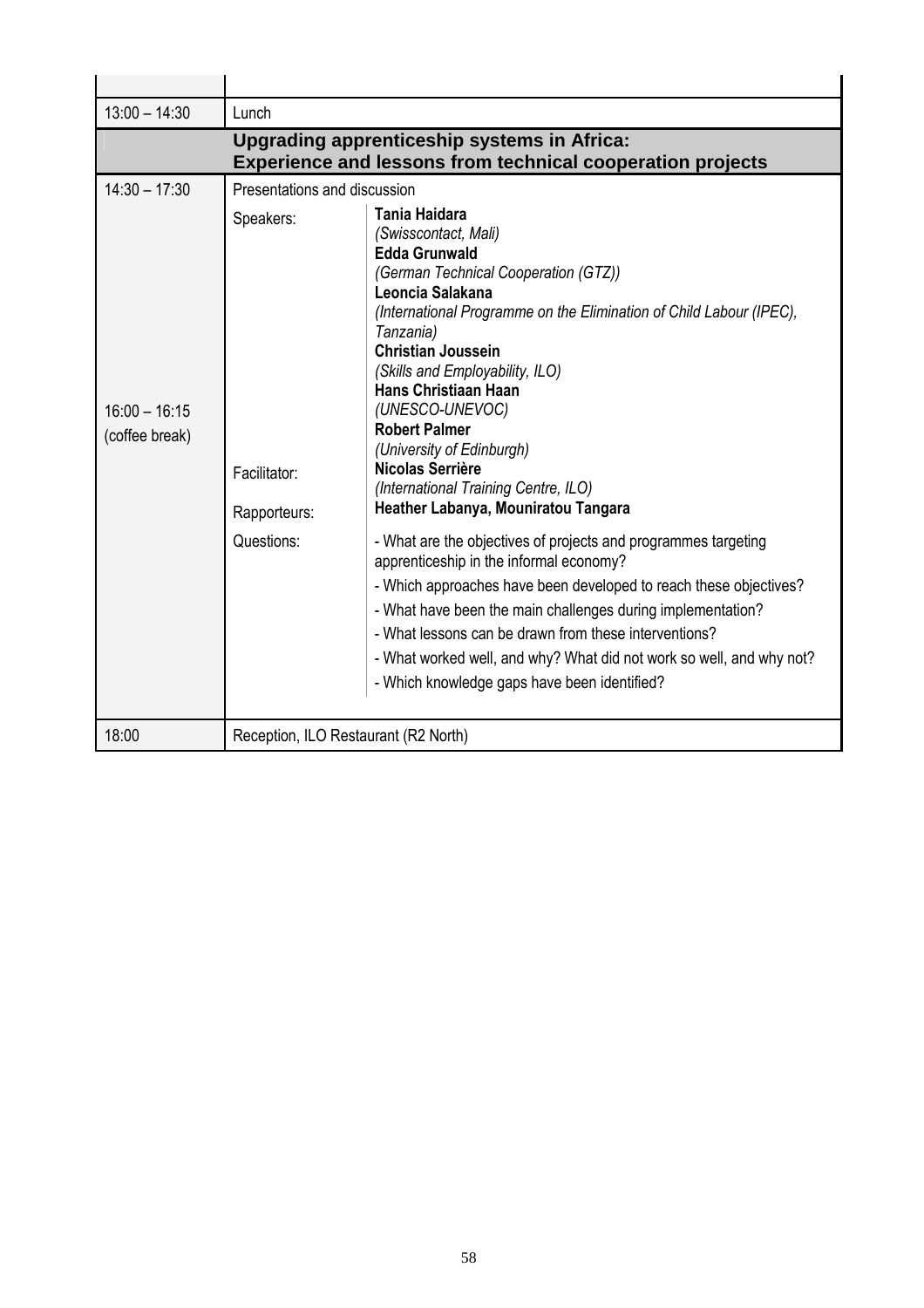| $13:00 - 14:30$                   | Lunch                                                                                                            |                                                                                                                                                                                                                                                                                                                                                                                                                                                                                                                                                                                                                                                                                                                                                                                            |  |  |  |
|-----------------------------------|------------------------------------------------------------------------------------------------------------------|--------------------------------------------------------------------------------------------------------------------------------------------------------------------------------------------------------------------------------------------------------------------------------------------------------------------------------------------------------------------------------------------------------------------------------------------------------------------------------------------------------------------------------------------------------------------------------------------------------------------------------------------------------------------------------------------------------------------------------------------------------------------------------------------|--|--|--|
|                                   | Upgrading apprenticeship systems in Africa:<br><b>Experience and lessons from technical cooperation projects</b> |                                                                                                                                                                                                                                                                                                                                                                                                                                                                                                                                                                                                                                                                                                                                                                                            |  |  |  |
| $14:30 - 17:30$                   | Presentations and discussion                                                                                     |                                                                                                                                                                                                                                                                                                                                                                                                                                                                                                                                                                                                                                                                                                                                                                                            |  |  |  |
| $16:00 - 16:15$<br>(coffee break) | Speakers:<br>Facilitator:<br>Rapporteurs:<br>Questions:                                                          | Tania Haidara<br>(Swisscontact, Mali)<br><b>Edda Grunwald</b><br>(German Technical Cooperation (GTZ))<br>Leoncia Salakana<br>(International Programme on the Elimination of Child Labour (IPEC),<br>Tanzania)<br><b>Christian Joussein</b><br>(Skills and Employability, ILO)<br>Hans Christiaan Haan<br>(UNESCO-UNEVOC)<br><b>Robert Palmer</b><br>(University of Edinburgh)<br>Nicolas Serrière<br>(International Training Centre, ILO)<br>Heather Labanya, Mouniratou Tangara<br>- What are the objectives of projects and programmes targeting<br>apprenticeship in the informal economy?<br>- Which approaches have been developed to reach these objectives?<br>- What have been the main challenges during implementation?<br>- What lessons can be drawn from these interventions? |  |  |  |
|                                   |                                                                                                                  | - What worked well, and why? What did not work so well, and why not?<br>- Which knowledge gaps have been identified?                                                                                                                                                                                                                                                                                                                                                                                                                                                                                                                                                                                                                                                                       |  |  |  |
| 18:00                             | Reception, ILO Restaurant (R2 North)                                                                             |                                                                                                                                                                                                                                                                                                                                                                                                                                                                                                                                                                                                                                                                                                                                                                                            |  |  |  |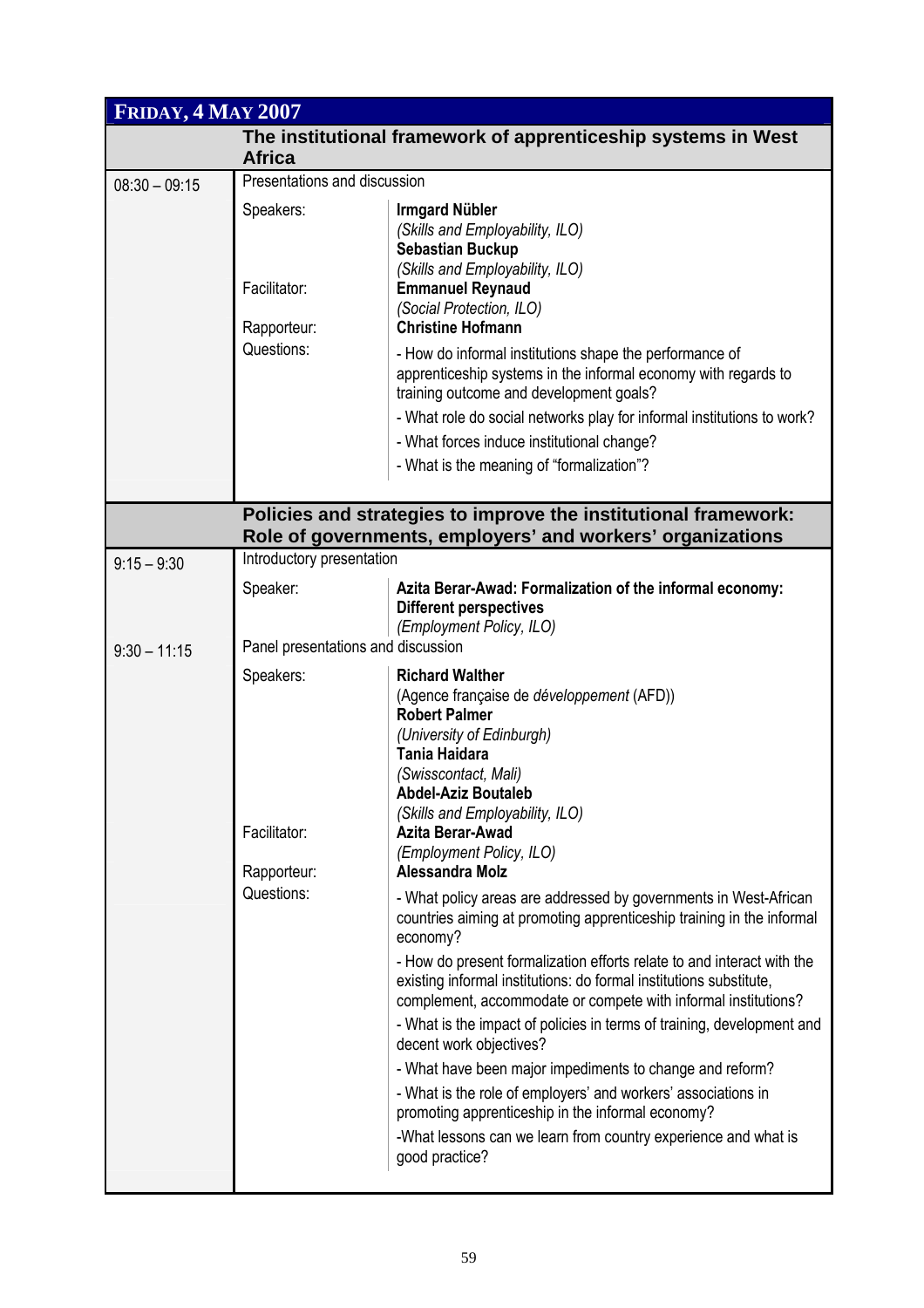| <b>FRIDAY, 4 MAY 2007</b> |                                           |                                                                                                                                                                                                                                                                                                                     |  |  |  |
|---------------------------|-------------------------------------------|---------------------------------------------------------------------------------------------------------------------------------------------------------------------------------------------------------------------------------------------------------------------------------------------------------------------|--|--|--|
|                           | <b>Africa</b>                             | The institutional framework of apprenticeship systems in West                                                                                                                                                                                                                                                       |  |  |  |
| $08:30 - 09:15$           | Presentations and discussion              |                                                                                                                                                                                                                                                                                                                     |  |  |  |
|                           | Speakers:<br>Facilitator:<br>Rapporteur:  | <b>Irmgard Nübler</b><br>(Skills and Employability, ILO)<br><b>Sebastian Buckup</b><br>(Skills and Employability, ILO)<br><b>Emmanuel Reynaud</b><br>(Social Protection, ILO)<br><b>Christine Hofmann</b>                                                                                                           |  |  |  |
|                           | Questions:                                | - How do informal institutions shape the performance of<br>apprenticeship systems in the informal economy with regards to<br>training outcome and development goals?                                                                                                                                                |  |  |  |
|                           |                                           | - What role do social networks play for informal institutions to work?                                                                                                                                                                                                                                              |  |  |  |
|                           |                                           | - What forces induce institutional change?                                                                                                                                                                                                                                                                          |  |  |  |
|                           |                                           | - What is the meaning of "formalization"?                                                                                                                                                                                                                                                                           |  |  |  |
|                           |                                           | Policies and strategies to improve the institutional framework:                                                                                                                                                                                                                                                     |  |  |  |
|                           |                                           | Role of governments, employers' and workers' organizations                                                                                                                                                                                                                                                          |  |  |  |
| $9:15 - 9:30$             | Introductory presentation                 |                                                                                                                                                                                                                                                                                                                     |  |  |  |
|                           | Speaker:                                  | Azita Berar-Awad: Formalization of the informal economy:<br><b>Different perspectives</b><br>(Employment Policy, ILO)                                                                                                                                                                                               |  |  |  |
| $9:30 - 11:15$            | Panel presentations and discussion        |                                                                                                                                                                                                                                                                                                                     |  |  |  |
|                           | Speakers:                                 | <b>Richard Walther</b><br>(Agence française de développement (AFD))<br><b>Robert Palmer</b><br>(University of Edinburgh)<br><b>Tania Haidara</b><br>(Swisscontact, Mali)<br>Abdel-Aziz Boutaleb<br>(Skills and Employability, ILO)                                                                                  |  |  |  |
|                           | Facilitator:<br>Rapporteur:<br>Questions: | Azita Berar-Awad<br>(Employment Policy, ILO)<br>Alessandra Molz                                                                                                                                                                                                                                                     |  |  |  |
|                           |                                           | - What policy areas are addressed by governments in West-African<br>countries aiming at promoting apprenticeship training in the informal<br>economy?                                                                                                                                                               |  |  |  |
|                           |                                           | - How do present formalization efforts relate to and interact with the<br>existing informal institutions: do formal institutions substitute,<br>complement, accommodate or compete with informal institutions?<br>- What is the impact of policies in terms of training, development and<br>decent work objectives? |  |  |  |
|                           |                                           | - What have been major impediments to change and reform?<br>- What is the role of employers' and workers' associations in                                                                                                                                                                                           |  |  |  |
|                           |                                           | promoting apprenticeship in the informal economy?                                                                                                                                                                                                                                                                   |  |  |  |
|                           |                                           | -What lessons can we learn from country experience and what is<br>good practice?                                                                                                                                                                                                                                    |  |  |  |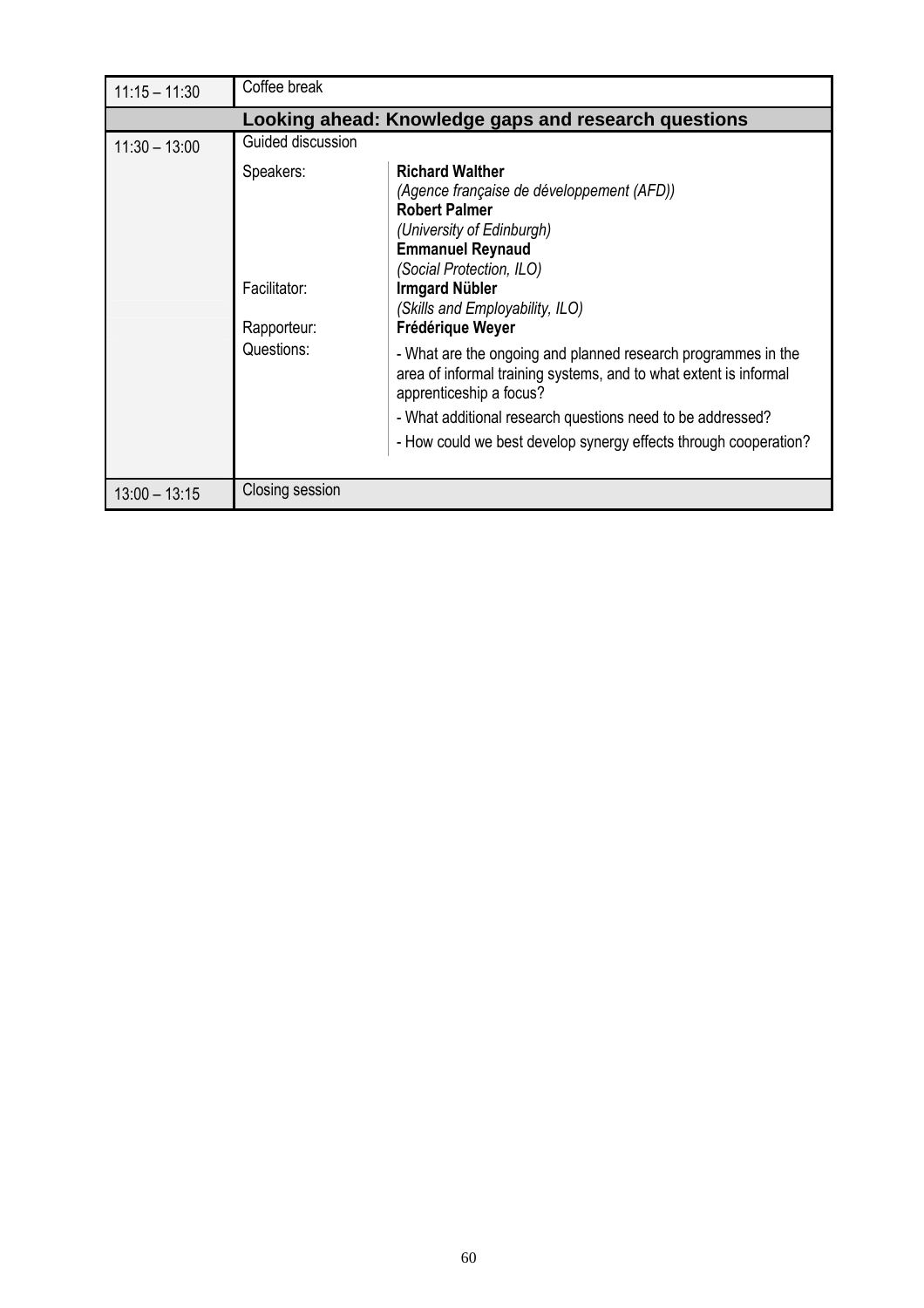| $11:15 - 11:30$                                      | Coffee break                                                                                                                                                                                                                                                                                                  |  |  |  |  |  |
|------------------------------------------------------|---------------------------------------------------------------------------------------------------------------------------------------------------------------------------------------------------------------------------------------------------------------------------------------------------------------|--|--|--|--|--|
| Looking ahead: Knowledge gaps and research questions |                                                                                                                                                                                                                                                                                                               |  |  |  |  |  |
| $11:30 - 13:00$                                      | Guided discussion                                                                                                                                                                                                                                                                                             |  |  |  |  |  |
|                                                      | <b>Richard Walther</b><br>Speakers:<br>(Agence française de développement (AFD))<br><b>Robert Palmer</b><br>(University of Edinburgh)<br><b>Emmanuel Reynaud</b><br>(Social Protection, ILO)<br><b>Irmgard Nübler</b><br>Facilitator:<br>(Skills and Employability, ILO)<br>Frédérique Weyer<br>Rapporteur:   |  |  |  |  |  |
|                                                      | Questions:<br>- What are the ongoing and planned research programmes in the<br>area of informal training systems, and to what extent is informal<br>apprenticeship a focus?<br>- What additional research questions need to be addressed?<br>- How could we best develop synergy effects through cooperation? |  |  |  |  |  |
| $13:00 - 13:15$                                      | Closing session                                                                                                                                                                                                                                                                                               |  |  |  |  |  |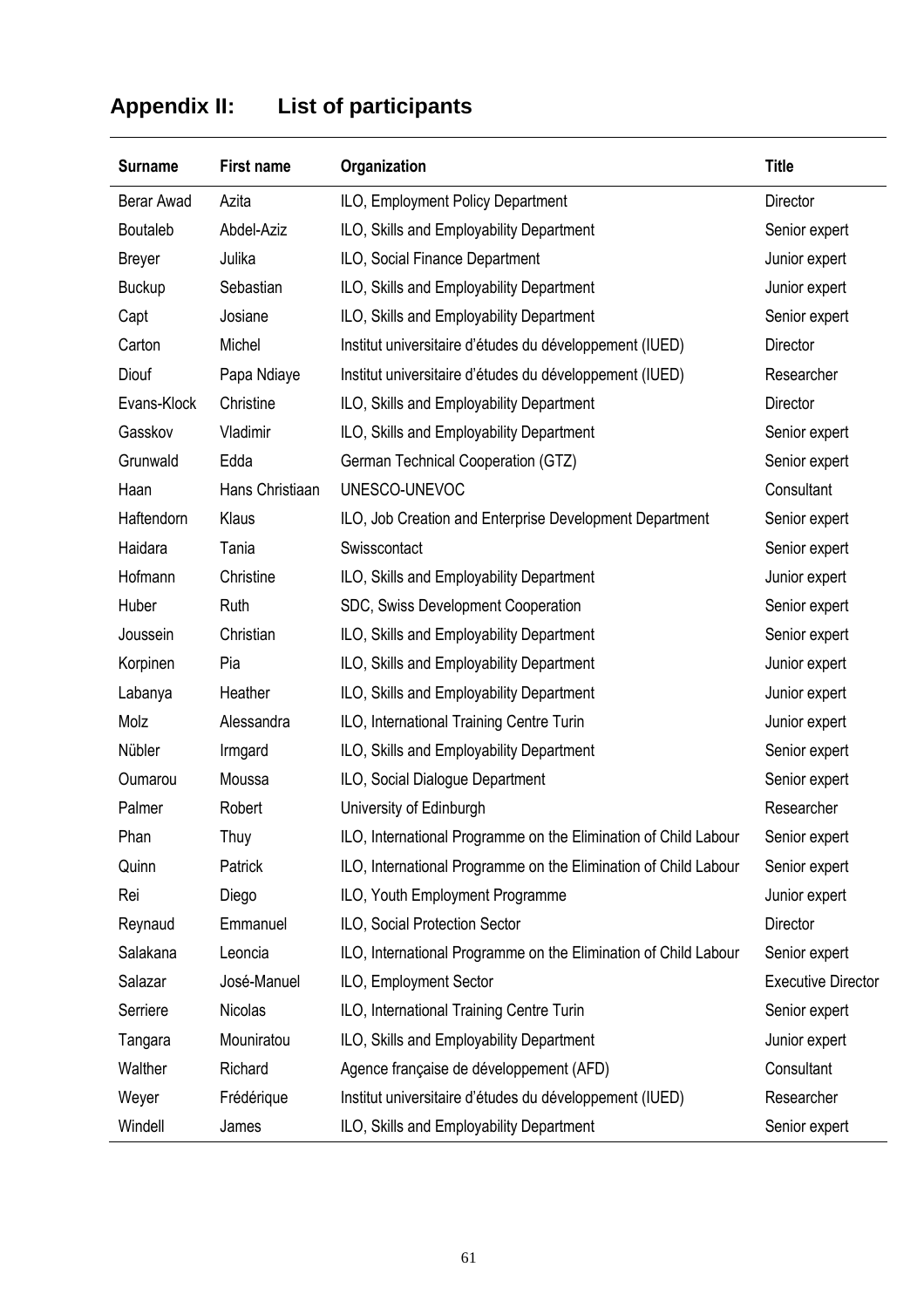# **Appendix II: List of participants**

| <b>Surname</b>  | <b>First name</b> | Organization                                                    | <b>Title</b>              |
|-----------------|-------------------|-----------------------------------------------------------------|---------------------------|
| Berar Awad      | Azita             | ILO, Employment Policy Department                               | Director                  |
| <b>Boutaleb</b> | Abdel-Aziz        | ILO, Skills and Employability Department                        | Senior expert             |
| <b>Breyer</b>   | Julika            | ILO, Social Finance Department                                  | Junior expert             |
| <b>Buckup</b>   | Sebastian         | ILO, Skills and Employability Department                        | Junior expert             |
| Capt            | Josiane           | ILO, Skills and Employability Department                        | Senior expert             |
| Carton          | Michel            | Institut universitaire d'études du développement (IUED)         | Director                  |
| Diouf           | Papa Ndiaye       | Institut universitaire d'études du développement (IUED)         | Researcher                |
| Evans-Klock     | Christine         | ILO, Skills and Employability Department                        | Director                  |
| Gasskov         | Vladimir          | ILO, Skills and Employability Department                        | Senior expert             |
| Grunwald        | Edda              | German Technical Cooperation (GTZ)                              | Senior expert             |
| Haan            | Hans Christiaan   | UNESCO-UNEVOC                                                   | Consultant                |
| Haftendorn      | Klaus             | ILO, Job Creation and Enterprise Development Department         | Senior expert             |
| Haidara         | Tania             | Swisscontact                                                    | Senior expert             |
| Hofmann         | Christine         | ILO, Skills and Employability Department                        | Junior expert             |
| Huber           | Ruth              | SDC, Swiss Development Cooperation                              | Senior expert             |
| Joussein        | Christian         | ILO, Skills and Employability Department                        | Senior expert             |
| Korpinen        | Pia               | ILO, Skills and Employability Department                        | Junior expert             |
| Labanya         | Heather           | ILO, Skills and Employability Department                        | Junior expert             |
| Molz            | Alessandra        | ILO, International Training Centre Turin                        | Junior expert             |
| Nübler          | Irmgard           | ILO, Skills and Employability Department                        | Senior expert             |
| Oumarou         | Moussa            | ILO, Social Dialogue Department                                 | Senior expert             |
| Palmer          | Robert            | University of Edinburgh                                         | Researcher                |
| Phan            | Thuy              | ILO, International Programme on the Elimination of Child Labour | Senior expert             |
| Quinn           | Patrick           | ILO, International Programme on the Elimination of Child Labour | Senior expert             |
| Rei             | Diego             | ILO, Youth Employment Programme                                 | Junior expert             |
| Reynaud         | Emmanuel          | ILO, Social Protection Sector                                   | Director                  |
| Salakana        | Leoncia           | ILO, International Programme on the Elimination of Child Labour | Senior expert             |
| Salazar         | José-Manuel       | ILO, Employment Sector                                          | <b>Executive Director</b> |
| Serriere        | Nicolas           | ILO, International Training Centre Turin                        | Senior expert             |
| Tangara         | Mouniratou        | ILO, Skills and Employability Department                        | Junior expert             |
| Walther         | Richard           | Agence française de développement (AFD)                         | Consultant                |
| Weyer           | Frédérique        | Institut universitaire d'études du développement (IUED)         | Researcher                |
| Windell         | James             | ILO, Skills and Employability Department                        | Senior expert             |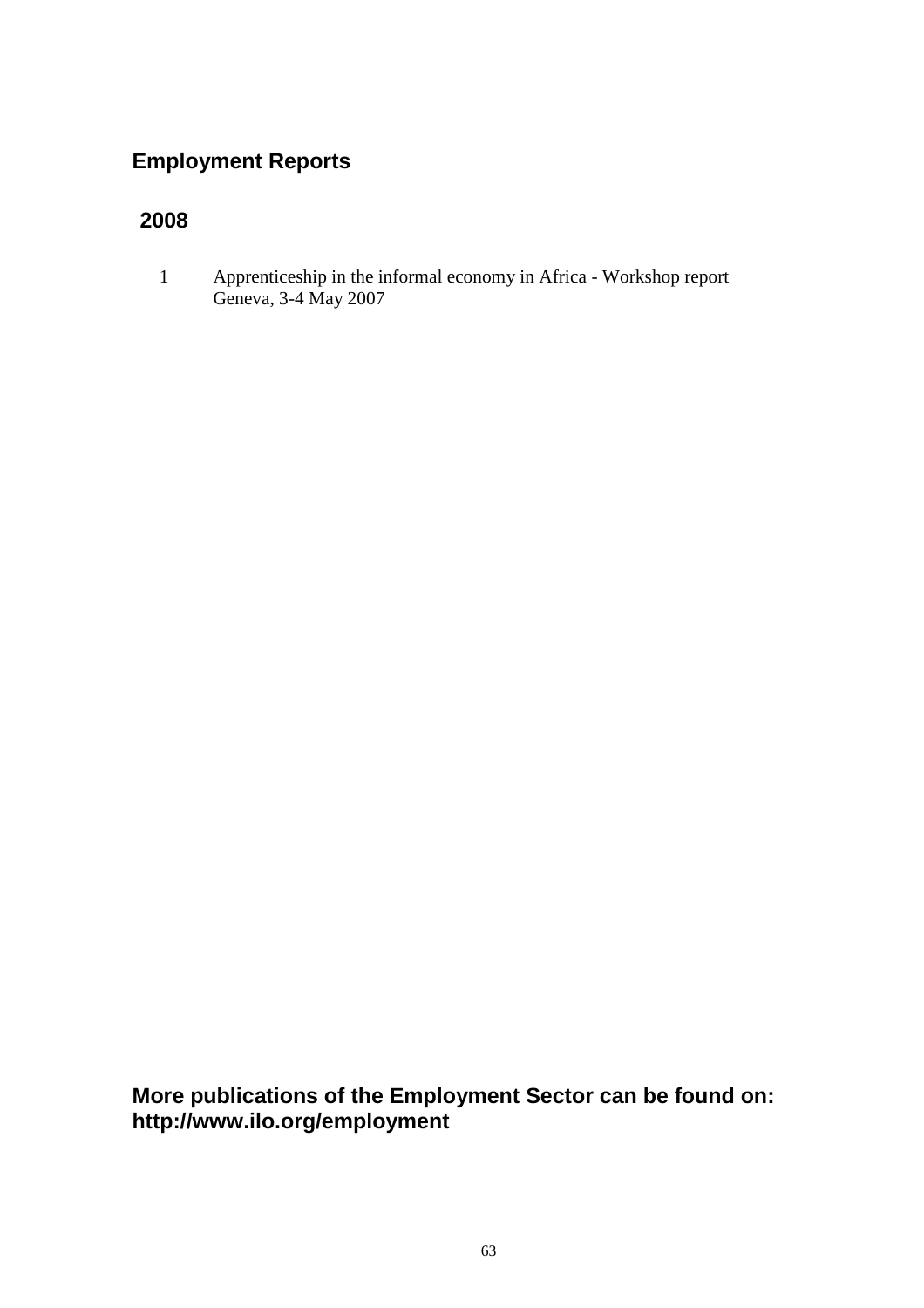## **Employment Reports**

# **2008**

1 Apprenticeship in the informal economy in Africa - Workshop report Geneva, 3-4 May 2007

**More publications of the Employment Sector can be found on: http://www.ilo.org/employment**